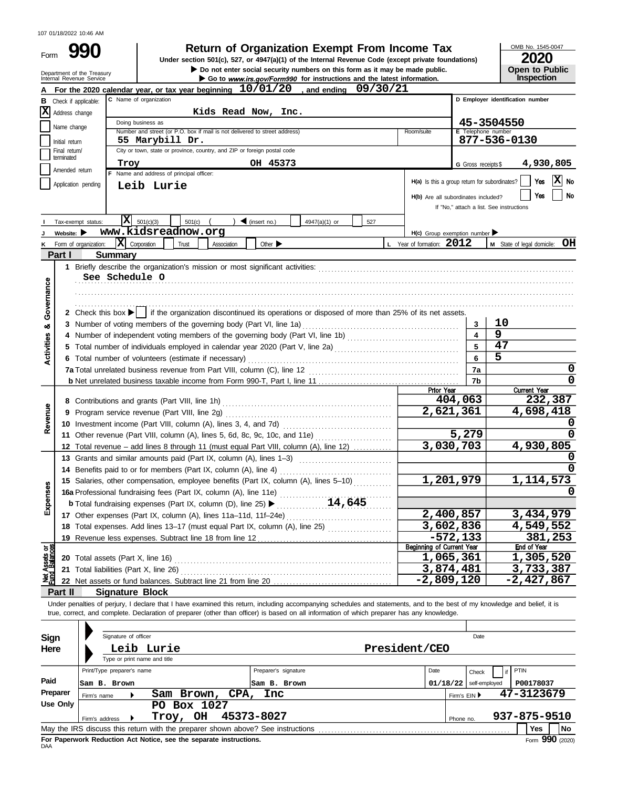| Form<br>Department of the Treasury | <b>Return of Organization Exempt From Income Tax</b><br>Under section 501(c), 527, or 4947(a)(1) of the Internal Revenue Code (except private foundations)<br>Do not enter social security numbers on this form as it may be made public. |                                               | OMB No. 1545-0<br>Open to Pu     |
|------------------------------------|-------------------------------------------------------------------------------------------------------------------------------------------------------------------------------------------------------------------------------------------|-----------------------------------------------|----------------------------------|
| Internal Revenue Service<br>А      | Go to www.irs.gov/Form990 for instructions and the latest information.<br>For the 2020 calendar year, or tax year beginning $10/01/20$ , and ending 09/30/21                                                                              |                                               | Inspection                       |
| В<br>Check if applicable:          | C Name of organization                                                                                                                                                                                                                    |                                               | D Employer identification number |
| x<br>Address change                | Kids Read Now, Inc.                                                                                                                                                                                                                       |                                               |                                  |
|                                    | Doing business as                                                                                                                                                                                                                         |                                               | 45-3504550                       |
| Name change                        | Number and street (or P.O. box if mail is not delivered to street address)<br>Room/suite                                                                                                                                                  | E Telephone number                            |                                  |
| Initial return                     | 55 Marybill Dr.                                                                                                                                                                                                                           |                                               | 877-536-0130                     |
| Final return/<br>terminated        | City or town, state or province, country, and ZIP or foreign postal code                                                                                                                                                                  |                                               |                                  |
|                                    | OH 45373<br>Troy                                                                                                                                                                                                                          | G Gross receipts \$                           | 4,930,                           |
| Amended return                     | Name and address of principal officer:                                                                                                                                                                                                    |                                               |                                  |
| Application pending                | Leib Lurie                                                                                                                                                                                                                                | H(a) Is this a group return for subordinates? | Yes                              |
|                                    |                                                                                                                                                                                                                                           | H(b) Are all subordinates included?           | Yes                              |
|                                    |                                                                                                                                                                                                                                           | If "No," attach a list. See instructions      |                                  |
| Tax-exempt status:                 | X <br>$\triangleleft$ (insert no.)<br>501(c)(3)<br>501(c)<br>4947(a)(1) or<br>527                                                                                                                                                         |                                               |                                  |
| Website: $\blacktriangleright$     | www.kidsreadnow.org                                                                                                                                                                                                                       | $H(c)$ Group exemption number                 |                                  |
| Form of organization:<br>ĸ         | $\mathbf{X}$ Corporation<br>L Year of formation: 2012<br>Other $\blacktriangleright$<br>Trust<br>Association                                                                                                                              |                                               | M State of legal domicile        |
| Part I                             | <b>Summary</b>                                                                                                                                                                                                                            |                                               |                                  |
|                                    |                                                                                                                                                                                                                                           |                                               |                                  |
|                                    | See Schedule O                                                                                                                                                                                                                            |                                               |                                  |
|                                    |                                                                                                                                                                                                                                           |                                               |                                  |
|                                    |                                                                                                                                                                                                                                           |                                               |                                  |
|                                    | 2 Check this box $\blacktriangleright$ if the organization discontinued its operations or disposed of more than 25% of its net assets.                                                                                                    |                                               |                                  |
| Activities & Governance            |                                                                                                                                                                                                                                           | 3                                             | 10                               |
|                                    | 4 Number of independent voting members of the governing body (Part VI, line 1b) [[[[[[[[[[[[[[[[[[[[[[[[[[[[[[                                                                                                                            | $\overline{\mathbf{4}}$                       | 9                                |
|                                    |                                                                                                                                                                                                                                           | 5                                             | 47                               |
|                                    | 6 Total number of volunteers (estimate if necessary)                                                                                                                                                                                      | 6                                             | $\overline{5}$                   |
|                                    |                                                                                                                                                                                                                                           | 7a                                            |                                  |
|                                    |                                                                                                                                                                                                                                           | 7 <sub>b</sub>                                |                                  |
|                                    |                                                                                                                                                                                                                                           |                                               |                                  |
|                                    |                                                                                                                                                                                                                                           |                                               |                                  |
|                                    |                                                                                                                                                                                                                                           | Prior Year                                    |                                  |
|                                    |                                                                                                                                                                                                                                           | 404,063                                       | <b>Current Year</b><br>232,      |
|                                    | 9 Program service revenue (Part VIII, line 2g)                                                                                                                                                                                            | 2,621,361                                     | 4,698,4                          |
| Revenue                            | 11 Other revenue (Part VIII, column (A), lines 5, 6d, 8c, 9c, 10c, and 11e)                                                                                                                                                               | 5,279                                         |                                  |

OMB No. 1545-0047 **Open to Public<br>Inspection** 

|                                |                                 |                       | For the 2020 calendar year, or tax year beginning $10/01/20$ , and ending 09/30/21                                                                                                                                                                                                                                       |                                               |                         |                                          |
|--------------------------------|---------------------------------|-----------------------|--------------------------------------------------------------------------------------------------------------------------------------------------------------------------------------------------------------------------------------------------------------------------------------------------------------------------|-----------------------------------------------|-------------------------|------------------------------------------|
| в                              | Check if applicable:            |                       | C Name of organization                                                                                                                                                                                                                                                                                                   |                                               |                         | D Employer identification number         |
|                                | X Address change                |                       | Kids Read Now, Inc.                                                                                                                                                                                                                                                                                                      |                                               |                         |                                          |
|                                | Name change                     |                       | Doing business as                                                                                                                                                                                                                                                                                                        |                                               |                         | 45-3504550                               |
|                                |                                 |                       | Number and street (or P.O. box if mail is not delivered to street address)<br>Room/suite                                                                                                                                                                                                                                 |                                               | E Telephone number      | 877-536-0130                             |
|                                | Initial return<br>Final return/ |                       | 55 Marybill Dr.<br>City or town, state or province, country, and ZIP or foreign postal code                                                                                                                                                                                                                              |                                               |                         |                                          |
|                                | terminated                      |                       |                                                                                                                                                                                                                                                                                                                          |                                               |                         |                                          |
|                                | Amended return                  |                       | OH 45373<br>Troy<br>F Name and address of principal officer:                                                                                                                                                                                                                                                             |                                               | G Gross receipts \$     | 4,930,805                                |
|                                | Application pending             |                       |                                                                                                                                                                                                                                                                                                                          | H(a) Is this a group return for subordinates? |                         | $ X $ No<br>Yes                          |
|                                |                                 |                       | Leib Lurie                                                                                                                                                                                                                                                                                                               |                                               |                         | No<br>Yes                                |
|                                |                                 |                       |                                                                                                                                                                                                                                                                                                                          | H(b) Are all subordinates included?           |                         |                                          |
|                                |                                 |                       |                                                                                                                                                                                                                                                                                                                          |                                               |                         | If "No," attach a list. See instructions |
|                                | Tax-exempt status:              |                       | $ \mathbf{X} $ 501(c)(3)<br>) $\blacktriangleleft$ (insert no.)<br>501(c)<br>4947(a)(1) or<br>527                                                                                                                                                                                                                        |                                               |                         |                                          |
|                                | Website: $\blacktriangleright$  |                       | www.kidsreadnow.org                                                                                                                                                                                                                                                                                                      | $H(c)$ Group exemption number                 |                         |                                          |
| ĸ                              |                                 | Form of organization: | $\mathbf{X}$ Corporation<br>Other $\blacktriangleright$<br>Trust<br>Association                                                                                                                                                                                                                                          | L Year of formation: 2012                     |                         | M State of legal domicile: OH            |
|                                | Part I                          |                       | <b>Summary</b>                                                                                                                                                                                                                                                                                                           |                                               |                         |                                          |
|                                |                                 |                       |                                                                                                                                                                                                                                                                                                                          |                                               |                         |                                          |
|                                |                                 |                       | See Schedule O                                                                                                                                                                                                                                                                                                           |                                               |                         |                                          |
|                                |                                 |                       |                                                                                                                                                                                                                                                                                                                          |                                               |                         |                                          |
|                                |                                 |                       |                                                                                                                                                                                                                                                                                                                          |                                               |                         |                                          |
| Governance                     |                                 |                       | 2 Check this box ▶   if the organization discontinued its operations or disposed of more than 25% of its net assets.                                                                                                                                                                                                     |                                               |                         |                                          |
| න්                             |                                 |                       |                                                                                                                                                                                                                                                                                                                          |                                               | $\mathbf{3}$            | 10                                       |
|                                |                                 |                       |                                                                                                                                                                                                                                                                                                                          |                                               | $\overline{\mathbf{4}}$ | 9                                        |
| <b>Activities</b>              |                                 |                       |                                                                                                                                                                                                                                                                                                                          |                                               | 5                       | 47                                       |
|                                |                                 |                       | 6 Total number of volunteers (estimate if necessary)                                                                                                                                                                                                                                                                     |                                               | 6                       | 5                                        |
|                                |                                 |                       |                                                                                                                                                                                                                                                                                                                          |                                               | 7a                      | 0                                        |
|                                |                                 |                       |                                                                                                                                                                                                                                                                                                                          |                                               | 7b                      | $\mathbf 0$                              |
|                                |                                 |                       |                                                                                                                                                                                                                                                                                                                          | Prior Year                                    |                         | <b>Current Year</b>                      |
|                                |                                 |                       |                                                                                                                                                                                                                                                                                                                          |                                               | 404,063                 | 232,387                                  |
| Revenue                        | 9                               |                       |                                                                                                                                                                                                                                                                                                                          | 2,621,361                                     |                         | 4,698,418                                |
|                                |                                 |                       |                                                                                                                                                                                                                                                                                                                          |                                               |                         | 0                                        |
|                                |                                 |                       | 11 Other revenue (Part VIII, column (A), lines 5, 6d, 8c, 9c, 10c, and 11e)                                                                                                                                                                                                                                              |                                               | 5,279                   | <sup>0</sup>                             |
|                                |                                 |                       | 12 Total revenue - add lines 8 through 11 (must equal Part VIII, column (A), line 12)                                                                                                                                                                                                                                    | 3,030,703                                     |                         | 4,930,805                                |
|                                |                                 |                       | 13 Grants and similar amounts paid (Part IX, column (A), lines 1-3)                                                                                                                                                                                                                                                      |                                               |                         | 0                                        |
|                                |                                 |                       |                                                                                                                                                                                                                                                                                                                          |                                               |                         | <sup>0</sup>                             |
|                                |                                 |                       | 15 Salaries, other compensation, employee benefits (Part IX, column (A), lines 5-10)                                                                                                                                                                                                                                     | 1,201,979                                     |                         | 1,114,573                                |
| Expenses                       |                                 |                       | 15 Salaries, other components, $\frac{1}{2}$<br>16a Professional fundraising fees (Part IX, column (A), line 11e)<br>25. $\sqrt{14,645}$                                                                                                                                                                                 |                                               |                         |                                          |
|                                |                                 |                       | .                                                                                                                                                                                                                                                                                                                        |                                               |                         |                                          |
|                                |                                 |                       | 17 Other expenses (Part IX, column (A), lines 11a-11d, 11f-24e)                                                                                                                                                                                                                                                          | 2,400,857                                     |                         | 3,434,979                                |
|                                |                                 |                       | 18 Total expenses. Add lines 13-17 (must equal Part IX, column (A), line 25) [                                                                                                                                                                                                                                           | 3,602,836                                     |                         | 4,549,552                                |
|                                |                                 |                       | 19 Revenue less expenses. Subtract line 18 from line 12                                                                                                                                                                                                                                                                  | $-572, 133$                                   |                         | 381,253<br><b>End of Year</b>            |
| Net Assets or<br>Fund Balances |                                 |                       |                                                                                                                                                                                                                                                                                                                          | Beginning of Current Year<br>1,065,361        |                         | 1,305,520                                |
|                                |                                 |                       | 21 Total liabilities (Part X, line 26)                                                                                                                                                                                                                                                                                   | 3,874,481                                     |                         | 3,733,387                                |
|                                |                                 |                       | 22 Net assets or fund balances. Subtract line 21 from line 20                                                                                                                                                                                                                                                            | $-2,809,120$                                  |                         | $-2,427,867$                             |
|                                | Part II                         |                       | <b>Signature Block</b>                                                                                                                                                                                                                                                                                                   |                                               |                         |                                          |
|                                |                                 |                       |                                                                                                                                                                                                                                                                                                                          |                                               |                         |                                          |
|                                |                                 |                       | Under penalties of perjury, I declare that I have examined this return, including accompanying schedules and statements, and to the best of my knowledge and belief, it is<br>true, correct, and complete. Declaration of preparer (other than officer) is based on all information of which preparer has any knowledge. |                                               |                         |                                          |
|                                |                                 |                       |                                                                                                                                                                                                                                                                                                                          |                                               |                         |                                          |
|                                |                                 |                       | Signature of officer                                                                                                                                                                                                                                                                                                     |                                               | Date                    |                                          |
| Sign                           |                                 |                       | Leib Lurie<br>President/CEO                                                                                                                                                                                                                                                                                              |                                               |                         |                                          |
| Here                           |                                 |                       | Type or print name and title                                                                                                                                                                                                                                                                                             |                                               |                         |                                          |
|                                |                                 |                       | Prenarer's signature<br>Print/Type preparer's name                                                                                                                                                                                                                                                                       | Date                                          |                         | $\mathbf{F}$ PTIN                        |

|          | Print/Type preparer's name               |  |                                                                                 | Preparer's signature |  | Date |           | Check                                 |  | if PTIN                    |  |      |
|----------|------------------------------------------|--|---------------------------------------------------------------------------------|----------------------|--|------|-----------|---------------------------------------|--|----------------------------|--|------|
| Paid     | Sam B. Brown                             |  |                                                                                 | Sam B. Brown         |  |      |           | $01/18/22$ self-employed<br>P00178037 |  |                            |  |      |
| Preparer | CPA.<br>Sam Brown,<br>Inc<br>Firm's name |  |                                                                                 |                      |  |      |           |                                       |  | 47-3123679<br>Firm's EIN ▶ |  |      |
| Use Only | PO Box 1027                              |  |                                                                                 |                      |  |      |           |                                       |  |                            |  |      |
|          | Firm's address                           |  | Troy, OH 45373-8027                                                             |                      |  |      | Phone no. |                                       |  | 937-875-9510               |  |      |
|          |                                          |  | May the IRS discuss this return with the preparer shown above? See instructions |                      |  |      |           |                                       |  | Yes                        |  | l No |
|          |                                          |  | For Panerwork Reduction Act Notice, see the senarate instructions               |                      |  |      |           |                                       |  | $F_{\text{c}}$ QQ0 (2020)  |  |      |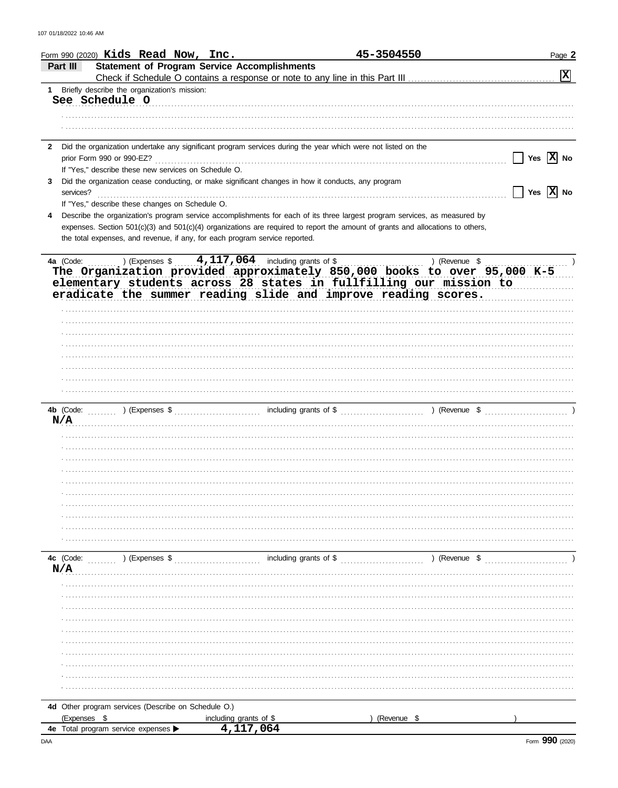|              |                           | Form 990 (2020) Kids Read Now, Inc.                                         |                        |                                                                                                              | 45-3504550                                                                                                                                                                                                                                                   | Page 2                |
|--------------|---------------------------|-----------------------------------------------------------------------------|------------------------|--------------------------------------------------------------------------------------------------------------|--------------------------------------------------------------------------------------------------------------------------------------------------------------------------------------------------------------------------------------------------------------|-----------------------|
|              | Part III                  | <b>Statement of Program Service Accomplishments</b>                         |                        |                                                                                                              |                                                                                                                                                                                                                                                              | $\boxed{\mathbf{X}}$  |
|              |                           | 1 Briefly describe the organization's mission:                              |                        |                                                                                                              |                                                                                                                                                                                                                                                              |                       |
|              | See Schedule O            |                                                                             |                        |                                                                                                              |                                                                                                                                                                                                                                                              |                       |
|              |                           |                                                                             |                        |                                                                                                              |                                                                                                                                                                                                                                                              |                       |
|              |                           |                                                                             |                        |                                                                                                              |                                                                                                                                                                                                                                                              |                       |
|              |                           |                                                                             |                        |                                                                                                              |                                                                                                                                                                                                                                                              |                       |
| $\mathbf{2}$ |                           |                                                                             |                        | Did the organization undertake any significant program services during the year which were not listed on the |                                                                                                                                                                                                                                                              |                       |
|              | prior Form 990 or 990-EZ? |                                                                             |                        |                                                                                                              |                                                                                                                                                                                                                                                              | Yes $\overline{X}$ No |
|              |                           | If "Yes," describe these new services on Schedule O.                        |                        |                                                                                                              |                                                                                                                                                                                                                                                              |                       |
| 3            |                           |                                                                             |                        | Did the organization cease conducting, or make significant changes in how it conducts, any program           |                                                                                                                                                                                                                                                              |                       |
|              | services?                 |                                                                             |                        |                                                                                                              |                                                                                                                                                                                                                                                              | Yes $\overline{X}$ No |
| 4            |                           | If "Yes," describe these changes on Schedule O.                             |                        |                                                                                                              |                                                                                                                                                                                                                                                              |                       |
|              |                           |                                                                             |                        |                                                                                                              | Describe the organization's program service accomplishments for each of its three largest program services, as measured by<br>expenses. Section 501(c)(3) and 501(c)(4) organizations are required to report the amount of grants and allocations to others, |                       |
|              |                           | the total expenses, and revenue, if any, for each program service reported. |                        |                                                                                                              |                                                                                                                                                                                                                                                              |                       |
|              |                           |                                                                             |                        |                                                                                                              |                                                                                                                                                                                                                                                              |                       |
|              |                           |                                                                             |                        | 4a (Code: ) (Expenses $$$ 4, 117, 064 including grants of \$                                                 |                                                                                                                                                                                                                                                              |                       |
|              |                           |                                                                             |                        |                                                                                                              | The Organization provided approximately 850,000 books to over 95,000 K-5                                                                                                                                                                                     |                       |
|              |                           |                                                                             |                        |                                                                                                              | elementary students across 28 states in fullfilling our mission to                                                                                                                                                                                           |                       |
|              |                           |                                                                             |                        |                                                                                                              | eradicate the summer reading slide and improve reading scores.                                                                                                                                                                                               |                       |
|              |                           |                                                                             |                        |                                                                                                              |                                                                                                                                                                                                                                                              |                       |
|              |                           |                                                                             |                        |                                                                                                              |                                                                                                                                                                                                                                                              |                       |
|              |                           |                                                                             |                        |                                                                                                              |                                                                                                                                                                                                                                                              |                       |
|              |                           |                                                                             |                        |                                                                                                              |                                                                                                                                                                                                                                                              |                       |
|              |                           |                                                                             |                        |                                                                                                              |                                                                                                                                                                                                                                                              |                       |
|              |                           |                                                                             |                        |                                                                                                              |                                                                                                                                                                                                                                                              |                       |
|              |                           |                                                                             |                        |                                                                                                              |                                                                                                                                                                                                                                                              |                       |
|              |                           |                                                                             |                        |                                                                                                              |                                                                                                                                                                                                                                                              |                       |
|              |                           |                                                                             |                        |                                                                                                              |                                                                                                                                                                                                                                                              |                       |
| N/A          |                           |                                                                             |                        |                                                                                                              |                                                                                                                                                                                                                                                              |                       |
|              |                           |                                                                             |                        |                                                                                                              |                                                                                                                                                                                                                                                              |                       |
|              |                           |                                                                             |                        |                                                                                                              |                                                                                                                                                                                                                                                              |                       |
|              |                           |                                                                             |                        |                                                                                                              |                                                                                                                                                                                                                                                              |                       |
|              |                           |                                                                             |                        |                                                                                                              |                                                                                                                                                                                                                                                              |                       |
|              |                           |                                                                             |                        |                                                                                                              |                                                                                                                                                                                                                                                              |                       |
|              |                           |                                                                             |                        |                                                                                                              |                                                                                                                                                                                                                                                              |                       |
|              |                           |                                                                             |                        |                                                                                                              |                                                                                                                                                                                                                                                              |                       |
|              |                           |                                                                             |                        |                                                                                                              |                                                                                                                                                                                                                                                              |                       |
|              |                           |                                                                             |                        |                                                                                                              |                                                                                                                                                                                                                                                              |                       |
|              |                           |                                                                             |                        |                                                                                                              |                                                                                                                                                                                                                                                              |                       |
|              |                           |                                                                             |                        |                                                                                                              |                                                                                                                                                                                                                                                              |                       |
| N/A          | 4c (Code:                 |                                                                             |                        |                                                                                                              | $(1, 1)$ (Expenses \$ $\ldots$ including grants of \$ $\ldots$ ) (Revenue \$                                                                                                                                                                                 |                       |
|              |                           |                                                                             |                        |                                                                                                              |                                                                                                                                                                                                                                                              |                       |
|              |                           |                                                                             |                        |                                                                                                              |                                                                                                                                                                                                                                                              |                       |
|              |                           |                                                                             |                        |                                                                                                              |                                                                                                                                                                                                                                                              |                       |
|              |                           |                                                                             |                        |                                                                                                              |                                                                                                                                                                                                                                                              |                       |
|              |                           |                                                                             |                        |                                                                                                              |                                                                                                                                                                                                                                                              |                       |
|              |                           |                                                                             |                        |                                                                                                              |                                                                                                                                                                                                                                                              |                       |
|              |                           |                                                                             |                        |                                                                                                              |                                                                                                                                                                                                                                                              |                       |
|              |                           |                                                                             |                        |                                                                                                              |                                                                                                                                                                                                                                                              |                       |
|              |                           |                                                                             |                        |                                                                                                              |                                                                                                                                                                                                                                                              |                       |
|              |                           |                                                                             |                        |                                                                                                              |                                                                                                                                                                                                                                                              |                       |
|              |                           |                                                                             |                        |                                                                                                              |                                                                                                                                                                                                                                                              |                       |
|              |                           | 4d Other program services (Describe on Schedule O.)                         |                        |                                                                                                              |                                                                                                                                                                                                                                                              |                       |
|              | (Expenses \$              |                                                                             | including grants of \$ |                                                                                                              | (Revenue \$                                                                                                                                                                                                                                                  |                       |
|              |                           | 4e Total program service expenses                                           | 4,117,064              |                                                                                                              |                                                                                                                                                                                                                                                              |                       |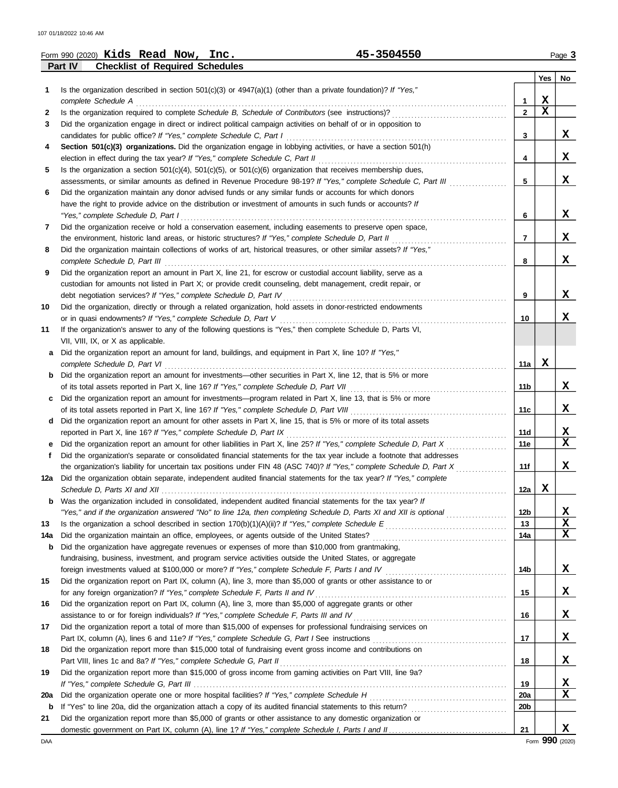|     | 45-3504550<br>Form 990 $(2020)$ Kids Read Now, Inc.                                                                                                                                                                                              |              |             | Page 3      |
|-----|--------------------------------------------------------------------------------------------------------------------------------------------------------------------------------------------------------------------------------------------------|--------------|-------------|-------------|
|     | Part IV<br><b>Checklist of Required Schedules</b>                                                                                                                                                                                                |              |             |             |
|     |                                                                                                                                                                                                                                                  |              | Yes         | No          |
| 1   | Is the organization described in section 501(c)(3) or 4947(a)(1) (other than a private foundation)? If "Yes,"                                                                                                                                    |              |             |             |
|     | complete Schedule A                                                                                                                                                                                                                              | 1            | X           |             |
| 2   | Is the organization required to complete Schedule B, Schedule of Contributors (see instructions)?                                                                                                                                                | $\mathbf{2}$ | $\mathbf x$ |             |
| 3   | Did the organization engage in direct or indirect political campaign activities on behalf of or in opposition to                                                                                                                                 |              |             |             |
|     | candidates for public office? If "Yes," complete Schedule C, Part I                                                                                                                                                                              | 3            |             | x           |
| 4   | Section 501(c)(3) organizations. Did the organization engage in lobbying activities, or have a section 501(h)                                                                                                                                    |              |             |             |
|     | election in effect during the tax year? If "Yes," complete Schedule C, Part II                                                                                                                                                                   | 4            |             | X           |
| 5   | Is the organization a section $501(c)(4)$ , $501(c)(5)$ , or $501(c)(6)$ organization that receives membership dues,<br>assessments, or similar amounts as defined in Revenue Procedure 98-19? If "Yes," complete Schedule C, Part III           |              |             | X           |
| 6   | Did the organization maintain any donor advised funds or any similar funds or accounts for which donors                                                                                                                                          | 5            |             |             |
|     | have the right to provide advice on the distribution or investment of amounts in such funds or accounts? If                                                                                                                                      |              |             |             |
|     | "Yes," complete Schedule D, Part I                                                                                                                                                                                                               | 6            |             | X           |
| 7   | Did the organization receive or hold a conservation easement, including easements to preserve open space,                                                                                                                                        |              |             |             |
|     | the environment, historic land areas, or historic structures? If "Yes," complete Schedule D, Part II                                                                                                                                             | 7            |             | X           |
| 8   | Did the organization maintain collections of works of art, historical treasures, or other similar assets? If "Yes,"                                                                                                                              |              |             |             |
|     | complete Schedule D, Part III                                                                                                                                                                                                                    | 8            |             | X           |
| 9   | Did the organization report an amount in Part X, line 21, for escrow or custodial account liability, serve as a                                                                                                                                  |              |             |             |
|     | custodian for amounts not listed in Part X; or provide credit counseling, debt management, credit repair, or                                                                                                                                     |              |             |             |
|     | debt negotiation services? If "Yes," complete Schedule D, Part IV                                                                                                                                                                                | 9            |             | X           |
| 10  | Did the organization, directly or through a related organization, hold assets in donor-restricted endowments                                                                                                                                     |              |             |             |
|     | or in quasi endowments? If "Yes," complete Schedule D, Part V                                                                                                                                                                                    | 10           |             | x           |
| 11  | If the organization's answer to any of the following questions is "Yes," then complete Schedule D, Parts VI,                                                                                                                                     |              |             |             |
|     | VII, VIII, IX, or X as applicable.                                                                                                                                                                                                               |              |             |             |
| а   | Did the organization report an amount for land, buildings, and equipment in Part X, line 10? If "Yes,"                                                                                                                                           |              |             |             |
|     | complete Schedule D, Part VI                                                                                                                                                                                                                     | 11a          | х           |             |
|     | Did the organization report an amount for investments—other securities in Part X, line 12, that is 5% or more                                                                                                                                    |              |             |             |
|     | of its total assets reported in Part X, line 16? If "Yes," complete Schedule D, Part VII                                                                                                                                                         | 11b          |             | x           |
|     | Did the organization report an amount for investments—program related in Part X, line 13, that is 5% or more                                                                                                                                     |              |             |             |
|     | of its total assets reported in Part X, line 16? If "Yes," complete Schedule D, Part VIII                                                                                                                                                        | 11c          |             | X           |
| d   | Did the organization report an amount for other assets in Part X, line 15, that is 5% or more of its total assets                                                                                                                                |              |             | X           |
|     | reported in Part X, line 16? If "Yes," complete Schedule D, Part IX                                                                                                                                                                              | 11d<br>11e   |             | X           |
| f   | Did the organization report an amount for other liabilities in Part X, line 25? If "Yes," complete Schedule D, Part X<br>Did the organization's separate or consolidated financial statements for the tax year include a footnote that addresses |              |             |             |
|     | the organization's liability for uncertain tax positions under FIN 48 (ASC 740)? If "Yes," complete Schedule D, Part X                                                                                                                           | 11f          |             | X           |
|     | Did the organization obtain separate, independent audited financial statements for the tax year? If "Yes," complete                                                                                                                              |              |             |             |
|     |                                                                                                                                                                                                                                                  | 12a          | X           |             |
| b   | Was the organization included in consolidated, independent audited financial statements for the tax year? If                                                                                                                                     |              |             |             |
|     | "Yes," and if the organization answered "No" to line 12a, then completing Schedule D, Parts XI and XII is optional                                                                                                                               | 12b          |             | X           |
| 13  |                                                                                                                                                                                                                                                  | 13           |             | $\mathbf x$ |
| 14a |                                                                                                                                                                                                                                                  | 14a          |             | X           |
| b   | Did the organization have aggregate revenues or expenses of more than \$10,000 from grantmaking,                                                                                                                                                 |              |             |             |
|     | fundraising, business, investment, and program service activities outside the United States, or aggregate                                                                                                                                        |              |             |             |
|     |                                                                                                                                                                                                                                                  | 14b          |             | X           |
| 15  | Did the organization report on Part IX, column (A), line 3, more than \$5,000 of grants or other assistance to or                                                                                                                                |              |             |             |
|     | for any foreign organization? If "Yes," complete Schedule F, Parts II and IV                                                                                                                                                                     | 15           |             | x           |
| 16  | Did the organization report on Part IX, column (A), line 3, more than \$5,000 of aggregate grants or other                                                                                                                                       |              |             |             |
|     | assistance to or for foreign individuals? If "Yes," complete Schedule F, Parts III and IV                                                                                                                                                        | 16           |             | x           |
| 17  | Did the organization report a total of more than \$15,000 of expenses for professional fundraising services on                                                                                                                                   |              |             |             |
|     |                                                                                                                                                                                                                                                  | 17           |             | X           |
| 18  | Did the organization report more than \$15,000 total of fundraising event gross income and contributions on                                                                                                                                      |              |             |             |
|     | Part VIII, lines 1c and 8a? If "Yes," complete Schedule G, Part II                                                                                                                                                                               | 18           |             | X           |
| 19  | Did the organization report more than \$15,000 of gross income from gaming activities on Part VIII, line 9a?                                                                                                                                     |              |             |             |
|     |                                                                                                                                                                                                                                                  | 19           |             | X           |
| 20a |                                                                                                                                                                                                                                                  | 20a          |             | X           |
| b   | If "Yes" to line 20a, did the organization attach a copy of its audited financial statements to this return?                                                                                                                                     | 20b          |             |             |
| 21  | Did the organization report more than \$5,000 of grants or other assistance to any domestic organization or                                                                                                                                      | 21           |             | x           |
|     |                                                                                                                                                                                                                                                  |              |             |             |

DAA Form **990** (2020) Form 990 (2020)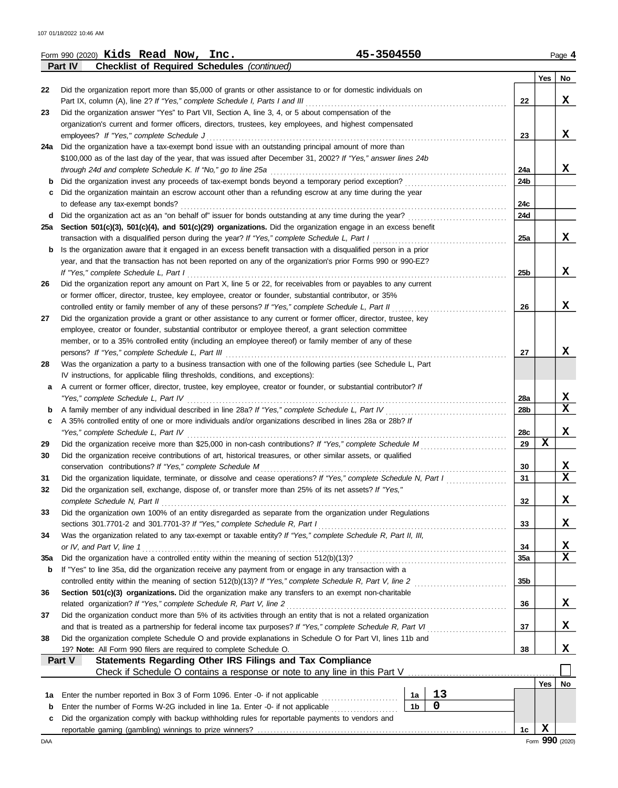|          | 45-3504550<br>Form 990 (2020) Kids Read Now, Inc.                                                                                                                                                                |                |    |                 |     | Page 4 |
|----------|------------------------------------------------------------------------------------------------------------------------------------------------------------------------------------------------------------------|----------------|----|-----------------|-----|--------|
|          | <b>Checklist of Required Schedules (continued)</b><br>Part IV                                                                                                                                                    |                |    |                 |     |        |
| 22       | Did the organization report more than \$5,000 of grants or other assistance to or for domestic individuals on                                                                                                    |                |    |                 | Yes | No     |
|          | Part IX, column (A), line 2? If "Yes," complete Schedule I, Parts I and III                                                                                                                                      |                |    | 22              |     | X      |
| 23       | Did the organization answer "Yes" to Part VII, Section A, line 3, 4, or 5 about compensation of the                                                                                                              |                |    |                 |     |        |
|          | organization's current and former officers, directors, trustees, key employees, and highest compensated                                                                                                          |                |    |                 |     |        |
|          | employees? If "Yes," complete Schedule J                                                                                                                                                                         |                |    | 23              |     | X      |
|          | 24a Did the organization have a tax-exempt bond issue with an outstanding principal amount of more than                                                                                                          |                |    |                 |     |        |
|          | \$100,000 as of the last day of the year, that was issued after December 31, 2002? If "Yes," answer lines 24b                                                                                                    |                |    |                 |     |        |
|          | through 24d and complete Schedule K. If "No," go to line 25a                                                                                                                                                     |                |    | 24a             |     | x      |
| b<br>c   | Did the organization invest any proceeds of tax-exempt bonds beyond a temporary period exception?<br>Did the organization maintain an escrow account other than a refunding escrow at any time during the year   |                |    | 24b             |     |        |
|          | to defease any tax-exempt bonds?                                                                                                                                                                                 |                |    | 24c             |     |        |
| d        | Did the organization act as an "on behalf of" issuer for bonds outstanding at any time during the year?                                                                                                          |                |    | 24d             |     |        |
| 25а      | Section 501(c)(3), 501(c)(4), and 501(c)(29) organizations. Did the organization engage in an excess benefit                                                                                                     |                |    |                 |     |        |
|          | transaction with a disqualified person during the year? If "Yes," complete Schedule L, Part I                                                                                                                    |                |    | 25a             |     | x      |
| b        | Is the organization aware that it engaged in an excess benefit transaction with a disqualified person in a prior                                                                                                 |                |    |                 |     |        |
|          | year, and that the transaction has not been reported on any of the organization's prior Forms 990 or 990-EZ?                                                                                                     |                |    |                 |     |        |
|          | If "Yes," complete Schedule L, Part I                                                                                                                                                                            |                |    | 25 <sub>b</sub> |     | X      |
| 26       | Did the organization report any amount on Part X, line 5 or 22, for receivables from or payables to any current                                                                                                  |                |    |                 |     |        |
|          | or former officer, director, trustee, key employee, creator or founder, substantial contributor, or 35%                                                                                                          |                |    |                 |     |        |
|          | controlled entity or family member of any of these persons? If "Yes," complete Schedule L, Part II                                                                                                               |                |    | 26              |     | X      |
| 27       | Did the organization provide a grant or other assistance to any current or former officer, director, trustee, key                                                                                                |                |    |                 |     |        |
|          | employee, creator or founder, substantial contributor or employee thereof, a grant selection committee<br>member, or to a 35% controlled entity (including an employee thereof) or family member of any of these |                |    |                 |     |        |
|          | persons? If "Yes," complete Schedule L, Part III                                                                                                                                                                 |                |    | 27              |     | x      |
| 28       | Was the organization a party to a business transaction with one of the following parties (see Schedule L, Part                                                                                                   |                |    |                 |     |        |
|          | IV instructions, for applicable filing thresholds, conditions, and exceptions):                                                                                                                                  |                |    |                 |     |        |
| а        | A current or former officer, director, trustee, key employee, creator or founder, or substantial contributor? If                                                                                                 |                |    |                 |     |        |
|          | "Yes," complete Schedule L, Part IV                                                                                                                                                                              |                |    | 28a             |     | X      |
| b        | A family member of any individual described in line 28a? If "Yes," complete Schedule L, Part IV                                                                                                                  |                |    | 28b             |     | x      |
| c        | A 35% controlled entity of one or more individuals and/or organizations described in lines 28a or 28b? If                                                                                                        |                |    |                 |     |        |
|          | "Yes," complete Schedule L, Part IV                                                                                                                                                                              |                |    | 28c             |     | X      |
| 29       | Did the organization receive more than \$25,000 in non-cash contributions? If "Yes," complete Schedule M                                                                                                         |                |    | 29              | X   |        |
| 30       | Did the organization receive contributions of art, historical treasures, or other similar assets, or qualified                                                                                                   |                |    |                 |     |        |
|          | conservation contributions? If "Yes," complete Schedule M<br>Did the organization liquidate, terminate, or dissolve and cease operations? If "Yes," complete Schedule N, Part I                                  |                |    | 30<br>31        |     | X<br>X |
| 31<br>32 | Did the organization sell, exchange, dispose of, or transfer more than 25% of its net assets? If "Yes,"                                                                                                          |                |    |                 |     |        |
|          | complete Schedule N, Part II                                                                                                                                                                                     |                |    | 32              |     | X      |
| 33       | Did the organization own 100% of an entity disregarded as separate from the organization under Regulations                                                                                                       |                |    |                 |     |        |
|          |                                                                                                                                                                                                                  |                |    | 33              |     | X      |
| 34       | Was the organization related to any tax-exempt or taxable entity? If "Yes," complete Schedule R, Part II, III,                                                                                                   |                |    |                 |     |        |
|          | or IV, and Part V, line 1                                                                                                                                                                                        |                |    | 34              |     | X      |
| 35a      |                                                                                                                                                                                                                  |                |    | 35a             |     | X      |
| b        | If "Yes" to line 35a, did the organization receive any payment from or engage in any transaction with a                                                                                                          |                |    |                 |     |        |
|          | controlled entity within the meaning of section 512(b)(13)? If "Yes," complete Schedule R, Part V, line 2                                                                                                        |                |    | 35b             |     |        |
| 36       | Section 501(c)(3) organizations. Did the organization make any transfers to an exempt non-charitable                                                                                                             |                |    |                 |     |        |
|          | related organization? If "Yes," complete Schedule R, Part V, line 2                                                                                                                                              |                |    | 36              |     | X      |
| 37       | Did the organization conduct more than 5% of its activities through an entity that is not a related organization                                                                                                 |                |    |                 |     |        |
|          | and that is treated as a partnership for federal income tax purposes? If "Yes," complete Schedule R, Part VI                                                                                                     |                |    | 37              |     | x      |
| 38       | Did the organization complete Schedule O and provide explanations in Schedule O for Part VI, lines 11b and<br>19? Note: All Form 990 filers are required to complete Schedule O.                                 |                |    | 38              |     | x      |
|          | Statements Regarding Other IRS Filings and Tax Compliance<br>Part V                                                                                                                                              |                |    |                 |     |        |
|          | Check if Schedule O contains a response or note to any line in this Part V                                                                                                                                       |                |    |                 |     |        |
|          |                                                                                                                                                                                                                  |                |    |                 | Yes | No     |
| 1а       | Enter the number reported in Box 3 of Form 1096. Enter -0- if not applicable                                                                                                                                     | 1a             | 13 |                 |     |        |
| b        | Enter the number of Forms W-2G included in line 1a. Enter -0- if not applicable                                                                                                                                  | 1 <sub>b</sub> | 0  |                 |     |        |
| с        | Did the organization comply with backup withholding rules for reportable payments to vendors and                                                                                                                 |                |    |                 |     |        |
|          |                                                                                                                                                                                                                  |                |    | 1c              | X   |        |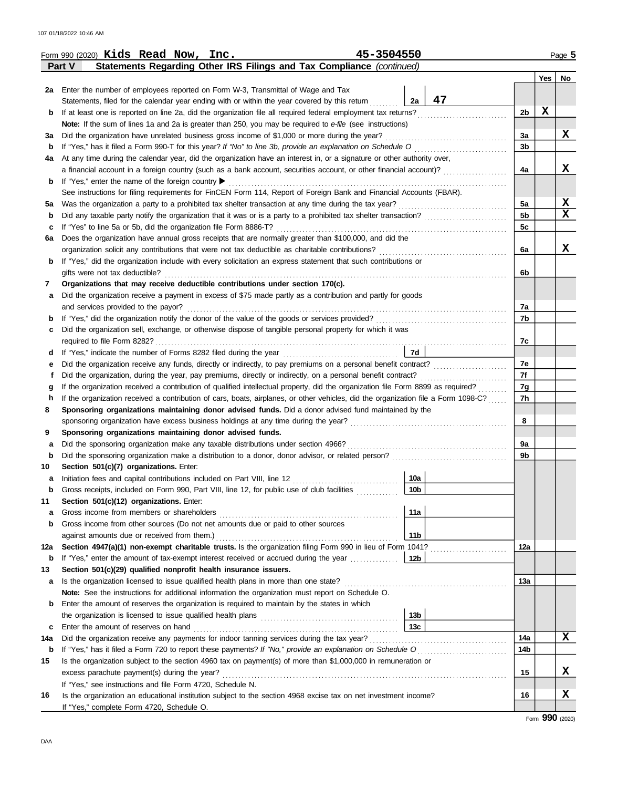|             | 45-3504550<br>Form 990 (2020) Kids Read Now, Inc.                                                                                  |                |     | Page 5      |
|-------------|------------------------------------------------------------------------------------------------------------------------------------|----------------|-----|-------------|
|             | Statements Regarding Other IRS Filings and Tax Compliance (continued)<br>Part V                                                    |                |     |             |
|             |                                                                                                                                    |                | Yes | No          |
|             | 2a Enter the number of employees reported on Form W-3, Transmittal of Wage and Tax                                                 |                |     |             |
|             | 47<br>2a<br>Statements, filed for the calendar year ending with or within the year covered by this return                          |                |     |             |
| b           | If at least one is reported on line 2a, did the organization file all required federal employment tax returns?                     | 2 <sub>b</sub> | X   |             |
|             | <b>Note:</b> If the sum of lines 1a and 2a is greater than 250, you may be required to e-file (see instructions)                   |                |     |             |
| за          | Did the organization have unrelated business gross income of \$1,000 or more during the year?                                      | За             |     | X           |
| b           | If "Yes," has it filed a Form 990-T for this year? If "No" to line 3b, provide an explanation on Schedule O consequences           | 3 <sub>b</sub> |     |             |
| 4a          | At any time during the calendar year, did the organization have an interest in, or a signature or other authority over,            |                |     |             |
|             | a financial account in a foreign country (such as a bank account, securities account, or other financial account)?                 | 4a             |     | х           |
| b           | If "Yes," enter the name of the foreign country ▶                                                                                  |                |     |             |
|             | See instructions for filing requirements for FinCEN Form 114, Report of Foreign Bank and Financial Accounts (FBAR).                |                |     |             |
| 5а          |                                                                                                                                    | 5a             |     | x           |
| b           |                                                                                                                                    | 5 <sub>b</sub> |     | $\mathbf x$ |
| c           | If "Yes" to line 5a or 5b, did the organization file Form 8886-T?                                                                  | 5c             |     |             |
| 6а          | Does the organization have annual gross receipts that are normally greater than \$100,000, and did the                             |                |     |             |
|             |                                                                                                                                    | 6a             |     | X           |
| b           | If "Yes," did the organization include with every solicitation an express statement that such contributions or                     |                |     |             |
|             | gifts were not tax deductible?                                                                                                     | 6b             |     |             |
| 7           | Organizations that may receive deductible contributions under section 170(c).                                                      |                |     |             |
| a           | Did the organization receive a payment in excess of \$75 made partly as a contribution and partly for goods                        |                |     |             |
|             | and services provided to the payor?                                                                                                | 7a             |     |             |
| b           |                                                                                                                                    | 7b             |     |             |
| c           | Did the organization sell, exchange, or otherwise dispose of tangible personal property for which it was                           |                |     |             |
|             |                                                                                                                                    | 7c             |     |             |
| d           | 7d                                                                                                                                 |                |     |             |
| е           | Did the organization receive any funds, directly or indirectly, to pay premiums on a personal benefit contract?                    | 7e             |     |             |
| f           | Did the organization, during the year, pay premiums, directly or indirectly, on a personal benefit contract?                       | 7f             |     |             |
| g           |                                                                                                                                    | 7g             |     |             |
| h           | If the organization received a contribution of cars, boats, airplanes, or other vehicles, did the organization file a Form 1098-C? | 7h             |     |             |
| 8           | Sponsoring organizations maintaining donor advised funds. Did a donor advised fund maintained by the                               |                |     |             |
|             |                                                                                                                                    | 8              |     |             |
| 9           | Sponsoring organizations maintaining donor advised funds.                                                                          |                |     |             |
| a           |                                                                                                                                    | 9а             |     |             |
| $\mathbf b$ | Did the sponsoring organization make a distribution to a donor, donor advisor, or related person?                                  | 9b             |     |             |
| 10          | Section 501(c)(7) organizations. Enter:                                                                                            |                |     |             |
| а           | 10a<br>Initiation fees and capital contributions included on Part VIII, line 12                                                    |                |     |             |
| b           | 10 <sub>b</sub><br>Gross receipts, included on Form 990, Part VIII, line 12, for public use of club facilities                     |                |     |             |
| 11          | Section 501(c)(12) organizations. Enter:                                                                                           |                |     |             |
| a           | 11a<br>Gross income from members or shareholders                                                                                   |                |     |             |
| b           | Gross income from other sources (Do not net amounts due or paid to other sources                                                   |                |     |             |
|             | 11 <sub>b</sub><br>against amounts due or received from them.)                                                                     |                |     |             |
| 12a         | Section 4947(a)(1) non-exempt charitable trusts. Is the organization filing Form 990 in lieu of Form 1041?                         | 12a            |     |             |
| b           | If "Yes," enter the amount of tax-exempt interest received or accrued during the year<br>12b                                       |                |     |             |
| 13          | Section 501(c)(29) qualified nonprofit health insurance issuers.                                                                   |                |     |             |
| a           | Is the organization licensed to issue qualified health plans in more than one state?                                               | 13a            |     |             |
|             | Note: See the instructions for additional information the organization must report on Schedule O.                                  |                |     |             |
| b           | Enter the amount of reserves the organization is required to maintain by the states in which                                       |                |     |             |
|             | 13 <sub>b</sub>                                                                                                                    |                |     |             |
| c           | 13c<br>Enter the amount of reserves on hand                                                                                        |                |     |             |
| 14a         | Did the organization receive any payments for indoor tanning services during the tax year?                                         | 14a            |     | X           |
| $\mathbf b$ | If "Yes," has it filed a Form 720 to report these payments? If "No," provide an explanation on Schedule O                          | 14b            |     |             |
| 15          | Is the organization subject to the section 4960 tax on payment(s) of more than \$1,000,000 in remuneration or                      |                |     |             |
|             | excess parachute payment(s) during the year?                                                                                       | 15             |     | x           |
|             | If "Yes," see instructions and file Form 4720, Schedule N.                                                                         |                |     |             |
| 16          | Is the organization an educational institution subject to the section 4968 excise tax on net investment income?                    | 16             |     | X           |
|             | If "Yes," complete Form 4720, Schedule O.                                                                                          |                |     |             |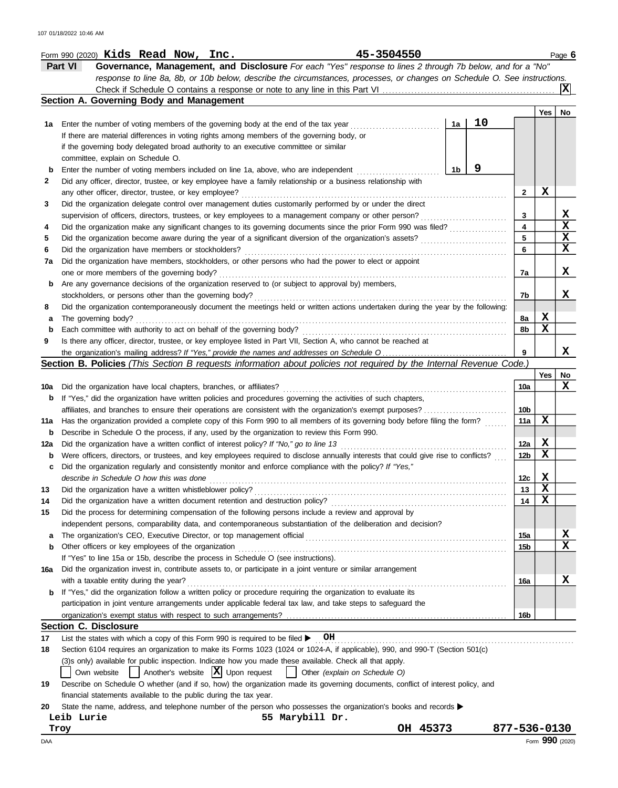| Form 990 (2020) <b>Kids</b> | Read | <b>Now</b> | Inc. | 3504550<br>л с<br>-- | Page ( |
|-----------------------------|------|------------|------|----------------------|--------|
|                             |      |            |      |                      |        |

**Part VI Governance, Management, and Disclosure** *For each "Yes" response to lines 2 through 7b below, and for a "No" response to line 8a, 8b, or 10b below, describe the circumstances, processes, or changes on Schedule O. See instructions.* Check if Schedule O contains a response or note to any line in this Part VI **X**

|                                                                                                               | Section A. Governing Body and Management                                                                                            |    |    |                 |        |                  |  |  |  |
|---------------------------------------------------------------------------------------------------------------|-------------------------------------------------------------------------------------------------------------------------------------|----|----|-----------------|--------|------------------|--|--|--|
|                                                                                                               |                                                                                                                                     |    |    |                 | Yes    | No               |  |  |  |
| 1а                                                                                                            | Enter the number of voting members of the governing body at the end of the tax year                                                 | 1a | 10 |                 |        |                  |  |  |  |
|                                                                                                               | If there are material differences in voting rights among members of the governing body, or                                          |    |    |                 |        |                  |  |  |  |
|                                                                                                               | if the governing body delegated broad authority to an executive committee or similar                                                |    |    |                 |        |                  |  |  |  |
|                                                                                                               | committee, explain on Schedule O.                                                                                                   |    |    |                 |        |                  |  |  |  |
| b                                                                                                             | Enter the number of voting members included on line 1a, above, who are independent                                                  | 1b | 9  |                 |        |                  |  |  |  |
| 2                                                                                                             | Did any officer, director, trustee, or key employee have a family relationship or a business relationship with                      |    |    |                 |        |                  |  |  |  |
|                                                                                                               | any other officer, director, trustee, or key employee?                                                                              |    |    | 2               | х      |                  |  |  |  |
| 3                                                                                                             | Did the organization delegate control over management duties customarily performed by or under the direct                           |    |    |                 |        |                  |  |  |  |
|                                                                                                               | supervision of officers, directors, trustees, or key employees to a management company or other person?                             |    |    | 3               |        | x                |  |  |  |
| 4                                                                                                             | Did the organization make any significant changes to its governing documents since the prior Form 990 was filed?                    |    |    | 4<br>5          |        | $\mathbf x$<br>X |  |  |  |
| 5                                                                                                             |                                                                                                                                     |    |    |                 |        |                  |  |  |  |
| 6                                                                                                             | Did the organization have members or stockholders?                                                                                  |    |    | 6               |        | $\mathbf x$      |  |  |  |
| 7а                                                                                                            | Did the organization have members, stockholders, or other persons who had the power to elect or appoint                             |    |    |                 |        |                  |  |  |  |
|                                                                                                               | one or more members of the governing body?                                                                                          |    |    | 7а              |        | X                |  |  |  |
| b                                                                                                             | Are any governance decisions of the organization reserved to (or subject to approval by) members,                                   |    |    |                 |        |                  |  |  |  |
|                                                                                                               | stockholders, or persons other than the governing body?                                                                             |    |    | 7b              |        | X.               |  |  |  |
| 8                                                                                                             | Did the organization contemporaneously document the meetings held or written actions undertaken during the year by the following:   |    |    |                 |        |                  |  |  |  |
| а                                                                                                             | The governing body?                                                                                                                 |    |    | 8а<br>8b        | X<br>x |                  |  |  |  |
| b                                                                                                             |                                                                                                                                     |    |    |                 |        |                  |  |  |  |
| 9                                                                                                             | Is there any officer, director, trustee, or key employee listed in Part VII, Section A, who cannot be reached at                    |    |    |                 |        | X                |  |  |  |
|                                                                                                               | Section B. Policies (This Section B requests information about policies not required by the Internal Revenue Code.)                 |    |    | 9               |        |                  |  |  |  |
|                                                                                                               |                                                                                                                                     |    |    |                 | Yes    | No               |  |  |  |
| 10a                                                                                                           | Did the organization have local chapters, branches, or affiliates?                                                                  |    |    | 10a             |        | x                |  |  |  |
| b                                                                                                             | If "Yes," did the organization have written policies and procedures governing the activities of such chapters,                      |    |    |                 |        |                  |  |  |  |
|                                                                                                               | affiliates, and branches to ensure their operations are consistent with the organization's exempt purposes?                         |    |    | 10b             |        |                  |  |  |  |
| 11a                                                                                                           | Has the organization provided a complete copy of this Form 990 to all members of its governing body before filing the form?         |    |    | 11a             | x      |                  |  |  |  |
| b                                                                                                             | Describe in Schedule O the process, if any, used by the organization to review this Form 990.                                       |    |    |                 |        |                  |  |  |  |
| 12a                                                                                                           | Did the organization have a written conflict of interest policy? If "No," go to line 13                                             |    |    | 12a             | X      |                  |  |  |  |
| b                                                                                                             | Were officers, directors, or trustees, and key employees required to disclose annually interests that could give rise to conflicts? |    |    | 12 <sub>b</sub> | х      |                  |  |  |  |
| c                                                                                                             | Did the organization regularly and consistently monitor and enforce compliance with the policy? If "Yes,"                           |    |    |                 |        |                  |  |  |  |
|                                                                                                               | describe in Schedule O how this was done                                                                                            |    |    | 12c             | x      |                  |  |  |  |
| 13                                                                                                            | Did the organization have a written whistleblower policy?                                                                           |    |    | 13              | х      |                  |  |  |  |
| 14                                                                                                            | Did the organization have a written document retention and destruction policy?                                                      |    |    | 14              | X      |                  |  |  |  |
| 15                                                                                                            | Did the process for determining compensation of the following persons include a review and approval by                              |    |    |                 |        |                  |  |  |  |
|                                                                                                               | independent persons, comparability data, and contemporaneous substantiation of the deliberation and decision?                       |    |    |                 |        |                  |  |  |  |
| а                                                                                                             |                                                                                                                                     |    |    | 15a             |        | X                |  |  |  |
| b                                                                                                             | Other officers or key employees of the organization                                                                                 |    |    | 15b             |        | x                |  |  |  |
|                                                                                                               | If "Yes" to line 15a or 15b, describe the process in Schedule O (see instructions).                                                 |    |    |                 |        |                  |  |  |  |
| 16a                                                                                                           | Did the organization invest in, contribute assets to, or participate in a joint venture or similar arrangement                      |    |    |                 |        | X                |  |  |  |
| with a taxable entity during the year?                                                                        |                                                                                                                                     |    |    |                 |        |                  |  |  |  |
| b                                                                                                             | If "Yes," did the organization follow a written policy or procedure requiring the organization to evaluate its                      |    |    |                 |        |                  |  |  |  |
| participation in joint venture arrangements under applicable federal tax law, and take steps to safeguard the |                                                                                                                                     |    |    |                 |        |                  |  |  |  |
|                                                                                                               |                                                                                                                                     |    |    | 16b             |        |                  |  |  |  |
|                                                                                                               | Section C. Disclosure                                                                                                               |    |    |                 |        |                  |  |  |  |
| 17                                                                                                            | List the states with which a copy of this Form 990 is required to be filed $\blacktriangleright$ OH                                 |    |    |                 |        |                  |  |  |  |
| 18                                                                                                            | Section 6104 requires an organization to make its Forms 1023 (1024 or 1024-A, if applicable), 990, and 990-T (Section 501(c)        |    |    |                 |        |                  |  |  |  |
|                                                                                                               | (3)s only) available for public inspection. Indicate how you made these available. Check all that apply.                            |    |    |                 |        |                  |  |  |  |
|                                                                                                               | Other (explain on Schedule O)<br>$\vert$ Another's website $\vert X \vert$ Upon request<br>Own website                              |    |    |                 |        |                  |  |  |  |
| 19                                                                                                            | Describe on Schedule O whether (and if so, how) the organization made its governing documents, conflict of interest policy, and     |    |    |                 |        |                  |  |  |  |

```
Troy OH 45373 877-536-0130
```
**<sup>20</sup>** financial statements available to the public during the tax year.

State the name, address, and telephone number of the person who possesses the organization's books and records  $\blacktriangleright$ **Leib Lurie 55 Marybill Dr.**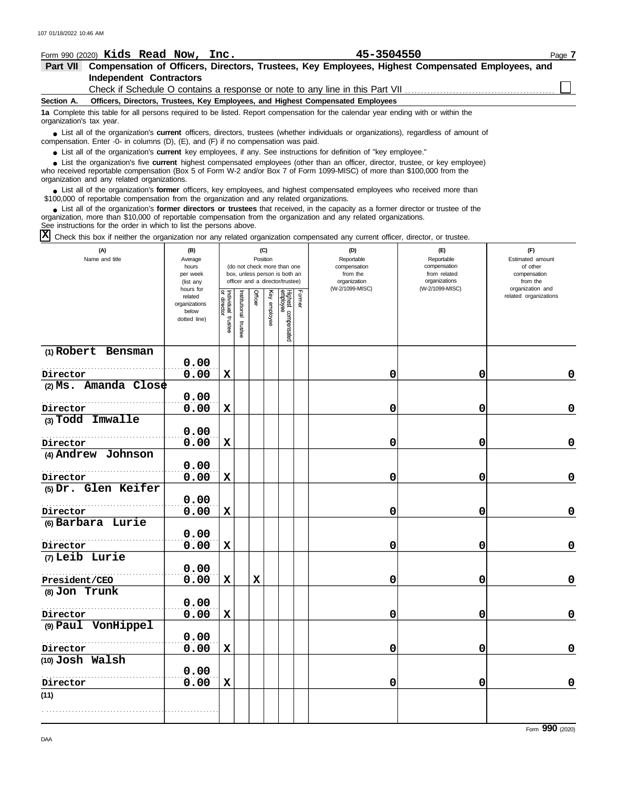|                          | Form 990 (2020) Kids Read Now, Inc. |  | 45-3504550                                                                                                                                                                                                                          | Page 7 |
|--------------------------|-------------------------------------|--|-------------------------------------------------------------------------------------------------------------------------------------------------------------------------------------------------------------------------------------|--------|
| <b>Part VII</b>          |                                     |  | Compensation of Officers, Directors, Trustees, Key Employees, Highest Compensated Employees, and                                                                                                                                    |        |
|                          | <b>Independent Contractors</b>      |  |                                                                                                                                                                                                                                     |        |
|                          |                                     |  | Check if Schedule O contains a response or note to any line in this Part VII                                                                                                                                                        |        |
| Section A.               |                                     |  | Officers, Directors, Trustees, Key Employees, and Highest Compensated Employees                                                                                                                                                     |        |
| organization's tax year. |                                     |  | 1a Complete this table for all persons required to be listed. Report compensation for the calendar year ending with or within the                                                                                                   |        |
|                          |                                     |  | • List all of the organization's current officers, directors, trustees (whether individuals or organizations), regardless of amount of<br>compensation. Enter -0- in columns $(D)$ , $(E)$ , and $(F)$ if no compensation was paid. |        |

● List all of the organization's **current** key employees, if any. See instructions for definition of "key employee."

who received reportable compensation (Box 5 of Form W-2 and/or Box 7 of Form 1099-MISC) of more than \$100,000 from the organization and any related organizations. ■ List the organization's five **current** highest compensated employees (other than an officer, director, trustee, or key employee)<br> **•** Preceived reportable compensation (Box 5 of Form W.2 and/or Box 7 of Form 1000 MISC)

● List all of the organization's **former** officers, key employees, and highest compensated employees who received more than<br> **•** 00.000 of reportable compensation from the ergonization and any related ergonizations \$100,000 of reportable compensation from the organization and any related organizations.

List all of the organization's **former directors or trustees** that received, in the capacity as a former director or trustee of the ● List all of the organization's former directors or trustees that received, in the capacity as a former director organization, more than \$10,000 of reportable compensation from the organization and any related organizati See instructions for the order in which to list the persons above.

 $\overline{X}$  Check this box if neither the organization nor any related organization compensated any current officer, director, or trustee.

| (A)<br>Name and title            | (B)<br>Average<br>hours<br>per week<br>(list any<br>hours for |                                   |                      | (C)<br>Position |                 | (do not check more than one<br>box, unless person is both an<br>officer and a director/trustee) |        | (D)<br>Reportable<br>compensation<br>from the<br>organization<br>(W-2/1099-MISC) | $(\mathsf{E})$<br>Reportable<br>compensation<br>from related<br>organizations<br>(W-2/1099-MISC) | (F)<br>Estimated amount<br>of other<br>compensation<br>from the<br>organization and |
|----------------------------------|---------------------------------------------------------------|-----------------------------------|----------------------|-----------------|-----------------|-------------------------------------------------------------------------------------------------|--------|----------------------------------------------------------------------------------|--------------------------------------------------------------------------------------------------|-------------------------------------------------------------------------------------|
|                                  | related<br>organizations<br>below<br>dotted line)             | Individual trustee<br>or director | nstitutional trustee | Officer         | Ķey<br>enployee | Highest compensated<br>employee                                                                 | Former |                                                                                  |                                                                                                  | related organizations                                                               |
| (1) Robert Bensman               |                                                               |                                   |                      |                 |                 |                                                                                                 |        |                                                                                  |                                                                                                  |                                                                                     |
|                                  | 0.00<br>0.00                                                  |                                   |                      |                 |                 |                                                                                                 |        |                                                                                  |                                                                                                  | $\mathbf 0$                                                                         |
| Director<br>(2) Ms. Amanda Close |                                                               | $\mathbf x$                       |                      |                 |                 |                                                                                                 |        | 0                                                                                | 0                                                                                                |                                                                                     |
|                                  | 0.00                                                          |                                   |                      |                 |                 |                                                                                                 |        |                                                                                  |                                                                                                  |                                                                                     |
| Director                         | 0.00                                                          | $\mathbf x$                       |                      |                 |                 |                                                                                                 |        | 0                                                                                | 0                                                                                                | $\pmb{0}$                                                                           |
| (3) Todd Imwalle                 |                                                               |                                   |                      |                 |                 |                                                                                                 |        |                                                                                  |                                                                                                  |                                                                                     |
|                                  | 0.00                                                          |                                   |                      |                 |                 |                                                                                                 |        |                                                                                  |                                                                                                  |                                                                                     |
| Director                         | 0.00                                                          | $\mathbf x$                       |                      |                 |                 |                                                                                                 |        | 0                                                                                | 0                                                                                                | $\mathbf 0$                                                                         |
| (4) Andrew Johnson               |                                                               |                                   |                      |                 |                 |                                                                                                 |        |                                                                                  |                                                                                                  |                                                                                     |
|                                  | 0.00                                                          |                                   |                      |                 |                 |                                                                                                 |        |                                                                                  |                                                                                                  |                                                                                     |
| Director                         | 0.00                                                          | $\mathbf x$                       |                      |                 |                 |                                                                                                 |        | 0                                                                                | 0                                                                                                | $\pmb{0}$                                                                           |
| (5) Dr. Glen Keifer              |                                                               |                                   |                      |                 |                 |                                                                                                 |        |                                                                                  |                                                                                                  |                                                                                     |
|                                  | 0.00<br>0.00                                                  | $\mathbf x$                       |                      |                 |                 |                                                                                                 |        | 0                                                                                | 0                                                                                                | $\mathbf 0$                                                                         |
| Director<br>(6) Barbara Lurie    |                                                               |                                   |                      |                 |                 |                                                                                                 |        |                                                                                  |                                                                                                  |                                                                                     |
|                                  | 0.00                                                          |                                   |                      |                 |                 |                                                                                                 |        |                                                                                  |                                                                                                  |                                                                                     |
| Director                         | 0.00                                                          | $\mathbf x$                       |                      |                 |                 |                                                                                                 |        | 0                                                                                | 0                                                                                                | $\mathbf 0$                                                                         |
| (7) Leib Lurie                   |                                                               |                                   |                      |                 |                 |                                                                                                 |        |                                                                                  |                                                                                                  |                                                                                     |
|                                  | 0.00                                                          |                                   |                      |                 |                 |                                                                                                 |        |                                                                                  |                                                                                                  |                                                                                     |
| President/CEO                    | 0.00                                                          | $\mathbf x$                       |                      | $\mathbf x$     |                 |                                                                                                 |        | 0                                                                                | 0                                                                                                | $\mathbf 0$                                                                         |
| (8) Jon Trunk                    |                                                               |                                   |                      |                 |                 |                                                                                                 |        |                                                                                  |                                                                                                  |                                                                                     |
|                                  | 0.00                                                          |                                   |                      |                 |                 |                                                                                                 |        |                                                                                  |                                                                                                  |                                                                                     |
| Director                         | 0.00                                                          | $\mathbf x$                       |                      |                 |                 |                                                                                                 |        | 0                                                                                | 0                                                                                                | $\pmb{0}$                                                                           |
| (9) Paul VonHippel               |                                                               |                                   |                      |                 |                 |                                                                                                 |        |                                                                                  |                                                                                                  |                                                                                     |
|                                  | 0.00                                                          |                                   |                      |                 |                 |                                                                                                 |        |                                                                                  |                                                                                                  |                                                                                     |
| Director                         | 0.00                                                          | $\mathbf x$                       |                      |                 |                 |                                                                                                 |        | 0                                                                                | 0                                                                                                | $\mathbf 0$                                                                         |
| (10) Josh Walsh                  |                                                               |                                   |                      |                 |                 |                                                                                                 |        |                                                                                  |                                                                                                  |                                                                                     |
|                                  | 0.00                                                          |                                   |                      |                 |                 |                                                                                                 |        |                                                                                  |                                                                                                  |                                                                                     |
| Director                         | 0.00                                                          | $\mathbf x$                       |                      |                 |                 |                                                                                                 |        | 0                                                                                | 0                                                                                                | $\mathbf 0$                                                                         |
| (11)                             |                                                               |                                   |                      |                 |                 |                                                                                                 |        |                                                                                  |                                                                                                  |                                                                                     |
|                                  |                                                               |                                   |                      |                 |                 |                                                                                                 |        |                                                                                  |                                                                                                  |                                                                                     |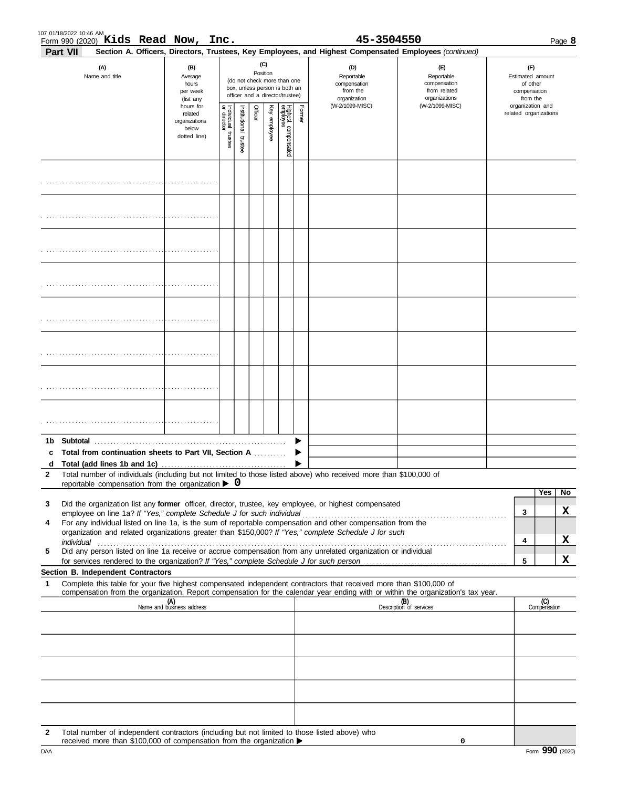| 107 01/18/2022 10:46 AM                       |      |                 |      |
|-----------------------------------------------|------|-----------------|------|
| Kids<br><b>Now</b><br>Form 990 (2020)<br>Read | Inc. | 3504550<br>45–. | Page |

|               | Part VII<br>Section A. Officers, Directors, Trustees, Key Employees, and Highest Compensated Employees (continued)                                                                                                                                                                                                                                                                                                                                     |                                                                                                                                                                                                                                                 |  |  |                 |  |                                                                                                 |  |                                                               |                                                                               |  |                                                                 |                     |         |
|---------------|--------------------------------------------------------------------------------------------------------------------------------------------------------------------------------------------------------------------------------------------------------------------------------------------------------------------------------------------------------------------------------------------------------------------------------------------------------|-------------------------------------------------------------------------------------------------------------------------------------------------------------------------------------------------------------------------------------------------|--|--|-----------------|--|-------------------------------------------------------------------------------------------------|--|---------------------------------------------------------------|-------------------------------------------------------------------------------|--|-----------------------------------------------------------------|---------------------|---------|
|               | (A)<br>Name and title                                                                                                                                                                                                                                                                                                                                                                                                                                  | (B)<br>Average<br>hours<br>per week<br>(list any                                                                                                                                                                                                |  |  | (C)<br>Position |  | (do not check more than one<br>box, unless person is both an<br>officer and a director/trustee) |  | (D)<br>Reportable<br>compensation<br>from the<br>organization | $(\mathsf{F})$<br>Reportable<br>compensation<br>from related<br>organizations |  | (F)<br>Estimated amount<br>of other<br>compensation<br>from the |                     |         |
|               |                                                                                                                                                                                                                                                                                                                                                                                                                                                        | (W-2/1099-MISC)<br>(W-2/1099-MISC)<br>hours for<br>Former<br>Individual<br>or director<br>Highest compensated<br>employee<br>Officer<br>Key employee<br>hstitutional<br>related<br>organizations<br>below<br>trustee<br>dotted line)<br>trustee |  |  |                 |  |                                                                                                 |  | organization and                                              | related organizations                                                         |  |                                                                 |                     |         |
|               |                                                                                                                                                                                                                                                                                                                                                                                                                                                        |                                                                                                                                                                                                                                                 |  |  |                 |  |                                                                                                 |  |                                                               |                                                                               |  |                                                                 |                     |         |
|               |                                                                                                                                                                                                                                                                                                                                                                                                                                                        |                                                                                                                                                                                                                                                 |  |  |                 |  |                                                                                                 |  |                                                               |                                                                               |  |                                                                 |                     |         |
|               |                                                                                                                                                                                                                                                                                                                                                                                                                                                        |                                                                                                                                                                                                                                                 |  |  |                 |  |                                                                                                 |  |                                                               |                                                                               |  |                                                                 |                     |         |
|               |                                                                                                                                                                                                                                                                                                                                                                                                                                                        |                                                                                                                                                                                                                                                 |  |  |                 |  |                                                                                                 |  |                                                               |                                                                               |  |                                                                 |                     |         |
|               |                                                                                                                                                                                                                                                                                                                                                                                                                                                        |                                                                                                                                                                                                                                                 |  |  |                 |  |                                                                                                 |  |                                                               |                                                                               |  |                                                                 |                     |         |
|               |                                                                                                                                                                                                                                                                                                                                                                                                                                                        |                                                                                                                                                                                                                                                 |  |  |                 |  |                                                                                                 |  |                                                               |                                                                               |  |                                                                 |                     |         |
|               |                                                                                                                                                                                                                                                                                                                                                                                                                                                        |                                                                                                                                                                                                                                                 |  |  |                 |  |                                                                                                 |  |                                                               |                                                                               |  |                                                                 |                     |         |
|               |                                                                                                                                                                                                                                                                                                                                                                                                                                                        |                                                                                                                                                                                                                                                 |  |  |                 |  |                                                                                                 |  |                                                               |                                                                               |  |                                                                 |                     |         |
| 1b.<br>c<br>d | Total from continuation sheets to Part VII, Section A                                                                                                                                                                                                                                                                                                                                                                                                  |                                                                                                                                                                                                                                                 |  |  |                 |  |                                                                                                 |  |                                                               |                                                                               |  |                                                                 |                     |         |
|               | Total number of individuals (including but not limited to those listed above) who received more than \$100,000 of<br>reportable compensation from the organization $\triangleright$ 0                                                                                                                                                                                                                                                                  |                                                                                                                                                                                                                                                 |  |  |                 |  |                                                                                                 |  |                                                               |                                                                               |  |                                                                 |                     |         |
| 3             | Did the organization list any former officer, director, trustee, key employee, or highest compensated<br>employee on line 1a? If "Yes," complete Schedule J for such individual                                                                                                                                                                                                                                                                        |                                                                                                                                                                                                                                                 |  |  |                 |  |                                                                                                 |  |                                                               |                                                                               |  | 3                                                               | Yes                 | No<br>X |
| 4             | For any individual listed on line 1a, is the sum of reportable compensation and other compensation from the<br>organization and related organizations greater than \$150,000? If "Yes," complete Schedule J for such<br>individual with a construction of the construction of the construction of the construction of the construction of the construction of the construction of the construction of the construction of the construction of the cons |                                                                                                                                                                                                                                                 |  |  |                 |  |                                                                                                 |  |                                                               |                                                                               |  | 4                                                               |                     | X       |
| 5             | Did any person listed on line 1a receive or accrue compensation from any unrelated organization or individual<br>for services rendered to the organization? If "Yes," complete Schedule J for such person                                                                                                                                                                                                                                              |                                                                                                                                                                                                                                                 |  |  |                 |  |                                                                                                 |  |                                                               |                                                                               |  | 5                                                               |                     | x       |
|               | Section B. Independent Contractors                                                                                                                                                                                                                                                                                                                                                                                                                     |                                                                                                                                                                                                                                                 |  |  |                 |  |                                                                                                 |  |                                                               |                                                                               |  |                                                                 |                     |         |
| 1             | Complete this table for your five highest compensated independent contractors that received more than \$100,000 of<br>compensation from the organization. Report compensation for the calendar year ending with or within the organization's tax year.                                                                                                                                                                                                 |                                                                                                                                                                                                                                                 |  |  |                 |  |                                                                                                 |  |                                                               |                                                                               |  |                                                                 |                     |         |
|               |                                                                                                                                                                                                                                                                                                                                                                                                                                                        | (A)<br>Name and business address                                                                                                                                                                                                                |  |  |                 |  |                                                                                                 |  |                                                               | (B)<br>Description of services                                                |  |                                                                 | (C)<br>Compensation |         |
|               |                                                                                                                                                                                                                                                                                                                                                                                                                                                        |                                                                                                                                                                                                                                                 |  |  |                 |  |                                                                                                 |  |                                                               |                                                                               |  |                                                                 |                     |         |
|               |                                                                                                                                                                                                                                                                                                                                                                                                                                                        |                                                                                                                                                                                                                                                 |  |  |                 |  |                                                                                                 |  |                                                               |                                                                               |  |                                                                 |                     |         |
|               |                                                                                                                                                                                                                                                                                                                                                                                                                                                        |                                                                                                                                                                                                                                                 |  |  |                 |  |                                                                                                 |  |                                                               |                                                                               |  |                                                                 |                     |         |
|               |                                                                                                                                                                                                                                                                                                                                                                                                                                                        |                                                                                                                                                                                                                                                 |  |  |                 |  |                                                                                                 |  |                                                               |                                                                               |  |                                                                 |                     |         |
| 2             | Total number of independent contractors (including but not limited to those listed above) who<br>received more than \$100,000 of compensation from the organization ▶                                                                                                                                                                                                                                                                                  |                                                                                                                                                                                                                                                 |  |  |                 |  |                                                                                                 |  |                                                               | 0                                                                             |  |                                                                 |                     |         |

**0**

received more than \$100,000 of compensation from the organization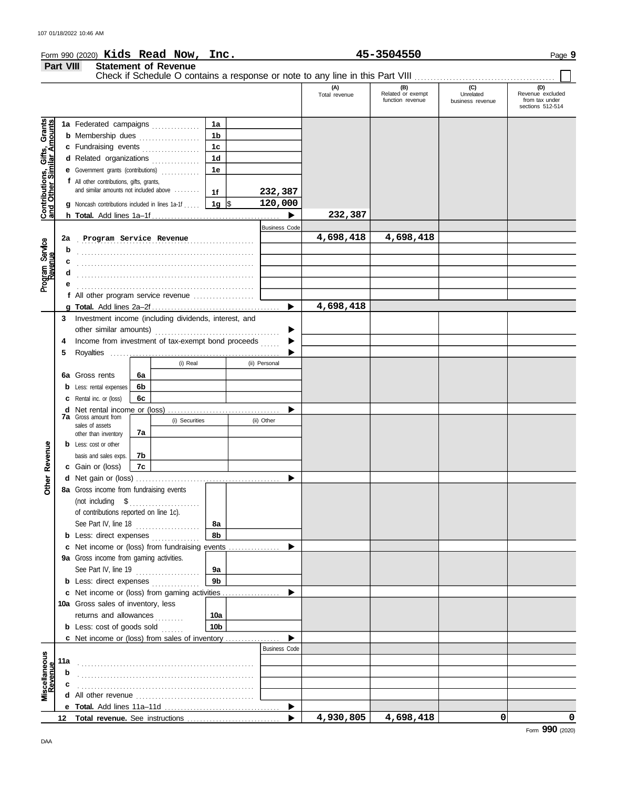|                                                           |           | Form 990 $(2020)$ Kids Read Now,                                                 |    |                             | Inc.           |   |                      |                                                                               | 45-3504550                                   |                                      | Page 9                                                        |
|-----------------------------------------------------------|-----------|----------------------------------------------------------------------------------|----|-----------------------------|----------------|---|----------------------|-------------------------------------------------------------------------------|----------------------------------------------|--------------------------------------|---------------------------------------------------------------|
|                                                           | Part VIII |                                                                                  |    | <b>Statement of Revenue</b> |                |   |                      |                                                                               |                                              |                                      |                                                               |
|                                                           |           |                                                                                  |    |                             |                |   |                      | Check if Schedule O contains a response or note to any line in this Part VIII |                                              |                                      |                                                               |
|                                                           |           |                                                                                  |    |                             |                |   |                      | (A)<br>Total revenue                                                          | (B)<br>Related or exempt<br>function revenue | (C)<br>Unrelated<br>business revenue | (D)<br>Revenue excluded<br>from tax under<br>sections 512-514 |
|                                                           |           | 1a Federated campaigns                                                           |    |                             | 1a             |   |                      |                                                                               |                                              |                                      |                                                               |
| Contributions, Gifts, Grants<br>and Other Similar Amounts |           | <b>b</b> Membership dues                                                         |    |                             | 1b             |   |                      |                                                                               |                                              |                                      |                                                               |
|                                                           |           | c Fundraising events                                                             |    |                             | 1 <sub>c</sub> |   |                      |                                                                               |                                              |                                      |                                                               |
|                                                           |           | d Related organizations                                                          |    | .                           | 1 <sub>d</sub> |   |                      |                                                                               |                                              |                                      |                                                               |
|                                                           |           | <b>e</b> Government grants (contributions)                                       |    | .                           | 1e             |   |                      |                                                                               |                                              |                                      |                                                               |
|                                                           |           | f All other contributions, gifts, grants,                                        |    |                             |                |   |                      |                                                                               |                                              |                                      |                                                               |
|                                                           |           | and similar amounts not included above                                           |    |                             | 1f             |   | 232,387              |                                                                               |                                              |                                      |                                                               |
|                                                           |           | g Noncash contributions included in lines 1a-1f                                  |    |                             | 1g $\sqrt{5}$  |   | 120,000              |                                                                               |                                              |                                      |                                                               |
|                                                           |           |                                                                                  |    |                             |                |   | ▶                    | 232,387                                                                       |                                              |                                      |                                                               |
|                                                           |           |                                                                                  |    |                             |                |   | <b>Business Code</b> |                                                                               |                                              |                                      |                                                               |
|                                                           | 2a        | Program Service Revenue                                                          |    |                             |                | . |                      | 4,698,418                                                                     | 4,698,418                                    |                                      |                                                               |
| Program Service<br>Revenue                                | b         |                                                                                  |    |                             |                |   |                      |                                                                               |                                              |                                      |                                                               |
|                                                           |           |                                                                                  |    |                             |                |   |                      |                                                                               |                                              |                                      |                                                               |
|                                                           |           |                                                                                  |    |                             |                |   |                      |                                                                               |                                              |                                      |                                                               |
|                                                           |           |                                                                                  |    |                             |                |   |                      |                                                                               |                                              |                                      |                                                               |
|                                                           |           | f All other program service revenue                                              |    |                             |                |   |                      |                                                                               |                                              |                                      |                                                               |
|                                                           |           |                                                                                  |    |                             |                |   | ▶                    | 4,698,418                                                                     |                                              |                                      |                                                               |
|                                                           | 3         | Investment income (including dividends, interest, and                            |    |                             |                |   |                      |                                                                               |                                              |                                      |                                                               |
|                                                           |           |                                                                                  |    |                             |                |   |                      |                                                                               |                                              |                                      |                                                               |
|                                                           | 4         | Income from investment of tax-exempt bond proceeds                               |    |                             |                |   |                      |                                                                               |                                              |                                      |                                                               |
|                                                           | 5         |                                                                                  |    |                             |                |   |                      |                                                                               |                                              |                                      |                                                               |
|                                                           |           |                                                                                  |    | (i) Real                    |                |   | (ii) Personal        |                                                                               |                                              |                                      |                                                               |
|                                                           | 6а        | Gross rents                                                                      | 6a |                             |                |   |                      |                                                                               |                                              |                                      |                                                               |
|                                                           | b         | Less: rental expenses                                                            | 6b |                             |                |   |                      |                                                                               |                                              |                                      |                                                               |
|                                                           |           | 6c<br>Rental inc. or (loss)                                                      |    |                             |                |   |                      |                                                                               |                                              |                                      |                                                               |
|                                                           | d         |                                                                                  |    |                             |                |   | ▶                    |                                                                               |                                              |                                      |                                                               |
|                                                           |           | <b>7a</b> Gross amount from<br>(i) Securities                                    |    |                             | (ii) Other     |   |                      |                                                                               |                                              |                                      |                                                               |
|                                                           |           | sales of assets<br>other than inventory                                          | 7a |                             |                |   |                      |                                                                               |                                              |                                      |                                                               |
|                                                           |           | <b>b</b> Less: cost or other                                                     |    |                             |                |   |                      |                                                                               |                                              |                                      |                                                               |
| Revenue                                                   |           | basis and sales exps.                                                            | 7b |                             |                |   |                      |                                                                               |                                              |                                      |                                                               |
|                                                           |           | <b>c</b> Gain or (loss)                                                          | 7с |                             |                |   |                      |                                                                               |                                              |                                      |                                                               |
|                                                           |           | d Net gain or (loss)                                                             |    |                             |                |   |                      |                                                                               |                                              |                                      |                                                               |
| Other                                                     |           | 8a Gross income from fundraising events                                          |    |                             |                |   |                      |                                                                               |                                              |                                      |                                                               |
|                                                           |           |                                                                                  |    |                             |                |   |                      |                                                                               |                                              |                                      |                                                               |
|                                                           |           | of contributions reported on line 1c).                                           |    |                             |                |   |                      |                                                                               |                                              |                                      |                                                               |
|                                                           |           | See Part IV, line 18                                                             |    |                             | 8а             |   |                      |                                                                               |                                              |                                      |                                                               |
|                                                           |           | <b>b</b> Less: direct expenses                                                   |    |                             | 8b             |   |                      |                                                                               |                                              |                                      |                                                               |
|                                                           |           | Net income or (loss) from fundraising events                                     |    |                             |                |   | ▶                    |                                                                               |                                              |                                      |                                                               |
|                                                           |           | 9a Gross income from gaming activities.                                          |    |                             |                |   |                      |                                                                               |                                              |                                      |                                                               |
|                                                           |           | See Part IV, line 19                                                             |    | .                           | 9а             |   |                      |                                                                               |                                              |                                      |                                                               |
|                                                           |           | <b>b</b> Less: direct expenses                                                   |    |                             | 9 <sub>b</sub> |   |                      |                                                                               |                                              |                                      |                                                               |
|                                                           |           | c Net income or (loss) from gaming activities                                    |    |                             |                |   | ▶                    |                                                                               |                                              |                                      |                                                               |
|                                                           |           | 10a Gross sales of inventory, less                                               |    |                             |                |   |                      |                                                                               |                                              |                                      |                                                               |
|                                                           |           | returns and allowances                                                           |    |                             | 10a            |   |                      |                                                                               |                                              |                                      |                                                               |
|                                                           |           | <b>b</b> Less: cost of goods sold                                                |    |                             | 10b            |   |                      |                                                                               |                                              |                                      |                                                               |
|                                                           |           | c Net income or (loss) from sales of inventory                                   |    |                             |                |   |                      |                                                                               |                                              |                                      |                                                               |
|                                                           |           |                                                                                  |    |                             |                |   | <b>Business Code</b> |                                                                               |                                              |                                      |                                                               |
| Miscellaneous<br>Revenue                                  | 11a       |                                                                                  |    |                             |                |   |                      |                                                                               |                                              |                                      |                                                               |
|                                                           |           |                                                                                  |    |                             |                |   |                      |                                                                               |                                              |                                      |                                                               |
|                                                           |           |                                                                                  |    |                             |                |   |                      |                                                                               |                                              |                                      |                                                               |
|                                                           |           | <b>d</b> All other revenue $\ldots$ $\ldots$ $\ldots$ $\ldots$ $\ldots$ $\ldots$ |    |                             |                |   |                      |                                                                               |                                              |                                      |                                                               |
|                                                           |           |                                                                                  |    |                             |                |   | ▶                    |                                                                               |                                              |                                      |                                                               |
|                                                           |           |                                                                                  |    |                             |                |   |                      | 4,930,805                                                                     | 4,698,418                                    | 0                                    | 0                                                             |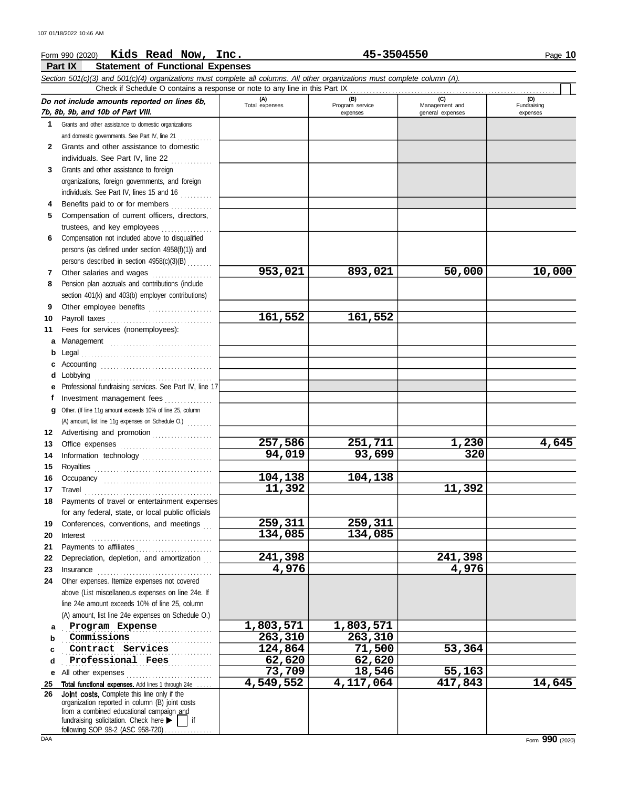## Form 990 (2020) Page **10 Kids Read Now, Inc. 45-3504550**

|         | Part IX<br><b>Statement of Functional Expenses</b>                                                                         |                       |                                    |                                           |                                |  |  |  |  |  |  |
|---------|----------------------------------------------------------------------------------------------------------------------------|-----------------------|------------------------------------|-------------------------------------------|--------------------------------|--|--|--|--|--|--|
|         | Section 501(c)(3) and 501(c)(4) organizations must complete all columns. All other organizations must complete column (A). |                       |                                    |                                           |                                |  |  |  |  |  |  |
|         | Check if Schedule O contains a response or note to any line in this Part IX                                                |                       |                                    |                                           |                                |  |  |  |  |  |  |
|         | Do not include amounts reported on lines 6b,<br>7b, 8b, 9b, and 10b of Part VIII.                                          | (A)<br>Total expenses | (B)<br>Program service<br>expenses | (C)<br>Management and<br>general expenses | (D)<br>Fundraising<br>expenses |  |  |  |  |  |  |
| 1       | Grants and other assistance to domestic organizations                                                                      |                       |                                    |                                           |                                |  |  |  |  |  |  |
|         | and domestic governments. See Part IV, line 21                                                                             |                       |                                    |                                           |                                |  |  |  |  |  |  |
| 2       | Grants and other assistance to domestic                                                                                    |                       |                                    |                                           |                                |  |  |  |  |  |  |
|         | individuals. See Part IV, line 22                                                                                          |                       |                                    |                                           |                                |  |  |  |  |  |  |
| 3       | Grants and other assistance to foreign                                                                                     |                       |                                    |                                           |                                |  |  |  |  |  |  |
|         | organizations, foreign governments, and foreign                                                                            |                       |                                    |                                           |                                |  |  |  |  |  |  |
|         | individuals. See Part IV, lines 15 and 16                                                                                  |                       |                                    |                                           |                                |  |  |  |  |  |  |
| 4       | Benefits paid to or for members                                                                                            |                       |                                    |                                           |                                |  |  |  |  |  |  |
| 5.      | Compensation of current officers, directors,                                                                               |                       |                                    |                                           |                                |  |  |  |  |  |  |
|         | trustees, and key employees                                                                                                |                       |                                    |                                           |                                |  |  |  |  |  |  |
| 6       | Compensation not included above to disqualified                                                                            |                       |                                    |                                           |                                |  |  |  |  |  |  |
|         | persons (as defined under section 4958(f)(1)) and                                                                          |                       |                                    |                                           |                                |  |  |  |  |  |  |
|         | persons described in section 4958(c)(3)(B)                                                                                 | 953,021               | 893,021                            | 50,000                                    | 10,000                         |  |  |  |  |  |  |
| 7       | Other salaries and wages<br>Pension plan accruals and contributions (include                                               |                       |                                    |                                           |                                |  |  |  |  |  |  |
| 8       |                                                                                                                            |                       |                                    |                                           |                                |  |  |  |  |  |  |
|         | section 401(k) and 403(b) employer contributions)                                                                          |                       |                                    |                                           |                                |  |  |  |  |  |  |
| 9<br>10 | Other employee benefits                                                                                                    | 161,552               | 161,552                            |                                           |                                |  |  |  |  |  |  |
| 11      | Fees for services (nonemployees):                                                                                          |                       |                                    |                                           |                                |  |  |  |  |  |  |
| а       |                                                                                                                            |                       |                                    |                                           |                                |  |  |  |  |  |  |
| b       | Legal                                                                                                                      |                       |                                    |                                           |                                |  |  |  |  |  |  |
| с       |                                                                                                                            |                       |                                    |                                           |                                |  |  |  |  |  |  |
| d       | Lobbying                                                                                                                   |                       |                                    |                                           |                                |  |  |  |  |  |  |
| е       | Professional fundraising services. See Part IV, line 17                                                                    |                       |                                    |                                           |                                |  |  |  |  |  |  |
| f       | Investment management fees                                                                                                 |                       |                                    |                                           |                                |  |  |  |  |  |  |
| a       | Other. (If line 11g amount exceeds 10% of line 25, column                                                                  |                       |                                    |                                           |                                |  |  |  |  |  |  |
|         | (A) amount, list line 11g expenses on Schedule O.)                                                                         |                       |                                    |                                           |                                |  |  |  |  |  |  |
| 12      | Advertising and promotion                                                                                                  |                       |                                    |                                           |                                |  |  |  |  |  |  |
| 13      |                                                                                                                            | 257,586<br>94,019     | 251,711<br>93,699                  | 1,230<br>320                              | 4,645                          |  |  |  |  |  |  |
| 14      | Information technology                                                                                                     |                       |                                    |                                           |                                |  |  |  |  |  |  |
| 15      |                                                                                                                            | 104,138               | 104,138                            |                                           |                                |  |  |  |  |  |  |
| 16      | Occupancy                                                                                                                  | 11,392                |                                    | 11,392                                    |                                |  |  |  |  |  |  |
|         | 17 Travel                                                                                                                  |                       |                                    |                                           |                                |  |  |  |  |  |  |
|         | 18 Payments of travel or entertainment expenses                                                                            |                       |                                    |                                           |                                |  |  |  |  |  |  |
| 19      | for any federal, state, or local public officials<br>Conferences, conventions, and meetings                                | 259,311               | 259,311                            |                                           |                                |  |  |  |  |  |  |
| 20      | Interest                                                                                                                   | 134,085               | 134,085                            |                                           |                                |  |  |  |  |  |  |
| 21      |                                                                                                                            |                       |                                    |                                           |                                |  |  |  |  |  |  |
| 22      | Depreciation, depletion, and amortization                                                                                  | 241,398               |                                    | 241,398                                   |                                |  |  |  |  |  |  |
| 23      | $In surface \begin{tabular}{ll} \textbf{Insurance} & \textbf{Insur} & \textbf{Insur} \\ \hline \end{tabular}$              | 4,976                 |                                    | 4,976                                     |                                |  |  |  |  |  |  |
| 24      | Other expenses. Itemize expenses not covered                                                                               |                       |                                    |                                           |                                |  |  |  |  |  |  |
|         | above (List miscellaneous expenses on line 24e. If                                                                         |                       |                                    |                                           |                                |  |  |  |  |  |  |
|         | line 24e amount exceeds 10% of line 25, column                                                                             |                       |                                    |                                           |                                |  |  |  |  |  |  |
|         | (A) amount, list line 24e expenses on Schedule O.)                                                                         |                       |                                    |                                           |                                |  |  |  |  |  |  |
| a       | Program Expense                                                                                                            | 1,803,571             | 1,803,571                          |                                           |                                |  |  |  |  |  |  |
| b       | Commissions                                                                                                                | 263,310               | $\overline{263,310}$               |                                           |                                |  |  |  |  |  |  |
| C       | Contract Services                                                                                                          | 124,864               | 71,500                             | 53,364                                    |                                |  |  |  |  |  |  |
| d       | Professional Fees                                                                                                          | 62,620                | 62,620                             |                                           |                                |  |  |  |  |  |  |
| е       | All other expenses                                                                                                         | 73,709                | 18,546                             | 55,163                                    |                                |  |  |  |  |  |  |
| 25      | Total functional expenses. Add lines 1 through 24e                                                                         | 4,549,552             | 4,117,064                          | 417,843                                   | 14,645                         |  |  |  |  |  |  |
| 26      | Joint costs. Complete this line only if the                                                                                |                       |                                    |                                           |                                |  |  |  |  |  |  |
|         | organization reported in column (B) joint costs<br>from a combined educational campaign and                                |                       |                                    |                                           |                                |  |  |  |  |  |  |
|         | fundraising solicitation. Check here<br>if                                                                                 |                       |                                    |                                           |                                |  |  |  |  |  |  |

following SOP 98-2 (ASC 958-720) . . . . . . . . . . . . . .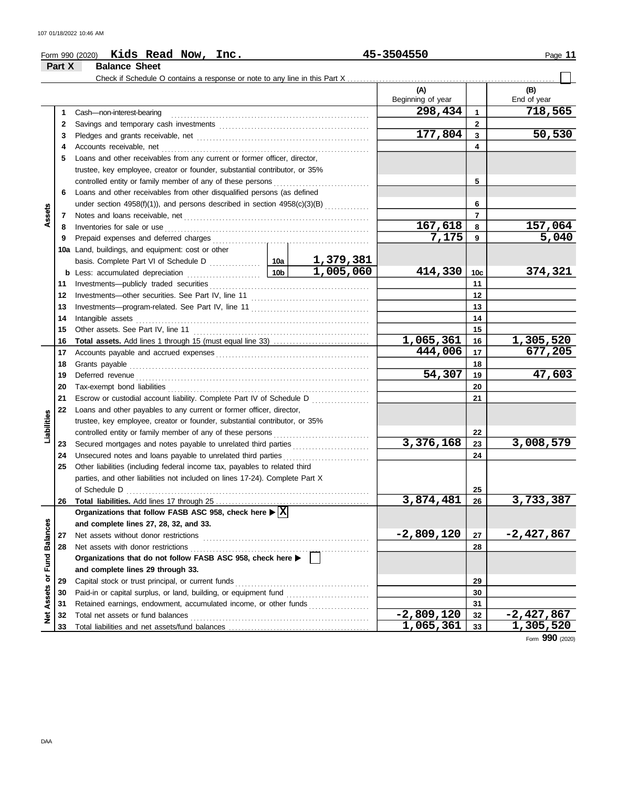|                   | Part X | <b>Balance Sheet</b>                                                                              |                 |           |                   |                 |                  |
|-------------------|--------|---------------------------------------------------------------------------------------------------|-----------------|-----------|-------------------|-----------------|------------------|
|                   |        | Check if Schedule O contains a response or note to any line in this Part $X_{\perp}$              |                 |           |                   |                 |                  |
|                   |        |                                                                                                   |                 |           | (A)               |                 | (B)              |
|                   |        |                                                                                                   |                 |           | Beginning of year |                 | End of year      |
|                   | 1      | Cash-non-interest-bearing                                                                         |                 |           | 298,434           | 1               | 718,565          |
|                   | 2      |                                                                                                   |                 |           |                   | $\mathbf{2}$    |                  |
|                   | 3      |                                                                                                   |                 |           | 177,804           | 3               | 50,530           |
|                   | 4      | Accounts receivable, net                                                                          |                 |           |                   | 4               |                  |
|                   | 5      | Loans and other receivables from any current or former officer, director,                         |                 |           |                   |                 |                  |
|                   |        | trustee, key employee, creator or founder, substantial contributor, or 35%                        |                 |           |                   |                 |                  |
|                   |        | controlled entity or family member of any of these persons                                        |                 |           |                   | 5               |                  |
|                   | 6      | Loans and other receivables from other disqualified persons (as defined                           |                 |           |                   |                 |                  |
|                   |        | under section 4958(f)(1)), and persons described in section 4958(c)(3)(B)                         |                 |           |                   | 6               |                  |
| Assets            | 7      |                                                                                                   |                 |           |                   | $\overline{7}$  |                  |
|                   | 8      | Inventories for sale or use                                                                       |                 |           | 167,618           | 8               | 157,064          |
|                   | 9      | Prepaid expenses and deferred charges                                                             |                 |           | 7,175             | 9               | 5,040            |
|                   |        | 10a Land, buildings, and equipment: cost or other                                                 |                 |           |                   |                 |                  |
|                   |        |                                                                                                   |                 |           |                   |                 |                  |
|                   |        | <b>b</b> Less: accumulated depreciation                                                           | 10 <sub>b</sub> | 1,005,060 | 414,330           | 10 <sub>c</sub> | 374,321          |
|                   | 11     |                                                                                                   |                 |           |                   | 11              |                  |
|                   | 12     |                                                                                                   |                 |           |                   | 12              |                  |
|                   | 13     |                                                                                                   |                 |           |                   | 13              |                  |
|                   | 14     | Intangible assets                                                                                 |                 |           |                   | 14              |                  |
|                   | 15     |                                                                                                   |                 | 15        |                   |                 |                  |
|                   | 16     |                                                                                                   |                 |           | 1,065,361         | 16              | <u>1,305,520</u> |
|                   | 17     |                                                                                                   |                 |           | 444,006           | 17              | 677,205          |
|                   | 18     | Grants payable                                                                                    |                 |           |                   | 18              |                  |
|                   | 19     | Deferred revenue                                                                                  | 54,307          | 19        | 47,603            |                 |                  |
|                   | 20     |                                                                                                   |                 |           | 20                |                 |                  |
|                   | 21     | Escrow or custodial account liability. Complete Part IV of Schedule D                             |                 | .         |                   | 21              |                  |
|                   | 22     | Loans and other payables to any current or former officer, director,                              |                 |           |                   |                 |                  |
|                   |        | trustee, key employee, creator or founder, substantial contributor, or 35%                        |                 |           |                   |                 |                  |
| Liabilities       |        | controlled entity or family member of any of these persons                                        |                 |           |                   | 22              |                  |
|                   | 23     |                                                                                                   |                 |           | 3,376,168         | 23              | 3,008,579        |
|                   | 24     | Unsecured notes and loans payable to unrelated third parties                                      |                 |           |                   | 24              |                  |
|                   | 25     | Other liabilities (including federal income tax, payables to related third                        |                 |           |                   |                 |                  |
|                   |        | parties, and other liabilities not included on lines 17-24). Complete Part X                      |                 |           |                   |                 |                  |
|                   |        | of Schedule D                                                                                     |                 |           |                   | 25              |                  |
|                   | 26     |                                                                                                   |                 |           | 3,874,481         | 26              | 3,733,387        |
|                   |        | Organizations that follow FASB ASC 958, check here $\blacktriangleright$ $\boxed{\text{X}}$       |                 |           |                   |                 |                  |
|                   |        | and complete lines 27, 28, 32, and 33.                                                            |                 |           | $-2,809,120$      |                 | -2,427,867       |
| <b>Balances</b>   | 27     | Net assets without donor restrictions                                                             |                 |           |                   | 27              |                  |
|                   | 28     | Net assets with donor restrictions<br>Organizations that do not follow FASB ASC 958, check here > |                 |           |                   | 28              |                  |
| Fund              |        | and complete lines 29 through 33.                                                                 |                 |           |                   |                 |                  |
| ò                 | 29     | Capital stock or trust principal, or current funds                                                |                 |           |                   | 29              |                  |
|                   | 30     |                                                                                                   |                 |           |                   | 30              |                  |
|                   | 31     | Retained earnings, endowment, accumulated income, or other funds                                  |                 |           |                   | 31              |                  |
| <b>Net Assets</b> | 32     | Total net assets or fund balances                                                                 |                 |           | $-2,809,120$      | 32              | $-2,427,867$     |
|                   | 33     |                                                                                                   | 1,065,361       | 33        | 1,305,520         |                 |                  |
|                   |        |                                                                                                   |                 |           |                   |                 | Form 990 (2020)  |

**Kids Read Now, Inc. 45-3504550**

Form 990 (2020) Page **11**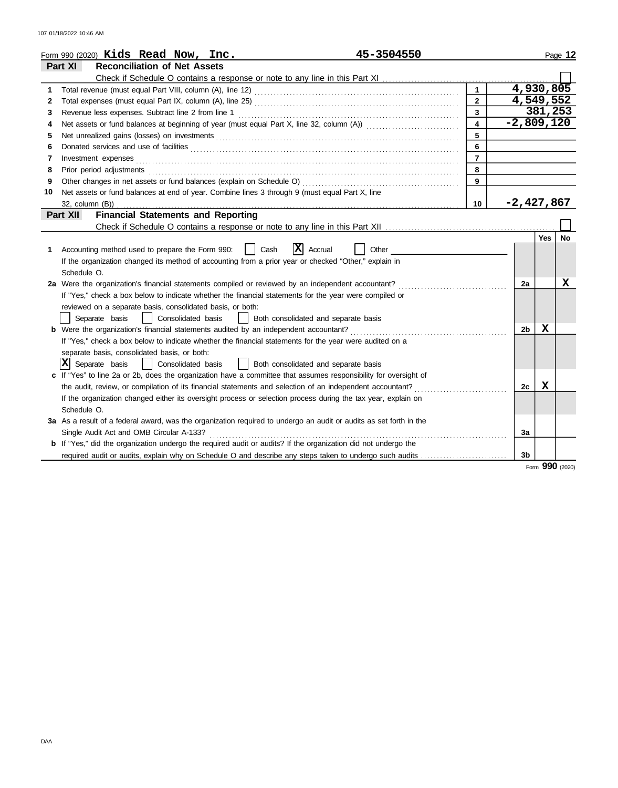|    | 45-3504550<br>Form 990 (2020) Kids Read Now, Inc.                                                                                                                                                                                    |                         |                |            |           |  |
|----|--------------------------------------------------------------------------------------------------------------------------------------------------------------------------------------------------------------------------------------|-------------------------|----------------|------------|-----------|--|
|    | <b>Reconciliation of Net Assets</b><br>Part XI                                                                                                                                                                                       |                         |                |            | Page 12   |  |
|    |                                                                                                                                                                                                                                      |                         |                |            |           |  |
| 1  |                                                                                                                                                                                                                                      | $\mathbf{1}$            | 4,930,805      |            |           |  |
| 2  |                                                                                                                                                                                                                                      | $\overline{2}$          | 4,549,552      |            |           |  |
| 3  | Revenue less expenses. Subtract line 2 from line 1                                                                                                                                                                                   | $\overline{3}$          |                | 381,253    |           |  |
| 4  |                                                                                                                                                                                                                                      | $\overline{\mathbf{4}}$ | $-2,809,120$   |            |           |  |
| 5  |                                                                                                                                                                                                                                      | 5                       |                |            |           |  |
| 6  |                                                                                                                                                                                                                                      | 6                       |                |            |           |  |
| 7  | Investment expenses <b>contract and intervention contract and intervention contract and intervention contract and intervention contract and intervention contract and intervention contract and intervention contract and interv</b> | $\overline{7}$          |                |            |           |  |
| 8  | Prior period adjustments <b>construction and construction</b> and and adjustments of the construction of the construction of the construction of the construction of the construction of the construction of the construction of th  | 8                       |                |            |           |  |
| 9  |                                                                                                                                                                                                                                      | 9                       |                |            |           |  |
| 10 | Net assets or fund balances at end of year. Combine lines 3 through 9 (must equal Part X, line                                                                                                                                       |                         |                |            |           |  |
|    | 32, column (B))                                                                                                                                                                                                                      | 10                      | $-2,427,867$   |            |           |  |
|    | <b>Financial Statements and Reporting</b><br>Part XII                                                                                                                                                                                |                         |                |            |           |  |
|    |                                                                                                                                                                                                                                      |                         |                |            |           |  |
|    |                                                                                                                                                                                                                                      |                         |                | <b>Yes</b> | <b>No</b> |  |
| 1  | x <br>Accounting method used to prepare the Form 990:<br>Cash<br>Accrual<br>Other                                                                                                                                                    |                         |                |            |           |  |
|    | If the organization changed its method of accounting from a prior year or checked "Other," explain in                                                                                                                                |                         |                |            |           |  |
|    | Schedule O.                                                                                                                                                                                                                          |                         |                |            |           |  |
|    | 2a Were the organization's financial statements compiled or reviewed by an independent accountant?                                                                                                                                   |                         | 2a             |            | x         |  |
|    | If "Yes," check a box below to indicate whether the financial statements for the year were compiled or                                                                                                                               |                         |                |            |           |  |
|    | reviewed on a separate basis, consolidated basis, or both:                                                                                                                                                                           |                         |                |            |           |  |
|    | Both consolidated and separate basis<br>Separate basis<br>  Consolidated basis                                                                                                                                                       |                         |                |            |           |  |
|    | <b>b</b> Were the organization's financial statements audited by an independent accountant?                                                                                                                                          |                         | 2b             | х          |           |  |
|    | If "Yes," check a box below to indicate whether the financial statements for the year were audited on a                                                                                                                              |                         |                |            |           |  |
|    | separate basis, consolidated basis, or both:                                                                                                                                                                                         |                         |                |            |           |  |
|    | $ \mathbf{X} $ Separate basis<br>Consolidated basis<br>    Both consolidated and separate basis                                                                                                                                      |                         |                |            |           |  |
|    | If "Yes" to line 2a or 2b, does the organization have a committee that assumes responsibility for oversight of                                                                                                                       |                         |                |            |           |  |
|    | the audit, review, or compilation of its financial statements and selection of an independent accountant?                                                                                                                            |                         | 2c             | X          |           |  |
|    | If the organization changed either its oversight process or selection process during the tax year, explain on                                                                                                                        |                         |                |            |           |  |
|    | Schedule O.                                                                                                                                                                                                                          |                         |                |            |           |  |
|    | 3a As a result of a federal award, was the organization required to undergo an audit or audits as set forth in the                                                                                                                   |                         |                |            |           |  |
|    | Single Audit Act and OMB Circular A-133?                                                                                                                                                                                             |                         | За             |            |           |  |
|    | b If "Yes," did the organization undergo the required audit or audits? If the organization did not undergo the                                                                                                                       |                         |                |            |           |  |
|    | required audit or audits, explain why on Schedule O and describe any steps taken to undergo such audits                                                                                                                              |                         | 3 <sub>b</sub> |            |           |  |

Form **990** (2020)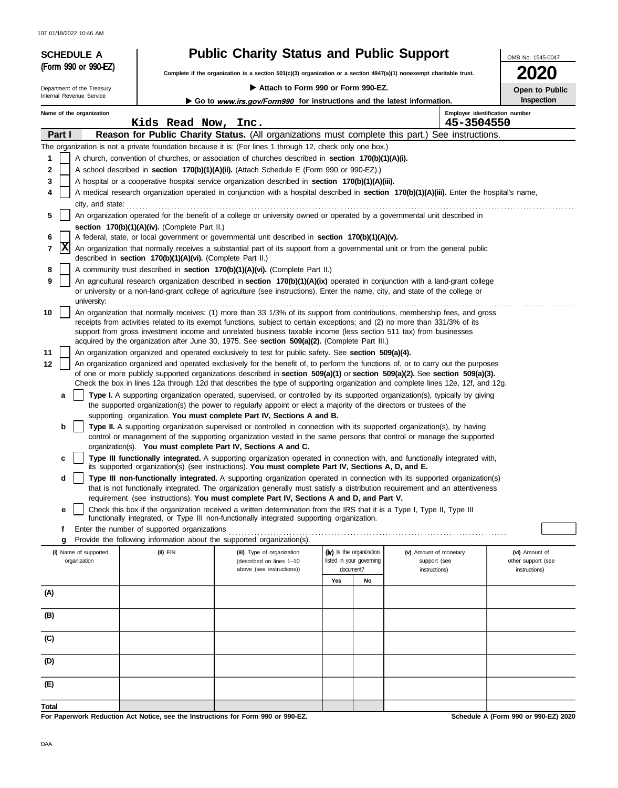107 01/18/2022 10:46 AM

# SCHEDULE A **Public Charity Status and Public Support** (Form 990 or 990-EZ)

**Complete if the organization is a section 501(c)(3) organization or a section 4947(a)(1) nonexempt charitable trust.**

|  | Attach to Form 990 or Form 990-E |  |  |  |  |  |  |
|--|----------------------------------|--|--|--|--|--|--|
|--|----------------------------------|--|--|--|--|--|--|

Internal Revenue Service Department of the Treasury **Attach to Form 990 or Form 990-EZ.**

Go to www.irs.gov/Form990 for instructions and the latest information.

OMB No. 1545-0047

**2020**

**Open to Public Inspection**

|          | Name of the organization | Kids Read Now, Inc.                                                              |                                                                                                                                                                                                                                                                 |                                       |    | 45-3504550                    | Employer identification number       |
|----------|--------------------------|----------------------------------------------------------------------------------|-----------------------------------------------------------------------------------------------------------------------------------------------------------------------------------------------------------------------------------------------------------------|---------------------------------------|----|-------------------------------|--------------------------------------|
| Part I   |                          |                                                                                  | <b>Reason for Public Charity Status.</b> (All organizations must complete this part.) See instructions.                                                                                                                                                         |                                       |    |                               |                                      |
|          |                          |                                                                                  | The organization is not a private foundation because it is: (For lines 1 through 12, check only one box.)                                                                                                                                                       |                                       |    |                               |                                      |
| 1        |                          |                                                                                  | A church, convention of churches, or association of churches described in section 170(b)(1)(A)(i).                                                                                                                                                              |                                       |    |                               |                                      |
| 2        |                          |                                                                                  | A school described in section 170(b)(1)(A)(ii). (Attach Schedule E (Form 990 or 990-EZ).)                                                                                                                                                                       |                                       |    |                               |                                      |
| 3        |                          |                                                                                  | A hospital or a cooperative hospital service organization described in section 170(b)(1)(A)(iii).                                                                                                                                                               |                                       |    |                               |                                      |
| 4        |                          |                                                                                  | A medical research organization operated in conjunction with a hospital described in section 170(b)(1)(A)(iii). Enter the hospital's name,                                                                                                                      |                                       |    |                               |                                      |
|          | city, and state:         |                                                                                  |                                                                                                                                                                                                                                                                 |                                       |    |                               |                                      |
| 5        |                          |                                                                                  | An organization operated for the benefit of a college or university owned or operated by a governmental unit described in                                                                                                                                       |                                       |    |                               |                                      |
|          |                          | section 170(b)(1)(A)(iv). (Complete Part II.)                                    |                                                                                                                                                                                                                                                                 |                                       |    |                               |                                      |
| 6        |                          |                                                                                  | A federal, state, or local government or governmental unit described in section 170(b)(1)(A)(v).                                                                                                                                                                |                                       |    |                               |                                      |
| 7        | ΙX                       | described in section 170(b)(1)(A)(vi). (Complete Part II.)                       | An organization that normally receives a substantial part of its support from a governmental unit or from the general public                                                                                                                                    |                                       |    |                               |                                      |
| 8        |                          |                                                                                  | A community trust described in section 170(b)(1)(A)(vi). (Complete Part II.)                                                                                                                                                                                    |                                       |    |                               |                                      |
| 9        | university:              |                                                                                  | An agricultural research organization described in section 170(b)(1)(A)(ix) operated in conjunction with a land-grant college<br>or university or a non-land-grant college of agriculture (see instructions). Enter the name, city, and state of the college or |                                       |    |                               |                                      |
| 10       |                          |                                                                                  | An organization that normally receives: (1) more than 33 1/3% of its support from contributions, membership fees, and gross                                                                                                                                     |                                       |    |                               |                                      |
|          |                          |                                                                                  | receipts from activities related to its exempt functions, subject to certain exceptions; and (2) no more than 331/3% of its                                                                                                                                     |                                       |    |                               |                                      |
|          |                          |                                                                                  | support from gross investment income and unrelated business taxable income (less section 511 tax) from businesses                                                                                                                                               |                                       |    |                               |                                      |
|          |                          |                                                                                  | acquired by the organization after June 30, 1975. See section 509(a)(2). (Complete Part III.)                                                                                                                                                                   |                                       |    |                               |                                      |
| 11<br>12 |                          |                                                                                  | An organization organized and operated exclusively to test for public safety. See section 509(a)(4).<br>An organization organized and operated exclusively for the benefit of, to perform the functions of, or to carry out the purposes                        |                                       |    |                               |                                      |
|          |                          |                                                                                  | of one or more publicly supported organizations described in section 509(a)(1) or section 509(a)(2). See section 509(a)(3).                                                                                                                                     |                                       |    |                               |                                      |
|          |                          |                                                                                  | Check the box in lines 12a through 12d that describes the type of supporting organization and complete lines 12e, 12f, and 12g.                                                                                                                                 |                                       |    |                               |                                      |
|          | a                        |                                                                                  | Type I. A supporting organization operated, supervised, or controlled by its supported organization(s), typically by giving                                                                                                                                     |                                       |    |                               |                                      |
|          |                          |                                                                                  | the supported organization(s) the power to regularly appoint or elect a majority of the directors or trustees of the                                                                                                                                            |                                       |    |                               |                                      |
|          | b                        |                                                                                  | supporting organization. You must complete Part IV, Sections A and B.<br>Type II. A supporting organization supervised or controlled in connection with its supported organization(s), by having                                                                |                                       |    |                               |                                      |
|          |                          |                                                                                  | control or management of the supporting organization vested in the same persons that control or manage the supported                                                                                                                                            |                                       |    |                               |                                      |
|          |                          |                                                                                  | organization(s). You must complete Part IV, Sections A and C.                                                                                                                                                                                                   |                                       |    |                               |                                      |
|          | c                        |                                                                                  | Type III functionally integrated. A supporting organization operated in connection with, and functionally integrated with,<br>its supported organization(s) (see instructions). You must complete Part IV, Sections A, D, and E.                                |                                       |    |                               |                                      |
|          | d                        |                                                                                  | Type III non-functionally integrated. A supporting organization operated in connection with its supported organization(s)                                                                                                                                       |                                       |    |                               |                                      |
|          |                          |                                                                                  | that is not functionally integrated. The organization generally must satisfy a distribution requirement and an attentiveness                                                                                                                                    |                                       |    |                               |                                      |
|          |                          |                                                                                  | requirement (see instructions). You must complete Part IV, Sections A and D, and Part V.                                                                                                                                                                        |                                       |    |                               |                                      |
|          | е                        |                                                                                  | Check this box if the organization received a written determination from the IRS that it is a Type I, Type II, Type III<br>functionally integrated, or Type III non-functionally integrated supporting organization.                                            |                                       |    |                               |                                      |
|          |                          | Enter the number of supported organizations                                      |                                                                                                                                                                                                                                                                 |                                       |    |                               |                                      |
|          |                          |                                                                                  | Provide the following information about the supported organization(s).                                                                                                                                                                                          |                                       |    |                               |                                      |
|          | (i) Name of supported    | $(ii)$ $EIN$                                                                     | (iii) Type of organization                                                                                                                                                                                                                                      | (iv) Is the organization              |    | (v) Amount of monetary        | (vi) Amount of                       |
|          | organization             |                                                                                  | (described on lines 1-10<br>above (see instructions))                                                                                                                                                                                                           | listed in your governing<br>document? |    | support (see<br>instructions) | other support (see<br>instructions)  |
|          |                          |                                                                                  |                                                                                                                                                                                                                                                                 | Yes                                   | No |                               |                                      |
| (A)      |                          |                                                                                  |                                                                                                                                                                                                                                                                 |                                       |    |                               |                                      |
| (B)      |                          |                                                                                  |                                                                                                                                                                                                                                                                 |                                       |    |                               |                                      |
|          |                          |                                                                                  |                                                                                                                                                                                                                                                                 |                                       |    |                               |                                      |
| (C)      |                          |                                                                                  |                                                                                                                                                                                                                                                                 |                                       |    |                               |                                      |
| (D)      |                          |                                                                                  |                                                                                                                                                                                                                                                                 |                                       |    |                               |                                      |
| (E)      |                          |                                                                                  |                                                                                                                                                                                                                                                                 |                                       |    |                               |                                      |
| Total    |                          |                                                                                  |                                                                                                                                                                                                                                                                 |                                       |    |                               |                                      |
|          |                          | For Paperwork Reduction Act Notice, see the Instructions for Form 990 or 990-EZ. |                                                                                                                                                                                                                                                                 |                                       |    |                               | Schedule A (Form 990 or 990-EZ) 2020 |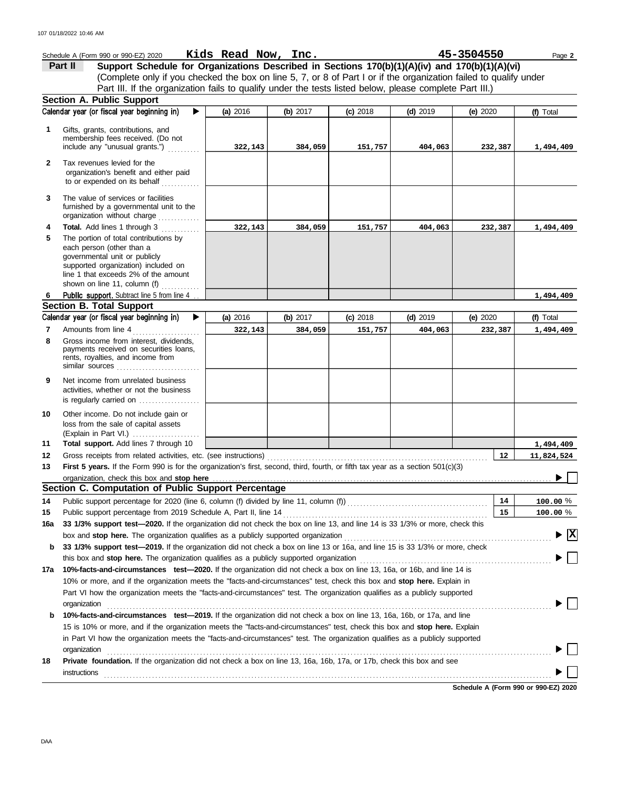|              | Schedule A (Form 990 or 990-EZ) 2020                                                                                                                                                                                           | Kids Read Now, Inc. |            |            |            | 45-3504550 | Page 2                                  |
|--------------|--------------------------------------------------------------------------------------------------------------------------------------------------------------------------------------------------------------------------------|---------------------|------------|------------|------------|------------|-----------------------------------------|
|              | Support Schedule for Organizations Described in Sections 170(b)(1)(A)(iv) and 170(b)(1)(A)(vi)<br>Part II                                                                                                                      |                     |            |            |            |            |                                         |
|              | (Complete only if you checked the box on line 5, 7, or 8 of Part I or if the organization failed to qualify under                                                                                                              |                     |            |            |            |            |                                         |
|              | Part III. If the organization fails to qualify under the tests listed below, please complete Part III.)                                                                                                                        |                     |            |            |            |            |                                         |
|              | Section A. Public Support                                                                                                                                                                                                      |                     |            |            |            |            |                                         |
|              | Calendar year (or fiscal year beginning in)<br>▶                                                                                                                                                                               | (a) 2016            | (b) $2017$ | $(c)$ 2018 | $(d)$ 2019 | (e) $2020$ | (f) Total                               |
| 1            | Gifts, grants, contributions, and                                                                                                                                                                                              |                     |            |            |            |            |                                         |
|              | membership fees received. (Do not                                                                                                                                                                                              |                     |            |            |            |            |                                         |
|              | include any "unusual grants.")                                                                                                                                                                                                 | 322,143             | 384,059    | 151,757    | 404,063    | 232,387    | 1,494,409                               |
| $\mathbf{2}$ | Tax revenues levied for the                                                                                                                                                                                                    |                     |            |            |            |            |                                         |
|              | organization's benefit and either paid                                                                                                                                                                                         |                     |            |            |            |            |                                         |
|              | to or expended on its behalf                                                                                                                                                                                                   |                     |            |            |            |            |                                         |
| 3            | The value of services or facilities                                                                                                                                                                                            |                     |            |            |            |            |                                         |
|              | furnished by a governmental unit to the<br>organization without charge                                                                                                                                                         |                     |            |            |            |            |                                         |
| 4            | Total. Add lines 1 through 3                                                                                                                                                                                                   | 322,143             | 384,059    | 151,757    | 404,063    | 232,387    | 1,494,409                               |
| 5            | The portion of total contributions by                                                                                                                                                                                          |                     |            |            |            |            |                                         |
|              | each person (other than a                                                                                                                                                                                                      |                     |            |            |            |            |                                         |
|              | governmental unit or publicly                                                                                                                                                                                                  |                     |            |            |            |            |                                         |
|              | supported organization) included on<br>line 1 that exceeds 2% of the amount                                                                                                                                                    |                     |            |            |            |            |                                         |
|              | shown on line 11, column (f) $\ldots$                                                                                                                                                                                          |                     |            |            |            |            |                                         |
| 6            | <b>Public support.</b> Subtract line 5 from line 4                                                                                                                                                                             |                     |            |            |            |            | 1,494,409                               |
|              | <b>Section B. Total Support</b>                                                                                                                                                                                                |                     |            |            |            |            |                                         |
|              | Calendar year (or fiscal year beginning in)<br>▶                                                                                                                                                                               | (a) 2016            | (b) $2017$ | $(c)$ 2018 | $(d)$ 2019 | (e) $2020$ | (f) Total                               |
| 7            | Amounts from line 4                                                                                                                                                                                                            | 322,143             | 384,059    | 151,757    | 404,063    | 232,387    | 1,494,409                               |
| 8            | Gross income from interest, dividends,                                                                                                                                                                                         |                     |            |            |            |            |                                         |
|              | payments received on securities loans,<br>rents, royalties, and income from                                                                                                                                                    |                     |            |            |            |            |                                         |
|              | similar sources                                                                                                                                                                                                                |                     |            |            |            |            |                                         |
| 9            | Net income from unrelated business                                                                                                                                                                                             |                     |            |            |            |            |                                         |
|              | activities, whether or not the business                                                                                                                                                                                        |                     |            |            |            |            |                                         |
|              | is regularly carried on                                                                                                                                                                                                        |                     |            |            |            |            |                                         |
| 10           | Other income. Do not include gain or                                                                                                                                                                                           |                     |            |            |            |            |                                         |
|              | loss from the sale of capital assets                                                                                                                                                                                           |                     |            |            |            |            |                                         |
|              | (Explain in Part VI.)                                                                                                                                                                                                          |                     |            |            |            |            |                                         |
| 11<br>12     | Total support. Add lines 7 through 10                                                                                                                                                                                          |                     |            |            |            | 12         | 1,494,409                               |
| 13           | First 5 years. If the Form 990 is for the organization's first, second, third, fourth, or fifth tax year as a section 501(c)(3)                                                                                                |                     |            |            |            |            | 11,824,524                              |
|              |                                                                                                                                                                                                                                |                     |            |            |            |            |                                         |
|              | Section C. Computation of Public Support Percentage                                                                                                                                                                            |                     |            |            |            |            |                                         |
| 14           |                                                                                                                                                                                                                                |                     |            |            |            | 14         | 100.00 %                                |
| 15           |                                                                                                                                                                                                                                |                     |            |            |            | 15         | 100.00 %                                |
| 16a          | 33 1/3% support test-2020. If the organization did not check the box on line 13, and line 14 is 33 1/3% or more, check this                                                                                                    |                     |            |            |            |            |                                         |
|              | box and stop here. The organization qualifies as a publicly supported organization [11] content content content content of the content of the state of the state of the state of the state of the state of the state of the st |                     |            |            |            |            | $\blacktriangleright$ $\vert$ X $\vert$ |
| b            | 33 1/3% support test-2019. If the organization did not check a box on line 13 or 16a, and line 15 is 33 1/3% or more, check                                                                                                    |                     |            |            |            |            |                                         |
|              | this box and stop here. The organization qualifies as a publicly supported organization                                                                                                                                        |                     |            |            |            |            |                                         |
| 17a          | 10%-facts-and-circumstances test-2020. If the organization did not check a box on line 13, 16a, or 16b, and line 14 is                                                                                                         |                     |            |            |            |            |                                         |
|              | 10% or more, and if the organization meets the "facts-and-circumstances" test, check this box and stop here. Explain in                                                                                                        |                     |            |            |            |            |                                         |
|              | Part VI how the organization meets the "facts-and-circumstances" test. The organization qualifies as a publicly supported                                                                                                      |                     |            |            |            |            |                                         |
|              | organization                                                                                                                                                                                                                   |                     |            |            |            |            |                                         |
| b            | 10%-facts-and-circumstances test-2019. If the organization did not check a box on line 13, 16a, 16b, or 17a, and line                                                                                                          |                     |            |            |            |            |                                         |
|              | 15 is 10% or more, and if the organization meets the "facts-and-circumstances" test, check this box and stop here. Explain                                                                                                     |                     |            |            |            |            |                                         |
|              | in Part VI how the organization meets the "facts-and-circumstances" test. The organization qualifies as a publicly supported                                                                                                   |                     |            |            |            |            |                                         |
|              | organization<br>Private foundation. If the organization did not check a box on line 13, 16a, 16b, 17a, or 17b, check this box and see                                                                                          |                     |            |            |            |            |                                         |
| 18           | instructions                                                                                                                                                                                                                   |                     |            |            |            |            |                                         |
|              |                                                                                                                                                                                                                                |                     |            |            |            |            |                                         |

**Schedule A (Form 990 or 990-EZ) 2020**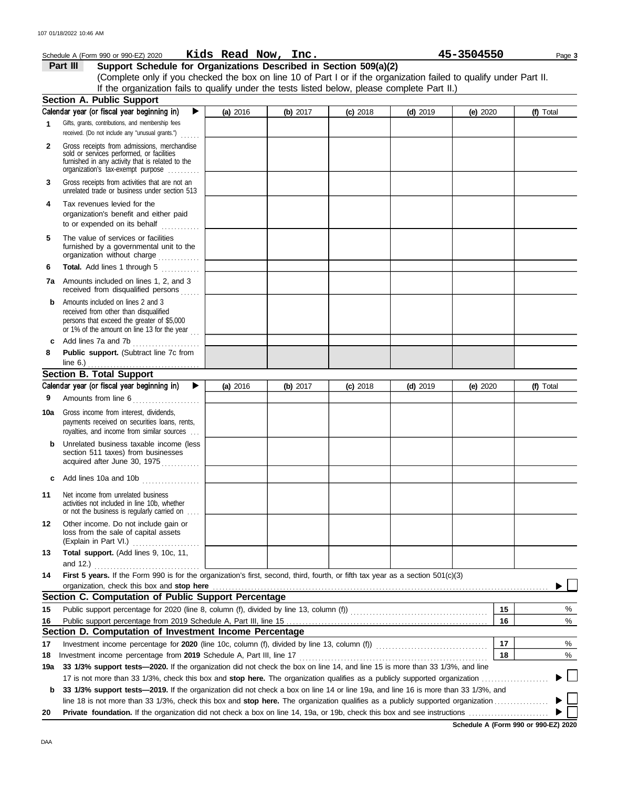|              | Schedule A (Form 990 or 990-EZ) 2020                                                                                                                                    | Kids Read Now, Inc. |            |            |            | 45-3504550 | Page 3    |
|--------------|-------------------------------------------------------------------------------------------------------------------------------------------------------------------------|---------------------|------------|------------|------------|------------|-----------|
|              | Part III<br>Support Schedule for Organizations Described in Section 509(a)(2)                                                                                           |                     |            |            |            |            |           |
|              | (Complete only if you checked the box on line 10 of Part I or if the organization failed to qualify under Part II.                                                      |                     |            |            |            |            |           |
|              | If the organization fails to qualify under the tests listed below, please complete Part II.)                                                                            |                     |            |            |            |            |           |
|              | <b>Section A. Public Support</b>                                                                                                                                        |                     |            |            |            |            |           |
|              | Calendar year (or fiscal year beginning in)<br>▶                                                                                                                        | (a) 2016            | (b) 2017   | $(c)$ 2018 | $(d)$ 2019 | (e) 2020   | (f) Total |
| $\mathbf 1$  | Gifts, grants, contributions, and membership fees<br>received. (Do not include any "unusual grants.")                                                                   |                     |            |            |            |            |           |
| $\mathbf{2}$ | Gross receipts from admissions, merchandise                                                                                                                             |                     |            |            |            |            |           |
|              | sold or services performed, or facilities<br>furnished in any activity that is related to the<br>organization's tax-exempt purpose                                      |                     |            |            |            |            |           |
| 3            | Gross receipts from activities that are not an<br>unrelated trade or business under section 513                                                                         |                     |            |            |            |            |           |
| 4            | Tax revenues levied for the                                                                                                                                             |                     |            |            |            |            |           |
|              | organization's benefit and either paid<br>to or expended on its behalf                                                                                                  |                     |            |            |            |            |           |
| 5            | The value of services or facilities<br>furnished by a governmental unit to the<br>organization without charge                                                           |                     |            |            |            |            |           |
| 6            | Total. Add lines 1 through 5                                                                                                                                            |                     |            |            |            |            |           |
| 7a           | Amounts included on lines 1, 2, and 3<br>received from disqualified persons                                                                                             |                     |            |            |            |            |           |
| b            | Amounts included on lines 2 and 3<br>received from other than disqualified<br>persons that exceed the greater of \$5,000<br>or 1% of the amount on line 13 for the year |                     |            |            |            |            |           |
| c            | Add lines 7a and 7b<br>.                                                                                                                                                |                     |            |            |            |            |           |
| 8            | Public support. (Subtract line 7c from<br>line 6.) $\ldots$ $\ldots$ $\ldots$ $\ldots$ $\ldots$ $\ldots$ $\ldots$                                                       |                     |            |            |            |            |           |
|              | <b>Section B. Total Support</b>                                                                                                                                         |                     |            |            |            |            |           |
|              | Calendar year (or fiscal year beginning in)<br>▶                                                                                                                        | (a) 2016            | (b) $2017$ | $(c)$ 2018 | $(d)$ 2019 | (e) $2020$ | (f) Total |
| 9            | Amounts from line 6                                                                                                                                                     |                     |            |            |            |            |           |
| 10a          | Gross income from interest, dividends,<br>payments received on securities loans, rents,<br>royalties, and income from similar sources                                   |                     |            |            |            |            |           |
| b            | Unrelated business taxable income (less<br>section 511 taxes) from businesses<br>acquired after June 30, 1975                                                           |                     |            |            |            |            |           |
| c            |                                                                                                                                                                         |                     |            |            |            |            |           |
| 11           | Net income from unrelated business<br>activities not included in line 10b, whether<br>or not the business is regularly carried on                                       |                     |            |            |            |            |           |
| 12           | Other income. Do not include gain or<br>loss from the sale of capital assets<br>(Explain in Part VI.)                                                                   |                     |            |            |            |            |           |
| 13           | Total support. (Add lines 9, 10c, 11,<br>and 12.)                                                                                                                       |                     |            |            |            |            |           |
| 14           | First 5 years. If the Form 990 is for the organization's first, second, third, fourth, or fifth tax year as a section 501(c)(3)                                         |                     |            |            |            |            |           |
|              | organization, check this box and stop here                                                                                                                              |                     |            |            |            |            |           |
|              | Section C. Computation of Public Support Percentage                                                                                                                     |                     |            |            |            |            |           |
| 15           |                                                                                                                                                                         |                     |            |            |            | 15         | %         |
| 16           | Section D. Computation of Investment Income Percentage                                                                                                                  |                     |            |            |            | 16         | $\%$      |
| 17           | Investment income percentage for 2020 (line 10c, column (f), divided by line 13, column (f)) [[[[[[[[[[[[[[[[                                                           |                     |            |            |            | 17         | %         |
| 18           | Investment income percentage from 2019 Schedule A, Part III, line 17                                                                                                    |                     |            |            |            | 18         | $\%$      |
| 19a          | 33 1/3% support tests-2020. If the organization did not check the box on line 14, and line 15 is more than 33 1/3%, and line                                            |                     |            |            |            |            |           |
|              |                                                                                                                                                                         |                     |            |            |            |            |           |
| b            | 33 1/3% support tests-2019. If the organization did not check a box on line 14 or line 19a, and line 16 is more than 33 1/3%, and                                       |                     |            |            |            |            |           |

line 18 is not more than 33 1/3%, check this box and stop here. The organization qualifies as a publicly supported organization ..................

**20 Private foundation.** If the organization did not check a box on line 14, 19a, or 19b, check this box and see instructions . . . . . . . . . . . . . . . . . . . . . . . . .

**Schedule A (Form 990 or 990-EZ) 2020**

 $\mathbf{L}$  $\blacktriangleright$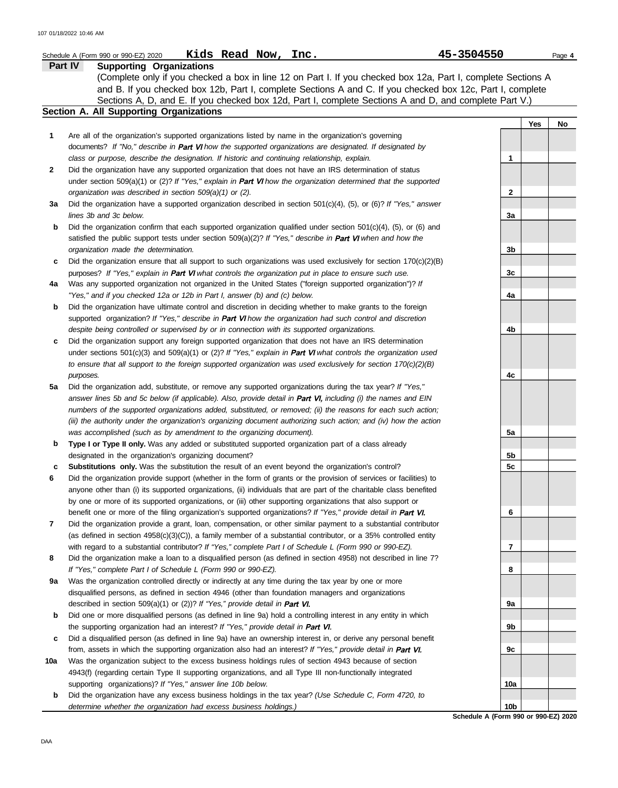|                | Kids Read Now, Inc.<br>45-3504550<br>Schedule A (Form 990 or 990-EZ) 2020                                                                                                                                                                                                                                                                                                |              |     | Page 4 |
|----------------|--------------------------------------------------------------------------------------------------------------------------------------------------------------------------------------------------------------------------------------------------------------------------------------------------------------------------------------------------------------------------|--------------|-----|--------|
| <b>Part IV</b> | <b>Supporting Organizations</b><br>(Complete only if you checked a box in line 12 on Part I. If you checked box 12a, Part I, complete Sections A<br>and B. If you checked box 12b, Part I, complete Sections A and C. If you checked box 12c, Part I, complete<br>Sections A, D, and E. If you checked box 12d, Part I, complete Sections A and D, and complete Part V.) |              |     |        |
|                | Section A. All Supporting Organizations                                                                                                                                                                                                                                                                                                                                  |              |     |        |
|                |                                                                                                                                                                                                                                                                                                                                                                          |              | Yes | No     |
| 1              | Are all of the organization's supported organizations listed by name in the organization's governing<br>documents? If "No," describe in Part VI how the supported organizations are designated. If designated by                                                                                                                                                         |              |     |        |
|                | class or purpose, describe the designation. If historic and continuing relationship, explain.                                                                                                                                                                                                                                                                            | 1            |     |        |
| 2              | Did the organization have any supported organization that does not have an IRS determination of status                                                                                                                                                                                                                                                                   |              |     |        |
|                | under section 509(a)(1) or (2)? If "Yes," explain in <b>Part VI</b> how the organization determined that the supported                                                                                                                                                                                                                                                   |              |     |        |
|                | organization was described in section 509(a)(1) or (2).                                                                                                                                                                                                                                                                                                                  | $\mathbf{2}$ |     |        |
| За             | Did the organization have a supported organization described in section $501(c)(4)$ , (5), or (6)? If "Yes," answer                                                                                                                                                                                                                                                      |              |     |        |
|                | lines 3b and 3c below.                                                                                                                                                                                                                                                                                                                                                   | 3a           |     |        |
| b              | Did the organization confirm that each supported organization qualified under section $501(c)(4)$ , $(5)$ , or $(6)$ and                                                                                                                                                                                                                                                 |              |     |        |
|                | satisfied the public support tests under section $509(a)(2)?$ If "Yes," describe in Part VI when and how the                                                                                                                                                                                                                                                             |              |     |        |
|                | organization made the determination.                                                                                                                                                                                                                                                                                                                                     | 3b           |     |        |
| c              | Did the organization ensure that all support to such organizations was used exclusively for section $170(c)(2)(B)$                                                                                                                                                                                                                                                       |              |     |        |
|                | purposes? If "Yes," explain in Part VI what controls the organization put in place to ensure such use.                                                                                                                                                                                                                                                                   | 3c           |     |        |
| 4a             | Was any supported organization not organized in the United States ("foreign supported organization")? If                                                                                                                                                                                                                                                                 |              |     |        |
|                | "Yes," and if you checked 12a or 12b in Part I, answer (b) and (c) below.                                                                                                                                                                                                                                                                                                | 4a           |     |        |
| b              | Did the organization have ultimate control and discretion in deciding whether to make grants to the foreign                                                                                                                                                                                                                                                              |              |     |        |
|                | supported organization? If "Yes," describe in Part VI how the organization had such control and discretion                                                                                                                                                                                                                                                               |              |     |        |
|                | despite being controlled or supervised by or in connection with its supported organizations.                                                                                                                                                                                                                                                                             | 4b           |     |        |
| c              | Did the organization support any foreign supported organization that does not have an IRS determination                                                                                                                                                                                                                                                                  |              |     |        |
|                | under sections 501(c)(3) and 509(a)(1) or (2)? If "Yes," explain in Part VI what controls the organization used                                                                                                                                                                                                                                                          |              |     |        |
|                | to ensure that all support to the foreign supported organization was used exclusively for section $170(c)(2)(B)$                                                                                                                                                                                                                                                         |              |     |        |
|                | purposes.                                                                                                                                                                                                                                                                                                                                                                | 4c           |     |        |
| 5a             | Did the organization add, substitute, or remove any supported organizations during the tax year? If "Yes,"                                                                                                                                                                                                                                                               |              |     |        |
|                | answer lines 5b and 5c below (if applicable). Also, provide detail in Part VI, including (i) the names and EIN                                                                                                                                                                                                                                                           |              |     |        |
|                | numbers of the supported organizations added, substituted, or removed; (ii) the reasons for each such action;                                                                                                                                                                                                                                                            |              |     |        |
|                | (iii) the authority under the organization's organizing document authorizing such action; and (iv) how the action                                                                                                                                                                                                                                                        |              |     |        |
|                | was accomplished (such as by amendment to the organizing document).                                                                                                                                                                                                                                                                                                      | 5а           |     |        |
| b              | Type I or Type II only. Was any added or substituted supported organization part of a class already                                                                                                                                                                                                                                                                      |              |     |        |
|                | designated in the organization's organizing document?                                                                                                                                                                                                                                                                                                                    | 5b           |     |        |
| c              | Substitutions only. Was the substitution the result of an event beyond the organization's control?                                                                                                                                                                                                                                                                       | 5c           |     |        |
| 6              | Did the organization provide support (whether in the form of grants or the provision of services or facilities) to                                                                                                                                                                                                                                                       |              |     |        |
|                | anyone other than (i) its supported organizations, (ii) individuals that are part of the charitable class benefited                                                                                                                                                                                                                                                      |              |     |        |
|                | by one or more of its supported organizations, or (iii) other supporting organizations that also support or                                                                                                                                                                                                                                                              |              |     |        |
|                | benefit one or more of the filing organization's supported organizations? If "Yes," provide detail in Part VI.                                                                                                                                                                                                                                                           | 6            |     |        |
| 7              | Did the organization provide a grant, loan, compensation, or other similar payment to a substantial contributor                                                                                                                                                                                                                                                          |              |     |        |
|                | (as defined in section $4958(c)(3)(C)$ ), a family member of a substantial contributor, or a 35% controlled entity                                                                                                                                                                                                                                                       |              |     |        |
|                | with regard to a substantial contributor? If "Yes," complete Part I of Schedule L (Form 990 or 990-EZ).                                                                                                                                                                                                                                                                  | 7            |     |        |
| 8              | Did the organization make a loan to a disqualified person (as defined in section 4958) not described in line 7?                                                                                                                                                                                                                                                          |              |     |        |
|                | If "Yes," complete Part I of Schedule L (Form 990 or 990-EZ).                                                                                                                                                                                                                                                                                                            | 8            |     |        |
| 9а             | Was the organization controlled directly or indirectly at any time during the tax year by one or more                                                                                                                                                                                                                                                                    |              |     |        |
|                | disqualified persons, as defined in section 4946 (other than foundation managers and organizations                                                                                                                                                                                                                                                                       |              |     |        |
|                | described in section 509(a)(1) or (2))? If "Yes," provide detail in Part VI.                                                                                                                                                                                                                                                                                             | 9а           |     |        |
| b              | Did one or more disqualified persons (as defined in line 9a) hold a controlling interest in any entity in which                                                                                                                                                                                                                                                          |              |     |        |
|                | the supporting organization had an interest? If "Yes," provide detail in Part VI.                                                                                                                                                                                                                                                                                        | 9b           |     |        |
| c              | Did a disqualified person (as defined in line 9a) have an ownership interest in, or derive any personal benefit                                                                                                                                                                                                                                                          |              |     |        |
|                | from, assets in which the supporting organization also had an interest? If "Yes," provide detail in Part VI.                                                                                                                                                                                                                                                             | 9c           |     |        |
| 10a            | Was the organization subject to the excess business holdings rules of section 4943 because of section                                                                                                                                                                                                                                                                    |              |     |        |
|                | 4943(f) (regarding certain Type II supporting organizations, and all Type III non-functionally integrated                                                                                                                                                                                                                                                                |              |     |        |
|                | supporting organizations)? If "Yes," answer line 10b below.                                                                                                                                                                                                                                                                                                              | 10a          |     |        |

**b** Did the organization have any excess business holdings in the tax year? *(Use Schedule C, Form 4720, to determine whether the organization had excess business holdings.)*

**Schedule A (Form 990 or 990-EZ) 2020 10b**

DAA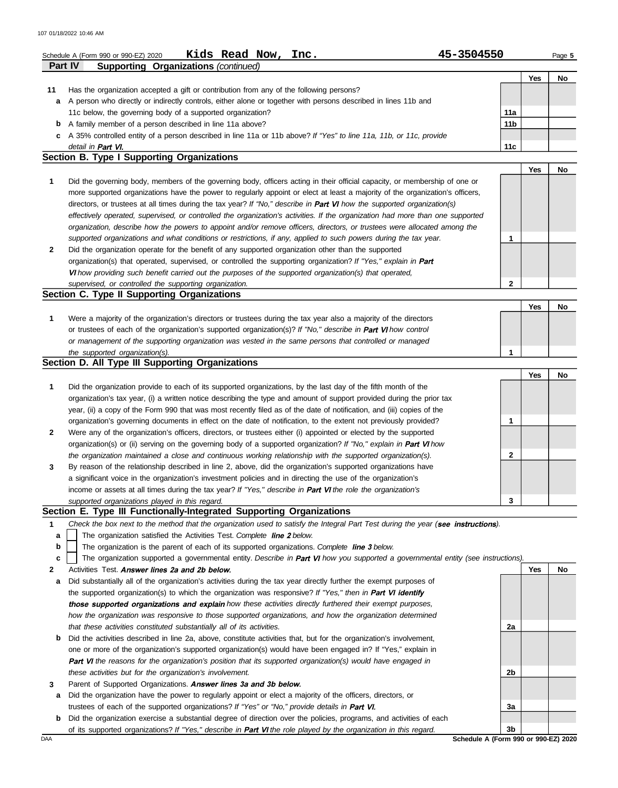|    | Kids Read Now, Inc.<br>Schedule A (Form 990 or 990-EZ) 2020                                                                    | 45-3504550      |            | Page 5 |  |  |  |  |
|----|--------------------------------------------------------------------------------------------------------------------------------|-----------------|------------|--------|--|--|--|--|
|    | <b>Part IV</b><br><b>Supporting Organizations (continued)</b>                                                                  |                 |            |        |  |  |  |  |
|    |                                                                                                                                |                 | <b>Yes</b> | No     |  |  |  |  |
| 11 | Has the organization accepted a gift or contribution from any of the following persons?                                        |                 |            |        |  |  |  |  |
| a  | A person who directly or indirectly controls, either alone or together with persons described in lines 11b and                 |                 |            |        |  |  |  |  |
|    | 11c below, the governing body of a supported organization?                                                                     |                 |            |        |  |  |  |  |
| b  | A family member of a person described in line 11a above?                                                                       | 11 <sub>b</sub> |            |        |  |  |  |  |
| C  | A 35% controlled entity of a person described in line 11a or 11b above? If "Yes" to line 11a, 11b, or 11c, provide             |                 |            |        |  |  |  |  |
|    | detail in Part VI.                                                                                                             | 11c             |            |        |  |  |  |  |
|    | Section B. Type I Supporting Organizations                                                                                     |                 |            |        |  |  |  |  |
|    |                                                                                                                                |                 | <b>Yes</b> | No     |  |  |  |  |
|    | Did the governing body, members of the governing body, officers acting in their official capacity, or membership of one or     |                 |            |        |  |  |  |  |
|    | more supported organizations have the power to regularly appoint or elect at least a majority of the organization's officers,  |                 |            |        |  |  |  |  |
|    | directors, or trustees at all times during the tax year? If "No," describe in Part VI how the supported organization(s)        |                 |            |        |  |  |  |  |
|    | effectively operated, supervised, or controlled the organization's activities. If the organization had more than one supported |                 |            |        |  |  |  |  |
|    | organization, describe how the powers to appoint and/or remove officers, directors, or trustees were allocated among the       |                 |            |        |  |  |  |  |
|    | supported organizations and what conditions or restrictions, if any, applied to such powers during the tax year.               |                 |            |        |  |  |  |  |
|    |                                                                                                                                |                 |            |        |  |  |  |  |

| Section C. Type II Supporting Organizations                                                                     |  |  |
|-----------------------------------------------------------------------------------------------------------------|--|--|
| supervised, or controlled the supporting organization.                                                          |  |  |
| VI how providing such benefit carried out the purposes of the supported organization(s) that operated,          |  |  |
| organization(s) that operated, supervised, or controlled the supporting organization? If "Yes," explain in Part |  |  |
| Did the organization operate for the benefit of any supported organization other than the supported             |  |  |
|                                                                                                                 |  |  |

| Were a majority of the organization's directors or trustees during the tax year also a majority of the directors     |  |  |
|----------------------------------------------------------------------------------------------------------------------|--|--|
| or trustees of each of the organization's supported organization(s)? If "No," describe in <b>Part VI</b> how control |  |  |
| or management of the supporting organization was vested in the same persons that controlled or managed               |  |  |
| the supported organization(s).                                                                                       |  |  |

#### **Section D. All Type III Supporting Organizations**

|              |                                                                                                                           |   | Yes | No |
|--------------|---------------------------------------------------------------------------------------------------------------------------|---|-----|----|
| 1            | Did the organization provide to each of its supported organizations, by the last day of the fifth month of the            |   |     |    |
|              | organization's tax year, (i) a written notice describing the type and amount of support provided during the prior tax     |   |     |    |
|              | year, (ii) a copy of the Form 990 that was most recently filed as of the date of notification, and (iii) copies of the    |   |     |    |
|              | organization's governing documents in effect on the date of notification, to the extent not previously provided?          |   |     |    |
| $\mathbf{2}$ | Were any of the organization's officers, directors, or trustees either (i) appointed or elected by the supported          |   |     |    |
|              | organization(s) or (ii) serving on the governing body of a supported organization? If "No," explain in <b>Part VI</b> how |   |     |    |
|              | the organization maintained a close and continuous working relationship with the supported organization(s).               | 2 |     |    |
| $\mathbf{3}$ | By reason of the relationship described in line 2, above, did the organization's supported organizations have             |   |     |    |
|              | a significant voice in the organization's investment policies and in directing the use of the organization's              |   |     |    |
|              | income or assets at all times during the tax year? If "Yes," describe in Part VI the role the organization's              |   |     |    |
|              | supported organizations played in this regard.                                                                            | 3 |     |    |

## **Section E. Type III Functionally-Integrated Supporting Organizations**

- **1** *Check the box next to the method that the organization used to satisfy the Integral Part Test during the year (see instructions).* 
	- The organization satisfied the Activities Test. Complete line 2 below. **a**
	- The organization is the parent of each of its supported organizations. Complete line 3 below. **b**
	- **c** | The organization supported a governmental entity. Describe in Part VI how you supported a governmental entity (see instructions).
- **2** Activities Test. Answer lines 2a and 2b below.
- **a** Did substantially all of the organization's activities during the tax year directly further the exempt purposes of the supported organization(s) to which the organization was responsive? *If "Yes," then in*  those supported organizations and explain how these activities directly furthered their exempt purposes, *how the organization was responsive to those supported organizations, and how the organization determined that these activities constituted substantially all of its activities.*
- **b** Did the activities described in line 2a, above, constitute activities that, but for the organization's involvement, one or more of the organization's supported organization(s) would have been engaged in? If "Yes," explain in *the reasons for the organization's position that its supported organization(s) would have engaged in these activities but for the organization's involvement.*
- **3** Parent of Supported Organizations. Answer lines 3a and 3b below.
- **a** Did the organization have the power to regularly appoint or elect a majority of the officers, directors, or trustees of each of the supported organizations? *If "Yes" or "No," provide details in*
- **b** Did the organization exercise a substantial degree of direction over the policies, programs, and activities of each of its supported organizations? *If "Yes," describe in Part VI the role played by the organization in this regard.*



DAA **Schedule A (Form 990 or 990-EZ) 2020**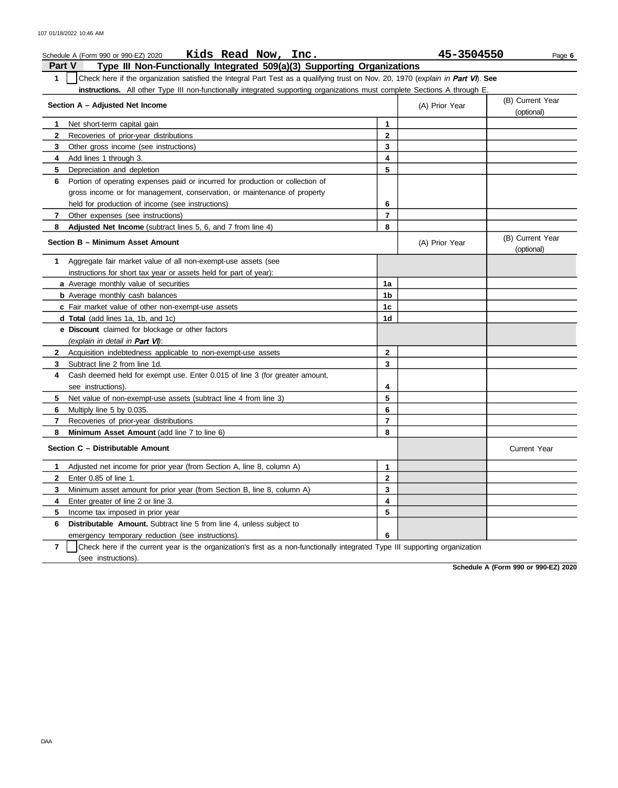|                |                                                                                           | Page 6                                                                                                                                                                                                                                                                                                                                                |
|----------------|-------------------------------------------------------------------------------------------|-------------------------------------------------------------------------------------------------------------------------------------------------------------------------------------------------------------------------------------------------------------------------------------------------------------------------------------------------------|
|                |                                                                                           |                                                                                                                                                                                                                                                                                                                                                       |
|                |                                                                                           |                                                                                                                                                                                                                                                                                                                                                       |
|                | (A) Prior Year                                                                            | (B) Current Year<br>(optional)                                                                                                                                                                                                                                                                                                                        |
|                |                                                                                           |                                                                                                                                                                                                                                                                                                                                                       |
|                |                                                                                           |                                                                                                                                                                                                                                                                                                                                                       |
|                |                                                                                           |                                                                                                                                                                                                                                                                                                                                                       |
|                |                                                                                           |                                                                                                                                                                                                                                                                                                                                                       |
|                |                                                                                           |                                                                                                                                                                                                                                                                                                                                                       |
|                |                                                                                           |                                                                                                                                                                                                                                                                                                                                                       |
|                |                                                                                           |                                                                                                                                                                                                                                                                                                                                                       |
|                |                                                                                           |                                                                                                                                                                                                                                                                                                                                                       |
|                |                                                                                           |                                                                                                                                                                                                                                                                                                                                                       |
|                |                                                                                           |                                                                                                                                                                                                                                                                                                                                                       |
|                | (A) Prior Year                                                                            | (B) Current Year<br>(optional)                                                                                                                                                                                                                                                                                                                        |
|                |                                                                                           |                                                                                                                                                                                                                                                                                                                                                       |
|                |                                                                                           |                                                                                                                                                                                                                                                                                                                                                       |
| 1a             |                                                                                           |                                                                                                                                                                                                                                                                                                                                                       |
| 1b             |                                                                                           |                                                                                                                                                                                                                                                                                                                                                       |
| 1c             |                                                                                           |                                                                                                                                                                                                                                                                                                                                                       |
| 1d             |                                                                                           |                                                                                                                                                                                                                                                                                                                                                       |
|                |                                                                                           |                                                                                                                                                                                                                                                                                                                                                       |
|                |                                                                                           |                                                                                                                                                                                                                                                                                                                                                       |
| $\mathbf{2}$   |                                                                                           |                                                                                                                                                                                                                                                                                                                                                       |
| 3              |                                                                                           |                                                                                                                                                                                                                                                                                                                                                       |
|                |                                                                                           |                                                                                                                                                                                                                                                                                                                                                       |
| 4              |                                                                                           |                                                                                                                                                                                                                                                                                                                                                       |
| 5              |                                                                                           |                                                                                                                                                                                                                                                                                                                                                       |
| 6              |                                                                                           |                                                                                                                                                                                                                                                                                                                                                       |
| $\overline{7}$ |                                                                                           |                                                                                                                                                                                                                                                                                                                                                       |
| 8              |                                                                                           |                                                                                                                                                                                                                                                                                                                                                       |
|                |                                                                                           | <b>Current Year</b>                                                                                                                                                                                                                                                                                                                                   |
|                |                                                                                           |                                                                                                                                                                                                                                                                                                                                                       |
|                |                                                                                           |                                                                                                                                                                                                                                                                                                                                                       |
|                |                                                                                           |                                                                                                                                                                                                                                                                                                                                                       |
|                |                                                                                           |                                                                                                                                                                                                                                                                                                                                                       |
|                |                                                                                           |                                                                                                                                                                                                                                                                                                                                                       |
|                |                                                                                           |                                                                                                                                                                                                                                                                                                                                                       |
|                |                                                                                           |                                                                                                                                                                                                                                                                                                                                                       |
|                | 1<br>2<br>3<br>4<br>5<br>6<br>$\overline{7}$<br>8<br>1<br>$\mathbf 2$<br>3<br>4<br>5<br>6 | 45-3504550<br>Type III Non-Functionally Integrated 509(a)(3) Supporting Organizations<br>Check here if the organization satisfied the Integral Part Test as a qualifying trust on Nov. 20, 1970 (explain in Part VI). See<br>instructions. All other Type III non-functionally integrated supporting organizations must complete Sections A through E |

**7** | Check here if the current year is the organization's first as a non-functionally integrated Type III supporting organization (see instructions).

**Schedule A (Form 990 or 990-EZ) 2020**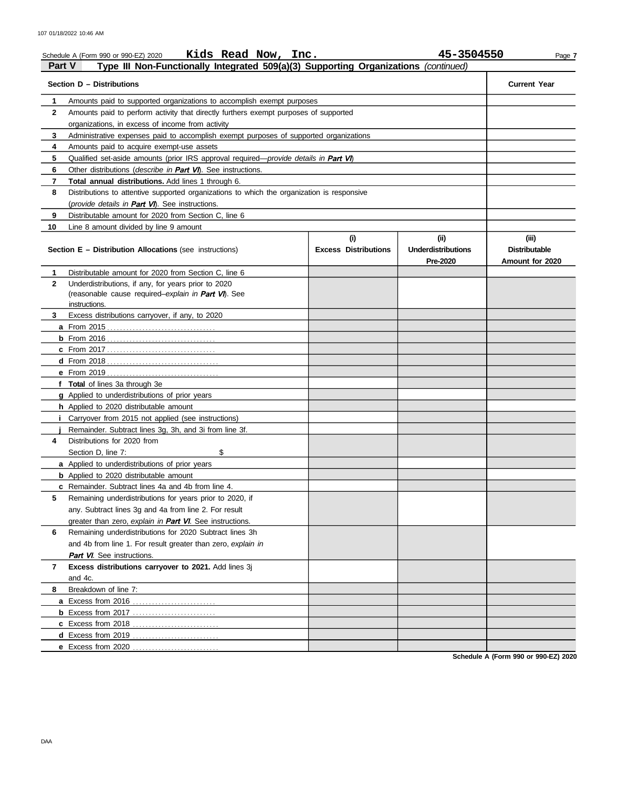|              | Kids Read Now, Inc.<br>Schedule A (Form 990 or 990-EZ) 2020                                   |                                    | 45-3504550                                    | Page 7                                           |
|--------------|-----------------------------------------------------------------------------------------------|------------------------------------|-----------------------------------------------|--------------------------------------------------|
| Part V       | Type III Non-Functionally Integrated 509(a)(3) Supporting Organizations (continued)           |                                    |                                               |                                                  |
|              | Section D - Distributions                                                                     |                                    |                                               | <b>Current Year</b>                              |
| 1            | Amounts paid to supported organizations to accomplish exempt purposes                         |                                    |                                               |                                                  |
| $\mathbf{2}$ | Amounts paid to perform activity that directly furthers exempt purposes of supported          |                                    |                                               |                                                  |
|              | organizations, in excess of income from activity                                              |                                    |                                               |                                                  |
| 3            | Administrative expenses paid to accomplish exempt purposes of supported organizations         |                                    |                                               |                                                  |
| 4            | Amounts paid to acquire exempt-use assets                                                     |                                    |                                               |                                                  |
| 5            | Qualified set-aside amounts (prior IRS approval required— <i>provide details in Part VI</i> ) |                                    |                                               |                                                  |
| 6            | Other distributions (describe in <b>Part VI</b> ). See instructions.                          |                                    |                                               |                                                  |
| 7            | Total annual distributions. Add lines 1 through 6.                                            |                                    |                                               |                                                  |
| 8            | Distributions to attentive supported organizations to which the organization is responsive    |                                    |                                               |                                                  |
|              | (provide details in Part VI). See instructions.                                               |                                    |                                               |                                                  |
| 9            | Distributable amount for 2020 from Section C, line 6                                          |                                    |                                               |                                                  |
| 10           | Line 8 amount divided by line 9 amount                                                        |                                    |                                               |                                                  |
|              | Section E - Distribution Allocations (see instructions)                                       | (i)<br><b>Excess Distributions</b> | (ii)<br><b>Underdistributions</b><br>Pre-2020 | (iii)<br><b>Distributable</b><br>Amount for 2020 |
| 1            | Distributable amount for 2020 from Section C, line 6                                          |                                    |                                               |                                                  |
| $\mathbf{2}$ | Underdistributions, if any, for years prior to 2020                                           |                                    |                                               |                                                  |
|              | (reasonable cause required-explain in Part VI). See                                           |                                    |                                               |                                                  |
|              | instructions.                                                                                 |                                    |                                               |                                                  |
| 3            | Excess distributions carryover, if any, to 2020                                               |                                    |                                               |                                                  |
|              |                                                                                               |                                    |                                               |                                                  |
|              |                                                                                               |                                    |                                               |                                                  |
|              |                                                                                               |                                    |                                               |                                                  |
|              |                                                                                               |                                    |                                               |                                                  |
|              | f Total of lines 3a through 3e                                                                |                                    |                                               |                                                  |
|              | g Applied to underdistributions of prior years                                                |                                    |                                               |                                                  |
|              | <b>h</b> Applied to 2020 distributable amount                                                 |                                    |                                               |                                                  |
|              | Carryover from 2015 not applied (see instructions)                                            |                                    |                                               |                                                  |
|              | Remainder. Subtract lines 3g, 3h, and 3i from line 3f.                                        |                                    |                                               |                                                  |
| 4            | Distributions for 2020 from                                                                   |                                    |                                               |                                                  |
|              | \$<br>Section D, line 7:                                                                      |                                    |                                               |                                                  |
|              | a Applied to underdistributions of prior years                                                |                                    |                                               |                                                  |
|              | <b>b</b> Applied to 2020 distributable amount                                                 |                                    |                                               |                                                  |
|              | <b>c</b> Remainder. Subtract lines 4a and 4b from line 4.                                     |                                    |                                               |                                                  |
| 5            | Remaining underdistributions for years prior to 2020, if                                      |                                    |                                               |                                                  |
|              | any. Subtract lines 3g and 4a from line 2. For result                                         |                                    |                                               |                                                  |
|              | greater than zero, explain in Part VI. See instructions.                                      |                                    |                                               |                                                  |
| 6            | Remaining underdistributions for 2020 Subtract lines 3h                                       |                                    |                                               |                                                  |
|              | and 4b from line 1. For result greater than zero, explain in                                  |                                    |                                               |                                                  |
|              | <b>Part VI.</b> See instructions.                                                             |                                    |                                               |                                                  |
| 7            | Excess distributions carryover to 2021. Add lines 3j                                          |                                    |                                               |                                                  |
|              | and 4c.                                                                                       |                                    |                                               |                                                  |
| 8            | Breakdown of line 7:                                                                          |                                    |                                               |                                                  |
|              | a Excess from 2016                                                                            |                                    |                                               |                                                  |
|              |                                                                                               |                                    |                                               |                                                  |
|              | d Excess from 2019                                                                            |                                    |                                               |                                                  |
|              |                                                                                               |                                    |                                               |                                                  |
|              |                                                                                               |                                    |                                               |                                                  |

**Schedule A (Form 990 or 990-EZ) 2020**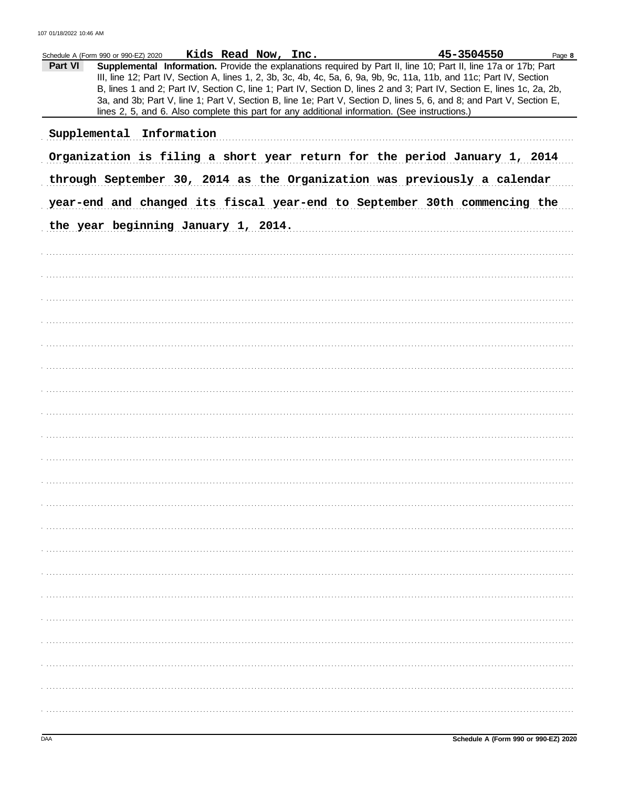|         | Schedule A (Form 990 or 990-EZ) 2020                                                           | Kids Read Now, Inc. |  | 45-3504550                                                                                                                                                                                                                                                                                                                                                                                                                                                                                | Page 8 |
|---------|------------------------------------------------------------------------------------------------|---------------------|--|-------------------------------------------------------------------------------------------------------------------------------------------------------------------------------------------------------------------------------------------------------------------------------------------------------------------------------------------------------------------------------------------------------------------------------------------------------------------------------------------|--------|
| Part VI | lines 2, 5, and 6. Also complete this part for any additional information. (See instructions.) |                     |  | Supplemental Information. Provide the explanations required by Part II, line 10; Part II, line 17a or 17b; Part<br>III, line 12; Part IV, Section A, lines 1, 2, 3b, 3c, 4b, 4c, 5a, 6, 9a, 9b, 9c, 11a, 11b, and 11c; Part IV, Section<br>B, lines 1 and 2; Part IV, Section C, line 1; Part IV, Section D, lines 2 and 3; Part IV, Section E, lines 1c, 2a, 2b,<br>3a, and 3b; Part V, line 1; Part V, Section B, line 1e; Part V, Section D, lines 5, 6, and 8; and Part V, Section E, |        |
|         | Supplemental Information                                                                       |                     |  |                                                                                                                                                                                                                                                                                                                                                                                                                                                                                           |        |
|         | Organization is filing a short year return for the period January 1, 2014                      |                     |  |                                                                                                                                                                                                                                                                                                                                                                                                                                                                                           |        |
|         | through September 30, 2014 as the Organization was previously a calendar                       |                     |  |                                                                                                                                                                                                                                                                                                                                                                                                                                                                                           |        |
|         | year-end and changed its fiscal year-end to September 30th commencing the                      |                     |  |                                                                                                                                                                                                                                                                                                                                                                                                                                                                                           |        |
|         | the year beginning January 1, 2014.                                                            |                     |  |                                                                                                                                                                                                                                                                                                                                                                                                                                                                                           |        |
|         |                                                                                                |                     |  |                                                                                                                                                                                                                                                                                                                                                                                                                                                                                           |        |
|         |                                                                                                |                     |  |                                                                                                                                                                                                                                                                                                                                                                                                                                                                                           |        |
|         |                                                                                                |                     |  |                                                                                                                                                                                                                                                                                                                                                                                                                                                                                           |        |
|         |                                                                                                |                     |  |                                                                                                                                                                                                                                                                                                                                                                                                                                                                                           |        |
|         |                                                                                                |                     |  |                                                                                                                                                                                                                                                                                                                                                                                                                                                                                           |        |
|         |                                                                                                |                     |  |                                                                                                                                                                                                                                                                                                                                                                                                                                                                                           |        |
|         |                                                                                                |                     |  |                                                                                                                                                                                                                                                                                                                                                                                                                                                                                           |        |
|         |                                                                                                |                     |  |                                                                                                                                                                                                                                                                                                                                                                                                                                                                                           |        |
|         |                                                                                                |                     |  |                                                                                                                                                                                                                                                                                                                                                                                                                                                                                           |        |
|         |                                                                                                |                     |  |                                                                                                                                                                                                                                                                                                                                                                                                                                                                                           |        |
|         |                                                                                                |                     |  |                                                                                                                                                                                                                                                                                                                                                                                                                                                                                           |        |
|         |                                                                                                |                     |  |                                                                                                                                                                                                                                                                                                                                                                                                                                                                                           |        |
|         |                                                                                                |                     |  |                                                                                                                                                                                                                                                                                                                                                                                                                                                                                           |        |
|         |                                                                                                |                     |  |                                                                                                                                                                                                                                                                                                                                                                                                                                                                                           |        |
|         |                                                                                                |                     |  |                                                                                                                                                                                                                                                                                                                                                                                                                                                                                           |        |
|         |                                                                                                |                     |  |                                                                                                                                                                                                                                                                                                                                                                                                                                                                                           |        |
|         |                                                                                                |                     |  |                                                                                                                                                                                                                                                                                                                                                                                                                                                                                           |        |
|         |                                                                                                |                     |  |                                                                                                                                                                                                                                                                                                                                                                                                                                                                                           |        |
|         |                                                                                                |                     |  |                                                                                                                                                                                                                                                                                                                                                                                                                                                                                           |        |
|         |                                                                                                |                     |  |                                                                                                                                                                                                                                                                                                                                                                                                                                                                                           |        |
|         |                                                                                                |                     |  |                                                                                                                                                                                                                                                                                                                                                                                                                                                                                           |        |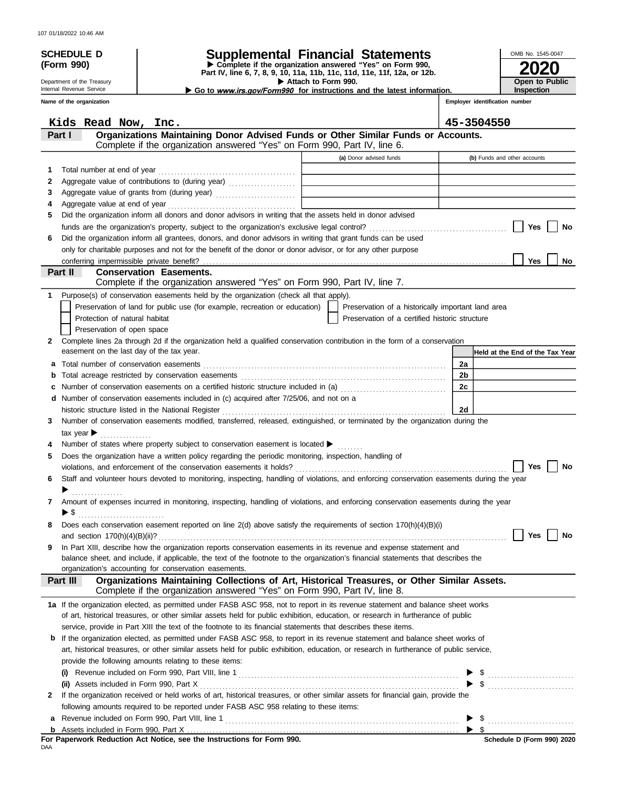| 107 01/18/2022 10:46 AM |  |  |  |
|-------------------------|--|--|--|
|-------------------------|--|--|--|

|             | 107 01/18/2022 10:46 AM<br><b>SCHEDULE D</b>                                                                                                                                                                                                  |                                                                            |  | <b>Supplemental Financial Statements</b>                                 |                     |                         |                                                                                              |    |                                | OMB No. 1545-0047            |                                 |
|-------------|-----------------------------------------------------------------------------------------------------------------------------------------------------------------------------------------------------------------------------------------------|----------------------------------------------------------------------------|--|--------------------------------------------------------------------------|---------------------|-------------------------|----------------------------------------------------------------------------------------------|----|--------------------------------|------------------------------|---------------------------------|
|             | (Form 990)                                                                                                                                                                                                                                    |                                                                            |  | Complete if the organization answered "Yes" on Form 990,                 |                     |                         |                                                                                              |    |                                |                              |                                 |
|             | Department of the Treasury                                                                                                                                                                                                                    |                                                                            |  | Part IV, line 6, 7, 8, 9, 10, 11a, 11b, 11c, 11d, 11e, 11f, 12a, or 12b. | Attach to Form 990. |                         |                                                                                              |    |                                |                              | Open to Public                  |
|             | Internal Revenue Service                                                                                                                                                                                                                      |                                                                            |  |                                                                          |                     |                         | Go to <i>www.irs.gov/Form990</i> for instructions and the latest information.                |    |                                | Inspection                   |                                 |
|             | Name of the organization                                                                                                                                                                                                                      |                                                                            |  |                                                                          |                     |                         |                                                                                              |    | Employer identification number |                              |                                 |
|             | Kids Read Now, Inc.                                                                                                                                                                                                                           |                                                                            |  |                                                                          |                     |                         |                                                                                              |    | 45-3504550                     |                              |                                 |
| Part I      |                                                                                                                                                                                                                                               |                                                                            |  |                                                                          |                     |                         | Organizations Maintaining Donor Advised Funds or Other Similar Funds or Accounts.            |    |                                |                              |                                 |
|             |                                                                                                                                                                                                                                               | Complete if the organization answered "Yes" on Form 990, Part IV, line 6.  |  |                                                                          |                     | (a) Donor advised funds |                                                                                              |    |                                | (b) Funds and other accounts |                                 |
| 1.          | Total number at end of year                                                                                                                                                                                                                   |                                                                            |  |                                                                          |                     |                         |                                                                                              |    |                                |                              |                                 |
| 2           | Aggregate value of contributions to (during year) Materian Materian Material Property Contributions of Contributions to (during year)                                                                                                         |                                                                            |  |                                                                          |                     |                         |                                                                                              |    |                                |                              |                                 |
| 3           |                                                                                                                                                                                                                                               |                                                                            |  |                                                                          |                     |                         |                                                                                              |    |                                |                              |                                 |
| 4           | Aggregate value at end of year                                                                                                                                                                                                                |                                                                            |  |                                                                          |                     |                         |                                                                                              |    |                                |                              |                                 |
| 5.          | Did the organization inform all donors and donor advisors in writing that the assets held in donor advised                                                                                                                                    |                                                                            |  |                                                                          |                     |                         |                                                                                              |    |                                |                              |                                 |
|             |                                                                                                                                                                                                                                               |                                                                            |  |                                                                          |                     |                         |                                                                                              |    |                                | Yes                          | No                              |
| 6           | Did the organization inform all grantees, donors, and donor advisors in writing that grant funds can be used<br>only for charitable purposes and not for the benefit of the donor or donor advisor, or for any other purpose                  |                                                                            |  |                                                                          |                     |                         |                                                                                              |    |                                |                              |                                 |
|             |                                                                                                                                                                                                                                               |                                                                            |  |                                                                          |                     |                         |                                                                                              |    |                                | Yes                          | No                              |
| Part II     |                                                                                                                                                                                                                                               | <b>Conservation Easements.</b>                                             |  |                                                                          |                     |                         |                                                                                              |    |                                |                              |                                 |
|             |                                                                                                                                                                                                                                               | Complete if the organization answered "Yes" on Form 990, Part IV, line 7.  |  |                                                                          |                     |                         |                                                                                              |    |                                |                              |                                 |
| $\mathbf 1$ | Purpose(s) of conservation easements held by the organization (check all that apply).                                                                                                                                                         |                                                                            |  |                                                                          |                     |                         |                                                                                              |    |                                |                              |                                 |
|             |                                                                                                                                                                                                                                               | Preservation of land for public use (for example, recreation or education) |  |                                                                          |                     |                         | Preservation of a historically important land area                                           |    |                                |                              |                                 |
|             | Protection of natural habitat<br>Preservation of open space                                                                                                                                                                                   |                                                                            |  |                                                                          |                     |                         | Preservation of a certified historic structure                                               |    |                                |                              |                                 |
| 2           | Complete lines 2a through 2d if the organization held a qualified conservation contribution in the form of a conservation                                                                                                                     |                                                                            |  |                                                                          |                     |                         |                                                                                              |    |                                |                              |                                 |
|             | easement on the last day of the tax year.                                                                                                                                                                                                     |                                                                            |  |                                                                          |                     |                         |                                                                                              |    |                                |                              | Held at the End of the Tax Year |
| а           |                                                                                                                                                                                                                                               |                                                                            |  |                                                                          |                     |                         |                                                                                              | 2a |                                |                              |                                 |
| b           | Total acreage restricted by conservation easements                                                                                                                                                                                            |                                                                            |  |                                                                          |                     |                         |                                                                                              | 2b |                                |                              |                                 |
| с           | Number of conservation easements on a certified historic structure included in (a) [[[[[[[[[[[[[[[[[[[[[[[[[]]]]]]]                                                                                                                           |                                                                            |  |                                                                          |                     |                         |                                                                                              | 2c |                                |                              |                                 |
|             | <b>d</b> Number of conservation easements included in (c) acquired after $7/25/06$ , and not on a                                                                                                                                             |                                                                            |  |                                                                          |                     |                         |                                                                                              |    |                                |                              |                                 |
| 3.          | historic structure listed in the National Register<br>Number of conservation easements modified, transferred, released, extinguished, or terminated by the organization during the                                                            |                                                                            |  |                                                                          |                     |                         |                                                                                              | 2d |                                |                              |                                 |
|             | tax year                                                                                                                                                                                                                                      |                                                                            |  |                                                                          |                     |                         |                                                                                              |    |                                |                              |                                 |
|             | Number of states where property subject to conservation easement is located $\blacktriangleright$                                                                                                                                             |                                                                            |  |                                                                          |                     |                         |                                                                                              |    |                                |                              |                                 |
| 5           | Does the organization have a written policy regarding the periodic monitoring, inspection, handling of                                                                                                                                        |                                                                            |  |                                                                          |                     |                         |                                                                                              |    |                                |                              |                                 |
|             |                                                                                                                                                                                                                                               |                                                                            |  |                                                                          |                     |                         |                                                                                              |    |                                | Yes                          | No                              |
| 6           | Staff and volunteer hours devoted to monitoring, inspecting, handling of violations, and enforcing conservation easements during the year                                                                                                     |                                                                            |  |                                                                          |                     |                         |                                                                                              |    |                                |                              |                                 |
|             |                                                                                                                                                                                                                                               |                                                                            |  |                                                                          |                     |                         |                                                                                              |    |                                |                              |                                 |
| 7           | Amount of expenses incurred in monitoring, inspecting, handling of violations, and enforcing conservation easements during the year<br>$\blacktriangleright$ \$                                                                               |                                                                            |  |                                                                          |                     |                         |                                                                                              |    |                                |                              |                                 |
| 8           | Does each conservation easement reported on line 2(d) above satisfy the requirements of section 170(h)(4)(B)(i)                                                                                                                               |                                                                            |  |                                                                          |                     |                         |                                                                                              |    |                                |                              |                                 |
|             |                                                                                                                                                                                                                                               |                                                                            |  |                                                                          |                     |                         |                                                                                              |    |                                | Yes                          |                                 |
| 9           | In Part XIII, describe how the organization reports conservation easements in its revenue and expense statement and                                                                                                                           |                                                                            |  |                                                                          |                     |                         |                                                                                              |    |                                |                              |                                 |
|             | balance sheet, and include, if applicable, the text of the footnote to the organization's financial statements that describes the                                                                                                             |                                                                            |  |                                                                          |                     |                         |                                                                                              |    |                                |                              |                                 |
|             | organization's accounting for conservation easements.<br>Part III                                                                                                                                                                             |                                                                            |  |                                                                          |                     |                         | Organizations Maintaining Collections of Art, Historical Treasures, or Other Similar Assets. |    |                                |                              |                                 |
|             |                                                                                                                                                                                                                                               | Complete if the organization answered "Yes" on Form 990, Part IV, line 8.  |  |                                                                          |                     |                         |                                                                                              |    |                                |                              |                                 |
|             | 1a If the organization elected, as permitted under FASB ASC 958, not to report in its revenue statement and balance sheet works                                                                                                               |                                                                            |  |                                                                          |                     |                         |                                                                                              |    |                                |                              |                                 |
|             | of art, historical treasures, or other similar assets held for public exhibition, education, or research in furtherance of public                                                                                                             |                                                                            |  |                                                                          |                     |                         |                                                                                              |    |                                |                              |                                 |
| b           | service, provide in Part XIII the text of the footnote to its financial statements that describes these items.<br>If the organization elected, as permitted under FASB ASC 958, to report in its revenue statement and balance sheet works of |                                                                            |  |                                                                          |                     |                         |                                                                                              |    |                                |                              |                                 |
|             | art, historical treasures, or other similar assets held for public exhibition, education, or research in furtherance of public service,                                                                                                       |                                                                            |  |                                                                          |                     |                         |                                                                                              |    |                                |                              |                                 |
|             | provide the following amounts relating to these items:                                                                                                                                                                                        |                                                                            |  |                                                                          |                     |                         |                                                                                              |    |                                |                              |                                 |
|             | (i)                                                                                                                                                                                                                                           |                                                                            |  |                                                                          |                     |                         |                                                                                              |    |                                |                              |                                 |
|             | (ii) Assets included in Form 990, Part X                                                                                                                                                                                                      |                                                                            |  |                                                                          |                     |                         |                                                                                              |    |                                | $\frac{1}{2}$                |                                 |
| 2           | If the organization received or held works of art, historical treasures, or other similar assets for financial gain, provide the                                                                                                              |                                                                            |  |                                                                          |                     |                         |                                                                                              |    |                                |                              |                                 |
|             | following amounts required to be reported under FASB ASC 958 relating to these items:                                                                                                                                                         |                                                                            |  |                                                                          |                     |                         |                                                                                              |    |                                |                              |                                 |
|             |                                                                                                                                                                                                                                               |                                                                            |  |                                                                          |                     |                         |                                                                                              |    |                                |                              |                                 |

| Assets included in Form 990. Part |  |  |  |
|-----------------------------------|--|--|--|

For Paperwork Reduction Act Notice, see the Instructions for Form 990.<br><sub>DAA</sub>

| Schedule D (Form 990) 2020 |  |  |
|----------------------------|--|--|

 $\blacktriangleright$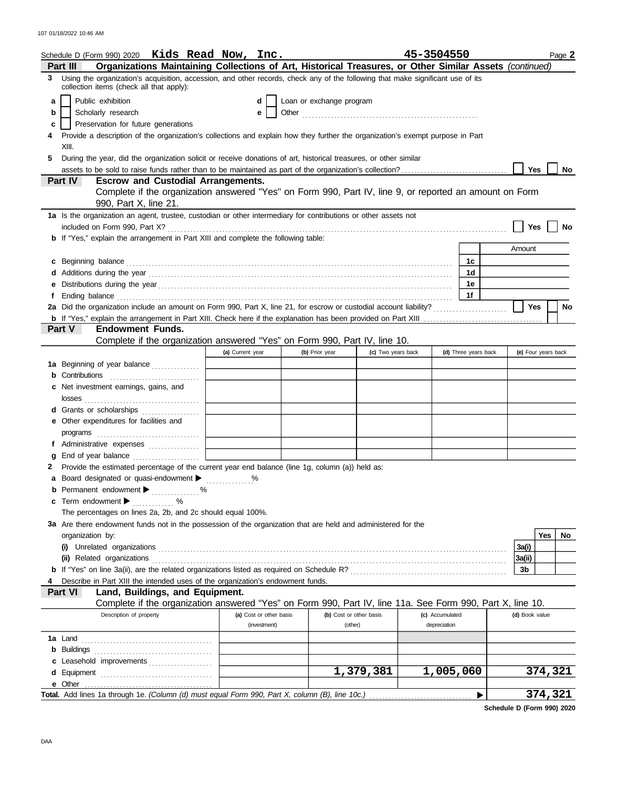| Schedule D (Form 990) 2020 Kids Read Now, Inc.                                                                                                                                                                                      |            |                                           |                                                                                                            |                         | 45-3504550      |                      | Page 2              |
|-------------------------------------------------------------------------------------------------------------------------------------------------------------------------------------------------------------------------------------|------------|-------------------------------------------|------------------------------------------------------------------------------------------------------------|-------------------------|-----------------|----------------------|---------------------|
| Part III                                                                                                                                                                                                                            |            |                                           | Organizations Maintaining Collections of Art, Historical Treasures, or Other Similar Assets (continued)    |                         |                 |                      |                     |
| Using the organization's acquisition, accession, and other records, check any of the following that make significant use of its<br>3.<br>collection items (check all that apply):                                                   |            |                                           |                                                                                                            |                         |                 |                      |                     |
| Public exhibition<br>a                                                                                                                                                                                                              |            | d                                         | Loan or exchange program                                                                                   |                         |                 |                      |                     |
| Scholarly research<br>b                                                                                                                                                                                                             |            | е                                         |                                                                                                            |                         |                 |                      |                     |
| Preservation for future generations<br>с                                                                                                                                                                                            |            |                                           |                                                                                                            |                         |                 |                      |                     |
| Provide a description of the organization's collections and explain how they further the organization's exempt purpose in Part                                                                                                      |            |                                           |                                                                                                            |                         |                 |                      |                     |
| XIII.                                                                                                                                                                                                                               |            |                                           |                                                                                                            |                         |                 |                      |                     |
| During the year, did the organization solicit or receive donations of art, historical treasures, or other similar<br>5                                                                                                              |            |                                           |                                                                                                            |                         |                 |                      |                     |
|                                                                                                                                                                                                                                     |            |                                           |                                                                                                            |                         |                 |                      | <b>Yes</b><br>No.   |
| Part IV                                                                                                                                                                                                                             |            | <b>Escrow and Custodial Arrangements.</b> |                                                                                                            |                         |                 |                      |                     |
| 990, Part X, line 21.                                                                                                                                                                                                               |            |                                           | Complete if the organization answered "Yes" on Form 990, Part IV, line 9, or reported an amount on Form    |                         |                 |                      |                     |
| 1a Is the organization an agent, trustee, custodian or other intermediary for contributions or other assets not                                                                                                                     |            |                                           |                                                                                                            |                         |                 |                      |                     |
|                                                                                                                                                                                                                                     |            |                                           |                                                                                                            |                         |                 |                      | Yes<br>No           |
| <b>b</b> If "Yes," explain the arrangement in Part XIII and complete the following table:                                                                                                                                           |            |                                           |                                                                                                            |                         |                 |                      |                     |
|                                                                                                                                                                                                                                     |            |                                           |                                                                                                            |                         |                 |                      | Amount              |
| c                                                                                                                                                                                                                                   |            |                                           |                                                                                                            |                         |                 | 1c                   |                     |
|                                                                                                                                                                                                                                     |            |                                           |                                                                                                            |                         |                 | 1 <sub>d</sub>       |                     |
|                                                                                                                                                                                                                                     |            |                                           |                                                                                                            |                         |                 | 1e                   |                     |
| Ending balance <b>construction and the construction of the construction</b> of the construction of the construction of the construction of the construction of the construction of the construction of the construction of the cons |            |                                           |                                                                                                            |                         |                 | 1f                   |                     |
|                                                                                                                                                                                                                                     |            |                                           |                                                                                                            |                         |                 |                      | <b>Yes</b><br>No    |
|                                                                                                                                                                                                                                     |            |                                           |                                                                                                            |                         |                 |                      |                     |
| Part V<br><b>Endowment Funds.</b>                                                                                                                                                                                                   |            |                                           |                                                                                                            |                         |                 |                      |                     |
|                                                                                                                                                                                                                                     |            |                                           | Complete if the organization answered "Yes" on Form 990, Part IV, line 10.                                 |                         |                 |                      |                     |
|                                                                                                                                                                                                                                     |            | (a) Current year                          | (b) Prior year                                                                                             | (c) Two years back      |                 | (d) Three years back | (e) Four years back |
| 1a Beginning of year balance                                                                                                                                                                                                        |            |                                           |                                                                                                            |                         |                 |                      |                     |
| Contributions                                                                                                                                                                                                                       |            |                                           |                                                                                                            |                         |                 |                      |                     |
| Net investment earnings, gains, and                                                                                                                                                                                                 |            |                                           |                                                                                                            |                         |                 |                      |                     |
|                                                                                                                                                                                                                                     |            |                                           |                                                                                                            |                         |                 |                      |                     |
| Grants or scholarships<br>d                                                                                                                                                                                                         |            |                                           |                                                                                                            |                         |                 |                      |                     |
| Other expenditures for facilities and<br>е                                                                                                                                                                                          |            |                                           |                                                                                                            |                         |                 |                      |                     |
|                                                                                                                                                                                                                                     |            |                                           |                                                                                                            |                         |                 |                      |                     |
| Administrative expenses                                                                                                                                                                                                             |            |                                           |                                                                                                            |                         |                 |                      |                     |
|                                                                                                                                                                                                                                     |            |                                           |                                                                                                            |                         |                 |                      |                     |
| Provide the estimated percentage of the current year end balance (line 1g, column (a)) held as:                                                                                                                                     |            |                                           |                                                                                                            |                         |                 |                      |                     |
| a Board designated or quasi-endowment >                                                                                                                                                                                             |            |                                           |                                                                                                            |                         |                 |                      |                     |
| <b>b</b> Permanent endowment $\blacktriangleright$                                                                                                                                                                                  |            |                                           |                                                                                                            |                         |                 |                      |                     |
| c Term endowment $\blacktriangleright$                                                                                                                                                                                              | . %<br>. % |                                           |                                                                                                            |                         |                 |                      |                     |
| The percentages on lines 2a, 2b, and 2c should equal 100%.                                                                                                                                                                          |            |                                           |                                                                                                            |                         |                 |                      |                     |
| 3a Are there endowment funds not in the possession of the organization that are held and administered for the                                                                                                                       |            |                                           |                                                                                                            |                         |                 |                      |                     |
| organization by:                                                                                                                                                                                                                    |            |                                           |                                                                                                            |                         |                 |                      | Yes<br>No           |
|                                                                                                                                                                                                                                     |            |                                           |                                                                                                            |                         |                 |                      | 3a(i)               |
| (ii) Related organizations                                                                                                                                                                                                          |            |                                           |                                                                                                            |                         |                 |                      | 3a(ii)              |
|                                                                                                                                                                                                                                     |            |                                           |                                                                                                            |                         |                 |                      | 3b                  |
| Describe in Part XIII the intended uses of the organization's endowment funds.                                                                                                                                                      |            |                                           |                                                                                                            |                         |                 |                      |                     |
| Land, Buildings, and Equipment.<br>Part VI                                                                                                                                                                                          |            |                                           |                                                                                                            |                         |                 |                      |                     |
|                                                                                                                                                                                                                                     |            |                                           | Complete if the organization answered "Yes" on Form 990, Part IV, line 11a. See Form 990, Part X, line 10. |                         |                 |                      |                     |
| Description of property                                                                                                                                                                                                             |            | (a) Cost or other basis                   |                                                                                                            | (b) Cost or other basis | (c) Accumulated |                      | (d) Book value      |
|                                                                                                                                                                                                                                     |            | (investment)                              | (other)                                                                                                    |                         | depreciation    |                      |                     |
| <b>1a</b> Land                                                                                                                                                                                                                      |            |                                           |                                                                                                            |                         |                 |                      |                     |
| Buildings<br>b                                                                                                                                                                                                                      |            |                                           |                                                                                                            |                         |                 |                      |                     |
| c Leasehold improvements                                                                                                                                                                                                            |            |                                           |                                                                                                            |                         |                 |                      |                     |
|                                                                                                                                                                                                                                     |            |                                           |                                                                                                            | 1,379,381               | 1,005,060       |                      | 374,321             |
|                                                                                                                                                                                                                                     |            |                                           |                                                                                                            |                         |                 |                      |                     |
| Total. Add lines 1a through 1e. (Column (d) must equal Form 990, Part X, column (B), line 10c.).                                                                                                                                    |            |                                           |                                                                                                            |                         |                 |                      | 374,321             |
|                                                                                                                                                                                                                                     |            |                                           |                                                                                                            |                         |                 |                      |                     |

**Schedule D (Form 990) 2020**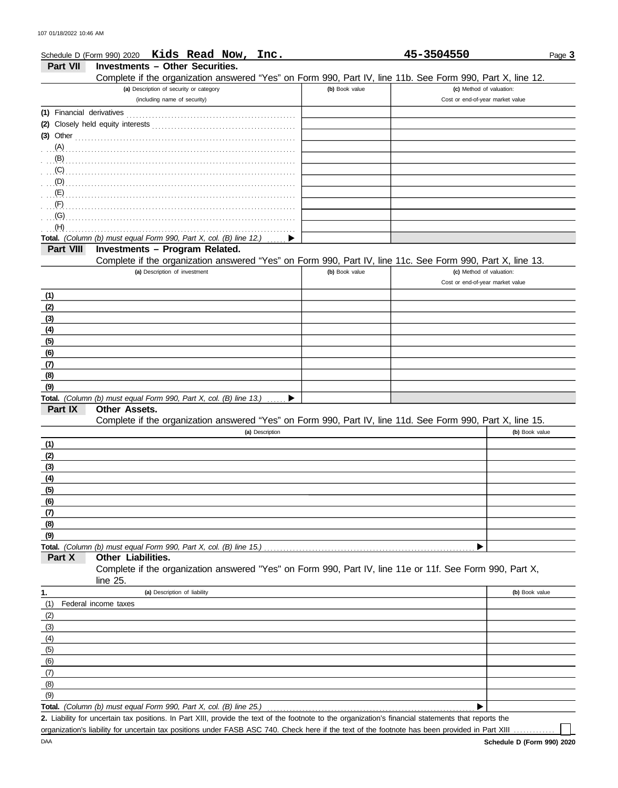|            | Schedule D (Form 990) 2020 Kids Read Now, Inc.                                                             |                | 45-3504550                       | Page 3         |
|------------|------------------------------------------------------------------------------------------------------------|----------------|----------------------------------|----------------|
| Part VII   | <b>Investments - Other Securities.</b>                                                                     |                |                                  |                |
|            | Complete if the organization answered "Yes" on Form 990, Part IV, line 11b. See Form 990, Part X, line 12. |                |                                  |                |
|            | (a) Description of security or category                                                                    | (b) Book value | (c) Method of valuation:         |                |
|            | (including name of security)                                                                               |                | Cost or end-of-year market value |                |
|            |                                                                                                            |                |                                  |                |
|            | (2) Closely held equity interests                                                                          |                |                                  |                |
|            | (3) Other $\ldots$                                                                                         |                |                                  |                |
| $(A)$ .    |                                                                                                            |                |                                  |                |
| $(B)$ .    |                                                                                                            |                |                                  |                |
| (C)        |                                                                                                            |                |                                  |                |
| (D)        |                                                                                                            |                |                                  |                |
| (E)        |                                                                                                            |                |                                  |                |
| (F)        |                                                                                                            |                |                                  |                |
| (G)<br>(H) |                                                                                                            |                |                                  |                |
|            | Total. (Column (b) must equal Form 990, Part X, col. (B) line 12.)                                         |                |                                  |                |
| Part VIII  | Investments - Program Related.                                                                             |                |                                  |                |
|            | Complete if the organization answered "Yes" on Form 990, Part IV, line 11c. See Form 990, Part X, line 13. |                |                                  |                |
|            | (a) Description of investment                                                                              | (b) Book value | (c) Method of valuation:         |                |
|            |                                                                                                            |                | Cost or end-of-year market value |                |
| (1)        |                                                                                                            |                |                                  |                |
| (2)        |                                                                                                            |                |                                  |                |
| (3)        |                                                                                                            |                |                                  |                |
| (4)        |                                                                                                            |                |                                  |                |
| (5)        |                                                                                                            |                |                                  |                |
| (6)        |                                                                                                            |                |                                  |                |
| (7)        |                                                                                                            |                |                                  |                |
| (8)        |                                                                                                            |                |                                  |                |
| (9)        |                                                                                                            |                |                                  |                |
|            | Total. (Column (b) must equal Form 990, Part X, col. (B) line 13.)<br>▶                                    |                |                                  |                |
| Part IX    | Other Assets.                                                                                              |                |                                  |                |
|            | Complete if the organization answered "Yes" on Form 990, Part IV, line 11d. See Form 990, Part X, line 15. |                |                                  |                |
|            | (a) Description                                                                                            |                |                                  | (b) Book value |
| (1)        |                                                                                                            |                |                                  |                |
| (2)        |                                                                                                            |                |                                  |                |
| (3)        |                                                                                                            |                |                                  |                |
| (4)        |                                                                                                            |                |                                  |                |
| (5)        |                                                                                                            |                |                                  |                |
| (6)        |                                                                                                            |                |                                  |                |
| (7)<br>(8) |                                                                                                            |                |                                  |                |
| (9)        |                                                                                                            |                |                                  |                |
|            | Total. (Column (b) must equal Form 990, Part X, col. (B) line 15.)                                         |                |                                  |                |
| Part X     | Other Liabilities.                                                                                         |                |                                  |                |
|            | Complete if the organization answered "Yes" on Form 990, Part IV, line 11e or 11f. See Form 990, Part X,   |                |                                  |                |
|            | line $25$ .                                                                                                |                |                                  |                |
| 1.         | (a) Description of liability                                                                               |                |                                  | (b) Book value |
| (1)        | Federal income taxes                                                                                       |                |                                  |                |
| (2)        |                                                                                                            |                |                                  |                |
| (3)        |                                                                                                            |                |                                  |                |
| (4)        |                                                                                                            |                |                                  |                |
| (5)        |                                                                                                            |                |                                  |                |
| (6)        |                                                                                                            |                |                                  |                |
| (7)        |                                                                                                            |                |                                  |                |
| (8)        |                                                                                                            |                |                                  |                |
| (9)        |                                                                                                            |                |                                  |                |
|            | Total. (Column (b) must equal Form 990, Part X, col. (B) line 25.)                                         |                |                                  |                |

Liability for uncertain tax positions. In Part XIII, provide the text of the footnote to the organization's financial statements that reports the **2.** organization's liability for uncertain tax positions under FASB ASC 740. Check here if the text of the footnote has been provided in Part XIII

П.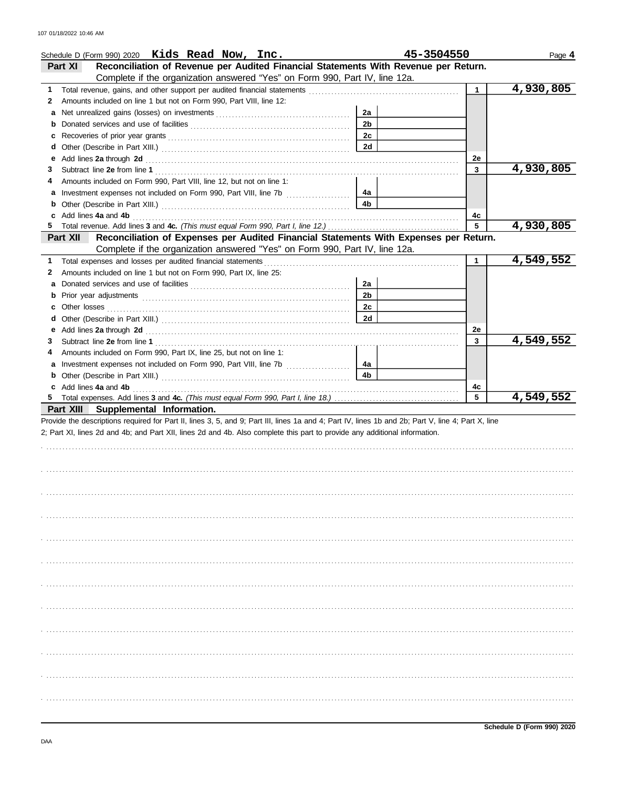| Schedule D (Form 990) 2020 Kids Read Now, Inc.                                                                                                                                                                                           |                | 45-3504550   | Page 4    |
|------------------------------------------------------------------------------------------------------------------------------------------------------------------------------------------------------------------------------------------|----------------|--------------|-----------|
| Reconciliation of Revenue per Audited Financial Statements With Revenue per Return.<br>Part XI                                                                                                                                           |                |              |           |
| Complete if the organization answered "Yes" on Form 990, Part IV, line 12a.                                                                                                                                                              |                |              |           |
| 1                                                                                                                                                                                                                                        |                | $\mathbf{1}$ | 4,930,805 |
| Amounts included on line 1 but not on Form 990, Part VIII, line 12:<br>$\mathbf{z}$                                                                                                                                                      |                |              |           |
| а                                                                                                                                                                                                                                        | 2a             |              |           |
|                                                                                                                                                                                                                                          | 2 <sub>b</sub> |              |           |
| c                                                                                                                                                                                                                                        | 2c             |              |           |
|                                                                                                                                                                                                                                          | 2d             |              |           |
| Add lines 2a through 2d [11] Additional Additional Additional Additional Additional Additional Additional Additional Additional Additional Additional Additional Additional Additional Additional Additional Additional Additi<br>е      |                | 2e           |           |
| 3.                                                                                                                                                                                                                                       |                | 3            | 4,930,805 |
| Amounts included on Form 990, Part VIII, line 12, but not on line 1:<br>4                                                                                                                                                                |                |              |           |
|                                                                                                                                                                                                                                          | 4a             |              |           |
|                                                                                                                                                                                                                                          | 4b             |              |           |
| Add lines 4a and 4b <b>contract and 4b</b> and 4b and 4b and 4b and 4c and 4c and 4c and 4c and 4c and 4c and 4c and 4c and 4c and 4c and 4c and 4c and 4c and 4c and 4c and 4c and 4c and 4c and 4c and 4c and 4c and 4c and 4c an<br>c |                | 4c           |           |
| 5.                                                                                                                                                                                                                                       |                | 5            | 4,930,805 |
| Reconciliation of Expenses per Audited Financial Statements With Expenses per Return.<br>Part XII                                                                                                                                        |                |              |           |
| Complete if the organization answered "Yes" on Form 990, Part IV, line 12a.                                                                                                                                                              |                |              |           |
| 1                                                                                                                                                                                                                                        |                | 1            | 4,549,552 |
| Amounts included on line 1 but not on Form 990, Part IX, line 25:<br>2                                                                                                                                                                   |                |              |           |
| a                                                                                                                                                                                                                                        | 2a             |              |           |
| b                                                                                                                                                                                                                                        | 2 <sub>b</sub> |              |           |
| С                                                                                                                                                                                                                                        | 2c<br>2d       |              |           |
|                                                                                                                                                                                                                                          |                |              |           |
| Add lines 2a through 2d [11] And The Contract of The Contract of The Contract of The Contract of The Contract of The Contract of The Contract of The Contract of The Contract of The Contract of The Contract of The Contract<br>е       |                | 2e<br>3      | 4,549,552 |
| 3<br>Amounts included on Form 990, Part IX, line 25, but not on line 1:                                                                                                                                                                  |                |              |           |
|                                                                                                                                                                                                                                          | 4a             |              |           |
|                                                                                                                                                                                                                                          | 4b             |              |           |
|                                                                                                                                                                                                                                          |                | 4c           |           |
|                                                                                                                                                                                                                                          |                | 5            | 4,549,552 |
| Part XIII Supplemental Information.                                                                                                                                                                                                      |                |              |           |
| Provide the descriptions required for Part II, lines 3, 5, and 9; Part III, lines 1a and 4; Part IV, lines 1b and 2b; Part V, line 4; Part X, line                                                                                       |                |              |           |
| 2; Part XI, lines 2d and 4b; and Part XII, lines 2d and 4b. Also complete this part to provide any additional information.                                                                                                               |                |              |           |
|                                                                                                                                                                                                                                          |                |              |           |
|                                                                                                                                                                                                                                          |                |              |           |
|                                                                                                                                                                                                                                          |                |              |           |
|                                                                                                                                                                                                                                          |                |              |           |
|                                                                                                                                                                                                                                          |                |              |           |
|                                                                                                                                                                                                                                          |                |              |           |
|                                                                                                                                                                                                                                          |                |              |           |
|                                                                                                                                                                                                                                          |                |              |           |
|                                                                                                                                                                                                                                          |                |              |           |
|                                                                                                                                                                                                                                          |                |              |           |
|                                                                                                                                                                                                                                          |                |              |           |
|                                                                                                                                                                                                                                          |                |              |           |
|                                                                                                                                                                                                                                          |                |              |           |
|                                                                                                                                                                                                                                          |                |              |           |
|                                                                                                                                                                                                                                          |                |              |           |
|                                                                                                                                                                                                                                          |                |              |           |
|                                                                                                                                                                                                                                          |                |              |           |
|                                                                                                                                                                                                                                          |                |              |           |
|                                                                                                                                                                                                                                          |                |              |           |
|                                                                                                                                                                                                                                          |                |              |           |
|                                                                                                                                                                                                                                          |                |              |           |
|                                                                                                                                                                                                                                          |                |              |           |
|                                                                                                                                                                                                                                          |                |              |           |
|                                                                                                                                                                                                                                          |                |              |           |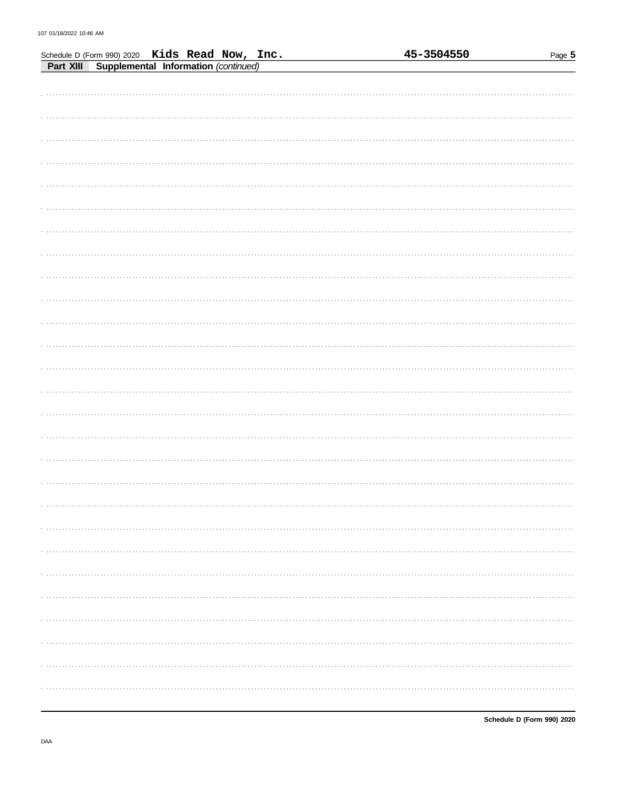|                                                                                                  | <u>45-3504550</u> | Page $5$ |
|--------------------------------------------------------------------------------------------------|-------------------|----------|
| Schedule D (Form 990) 2020 Kids Read Now, Inc.<br>Part XIII Supplemental Information (continued) |                   |          |
|                                                                                                  |                   |          |
|                                                                                                  |                   |          |
|                                                                                                  |                   |          |
|                                                                                                  |                   |          |
|                                                                                                  |                   |          |
|                                                                                                  |                   |          |
|                                                                                                  |                   |          |
|                                                                                                  |                   |          |
|                                                                                                  |                   |          |
|                                                                                                  |                   |          |
|                                                                                                  |                   |          |
|                                                                                                  |                   |          |
|                                                                                                  |                   |          |
|                                                                                                  |                   |          |
|                                                                                                  |                   |          |
|                                                                                                  |                   |          |
|                                                                                                  |                   |          |
|                                                                                                  |                   |          |
|                                                                                                  |                   |          |
|                                                                                                  |                   |          |
|                                                                                                  |                   |          |
|                                                                                                  |                   |          |
|                                                                                                  |                   |          |
|                                                                                                  |                   |          |
|                                                                                                  |                   |          |
|                                                                                                  |                   |          |
|                                                                                                  |                   |          |
|                                                                                                  |                   |          |
|                                                                                                  |                   |          |
|                                                                                                  |                   |          |
|                                                                                                  |                   |          |
|                                                                                                  |                   |          |
|                                                                                                  |                   |          |
|                                                                                                  |                   |          |
|                                                                                                  |                   |          |
|                                                                                                  |                   |          |
|                                                                                                  |                   |          |
|                                                                                                  |                   |          |
|                                                                                                  |                   |          |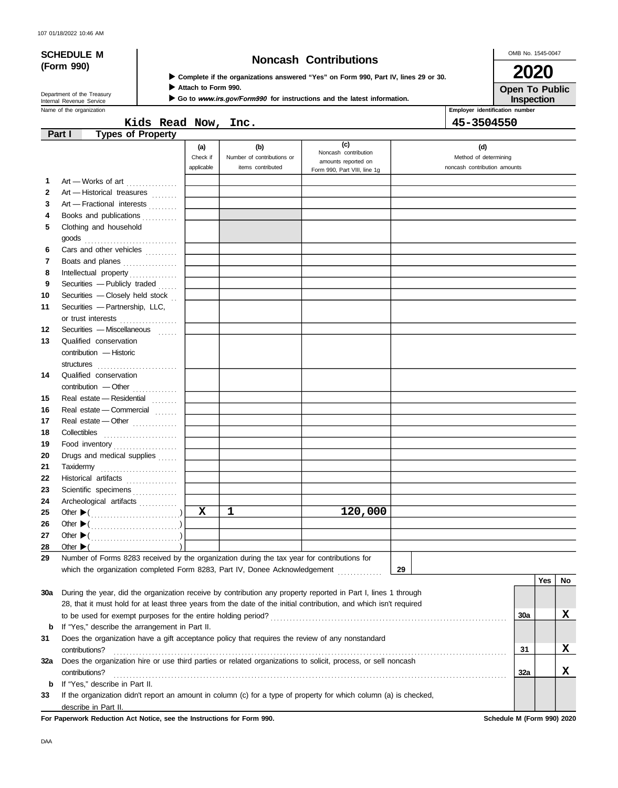# **(Form 990)**

## **SCHEDULE M Noncash Contributions**

OMB No. 1545-0047

**Inspection Open To Public 2020**

| ► Complete if the organizations answered "Yes" on Form 990, Part IV, lines 29 or 30. |  |  |  |  |  |
|--------------------------------------------------------------------------------------|--|--|--|--|--|
|                                                                                      |  |  |  |  |  |

**Attach to Form 990.**

Þ

Go to www.irs.gov/Form990 for instructions and the latest information.

Department of the Treasury<br>Internal Revenue Service

|             | Name of the organization                                                                                                                            |                               |                                                        |                                                                                    |    | Employer identification number                               |     |    |
|-------------|-----------------------------------------------------------------------------------------------------------------------------------------------------|-------------------------------|--------------------------------------------------------|------------------------------------------------------------------------------------|----|--------------------------------------------------------------|-----|----|
|             | Kids Read Now, Inc.                                                                                                                                 |                               |                                                        |                                                                                    |    | 45-3504550                                                   |     |    |
|             | <b>Types of Property</b><br>Part I                                                                                                                  |                               |                                                        |                                                                                    |    |                                                              |     |    |
|             |                                                                                                                                                     | (a)<br>Check if<br>applicable | (b)<br>Number of contributions or<br>items contributed | (c)<br>Noncash contribution<br>amounts reported on<br>Form 990, Part VIII, line 1g |    | (d)<br>Method of determining<br>noncash contribution amounts |     |    |
| 1           | Art - Works of art                                                                                                                                  |                               |                                                        |                                                                                    |    |                                                              |     |    |
| 2           | Art - Historical treasures                                                                                                                          |                               |                                                        |                                                                                    |    |                                                              |     |    |
| 3           | Art - Fractional interests                                                                                                                          |                               |                                                        |                                                                                    |    |                                                              |     |    |
| 4           | Books and publications                                                                                                                              |                               |                                                        |                                                                                    |    |                                                              |     |    |
| 5           | Clothing and household                                                                                                                              |                               |                                                        |                                                                                    |    |                                                              |     |    |
| 6           | Cars and other vehicles                                                                                                                             |                               |                                                        |                                                                                    |    |                                                              |     |    |
| 7           | Boats and planes                                                                                                                                    |                               |                                                        |                                                                                    |    |                                                              |     |    |
| 8           | Intellectual property                                                                                                                               |                               |                                                        |                                                                                    |    |                                                              |     |    |
| 9           | Securities - Publicly traded                                                                                                                        |                               |                                                        |                                                                                    |    |                                                              |     |    |
| 10          | Securities - Closely held stock                                                                                                                     |                               |                                                        |                                                                                    |    |                                                              |     |    |
| 11          | Securities - Partnership, LLC,                                                                                                                      |                               |                                                        |                                                                                    |    |                                                              |     |    |
|             | or trust interests                                                                                                                                  |                               |                                                        |                                                                                    |    |                                                              |     |    |
| 12          | Securities - Miscellaneous                                                                                                                          |                               |                                                        |                                                                                    |    |                                                              |     |    |
| 13          | Qualified conservation                                                                                                                              |                               |                                                        |                                                                                    |    |                                                              |     |    |
|             | contribution - Historic                                                                                                                             |                               |                                                        |                                                                                    |    |                                                              |     |    |
|             | structures <b>contained</b>                                                                                                                         |                               |                                                        |                                                                                    |    |                                                              |     |    |
| 14          | Qualified conservation                                                                                                                              |                               |                                                        |                                                                                    |    |                                                              |     |    |
|             | contribution - Other                                                                                                                                |                               |                                                        |                                                                                    |    |                                                              |     |    |
| 15          | Real estate - Residential                                                                                                                           |                               |                                                        |                                                                                    |    |                                                              |     |    |
| 16          | Real estate - Commercial                                                                                                                            |                               |                                                        |                                                                                    |    |                                                              |     |    |
| 17          | Real estate - Other                                                                                                                                 |                               |                                                        |                                                                                    |    |                                                              |     |    |
| 18          |                                                                                                                                                     |                               |                                                        |                                                                                    |    |                                                              |     |    |
| 19          | Food inventory                                                                                                                                      |                               |                                                        |                                                                                    |    |                                                              |     |    |
| 20          | Drugs and medical supplies                                                                                                                          |                               |                                                        |                                                                                    |    |                                                              |     |    |
| 21          | Taxidermy                                                                                                                                           |                               |                                                        |                                                                                    |    |                                                              |     |    |
| 22          | Historical artifacts                                                                                                                                |                               |                                                        |                                                                                    |    |                                                              |     |    |
| 23          | Scientific specimens                                                                                                                                |                               |                                                        |                                                                                    |    |                                                              |     |    |
| 24          | Archeological artifacts                                                                                                                             |                               |                                                        |                                                                                    |    |                                                              |     |    |
| 25          |                                                                                                                                                     | $\mathbf x$                   | 1                                                      | 120,000                                                                            |    |                                                              |     |    |
| 26          |                                                                                                                                                     |                               |                                                        |                                                                                    |    |                                                              |     |    |
| 27          | Other $\blacktriangleright$ (                                                                                                                       |                               |                                                        |                                                                                    |    |                                                              |     |    |
| 28          | Other $\blacktriangleright$                                                                                                                         |                               |                                                        |                                                                                    |    |                                                              |     |    |
| 29          | Number of Forms 8283 received by the organization during the tax year for contributions for                                                         |                               |                                                        |                                                                                    |    |                                                              |     |    |
|             | which the organization completed Form 8283, Part IV, Donee Acknowledgement                                                                          |                               |                                                        |                                                                                    | 29 |                                                              |     |    |
|             |                                                                                                                                                     |                               |                                                        |                                                                                    |    |                                                              | Yes | No |
| 30a         | During the year, did the organization receive by contribution any property reported in Part I, lines 1 through                                      |                               |                                                        |                                                                                    |    |                                                              |     |    |
|             | 28, that it must hold for at least three years from the date of the initial contribution, and which isn't required                                  |                               |                                                        |                                                                                    |    |                                                              |     |    |
|             | to be used for exempt purposes for the entire holding period?                                                                                       |                               |                                                        |                                                                                    |    | <b>30a</b>                                                   |     | x  |
| $\mathbf b$ | If "Yes," describe the arrangement in Part II.                                                                                                      |                               |                                                        |                                                                                    |    |                                                              |     |    |
| 31          | Does the organization have a gift acceptance policy that requires the review of any nonstandard                                                     |                               |                                                        |                                                                                    |    |                                                              |     |    |
|             | contributions?                                                                                                                                      |                               |                                                        |                                                                                    |    | 31                                                           |     | X  |
| 32a         | Does the organization hire or use third parties or related organizations to solicit, process, or sell noncash                                       |                               |                                                        |                                                                                    |    |                                                              |     |    |
|             | contributions?                                                                                                                                      |                               |                                                        |                                                                                    |    | 32a                                                          |     | X  |
| b           | If "Yes," describe in Part II.<br>If the organization didn't report an amount in column (c) for a type of property for which column (a) is checked, |                               |                                                        |                                                                                    |    |                                                              |     |    |
| 33          |                                                                                                                                                     |                               |                                                        |                                                                                    |    |                                                              |     |    |

describe in Part II.

**For Paperwork Reduction Act Notice, see the Instructions for Form 990. Schedule M (Form 990) 2020**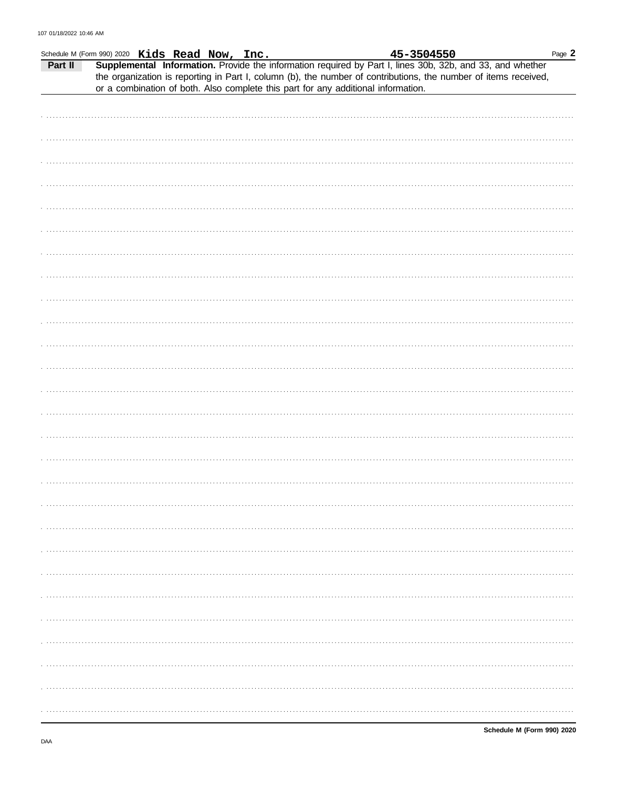|         | Schedule M (Form 990) 2020 Kids Read Now, Inc. |                                                                                   |  | 45-3504550                                                                                                                                                                                                                   | Page 2 |
|---------|------------------------------------------------|-----------------------------------------------------------------------------------|--|------------------------------------------------------------------------------------------------------------------------------------------------------------------------------------------------------------------------------|--------|
| Part II |                                                |                                                                                   |  | Supplemental Information. Provide the information required by Part I, lines 30b, 32b, and 33, and whether<br>the organization is reporting in Part I, column (b), the number of contributions, the number of items received, |        |
|         |                                                | or a combination of both. Also complete this part for any additional information. |  |                                                                                                                                                                                                                              |        |
|         |                                                |                                                                                   |  |                                                                                                                                                                                                                              |        |
|         |                                                |                                                                                   |  |                                                                                                                                                                                                                              |        |
|         |                                                |                                                                                   |  |                                                                                                                                                                                                                              |        |
|         |                                                |                                                                                   |  |                                                                                                                                                                                                                              |        |
|         |                                                |                                                                                   |  |                                                                                                                                                                                                                              |        |
|         |                                                |                                                                                   |  |                                                                                                                                                                                                                              |        |
|         |                                                |                                                                                   |  |                                                                                                                                                                                                                              |        |
|         |                                                |                                                                                   |  |                                                                                                                                                                                                                              |        |
|         |                                                |                                                                                   |  |                                                                                                                                                                                                                              |        |
|         |                                                |                                                                                   |  |                                                                                                                                                                                                                              |        |
|         |                                                |                                                                                   |  |                                                                                                                                                                                                                              |        |
|         |                                                |                                                                                   |  |                                                                                                                                                                                                                              |        |
|         |                                                |                                                                                   |  |                                                                                                                                                                                                                              |        |
|         |                                                |                                                                                   |  |                                                                                                                                                                                                                              |        |
|         |                                                |                                                                                   |  |                                                                                                                                                                                                                              |        |
|         |                                                |                                                                                   |  |                                                                                                                                                                                                                              |        |
|         |                                                |                                                                                   |  |                                                                                                                                                                                                                              |        |
|         |                                                |                                                                                   |  |                                                                                                                                                                                                                              |        |
|         |                                                |                                                                                   |  |                                                                                                                                                                                                                              |        |
|         |                                                |                                                                                   |  |                                                                                                                                                                                                                              |        |
|         |                                                |                                                                                   |  |                                                                                                                                                                                                                              |        |
|         |                                                |                                                                                   |  |                                                                                                                                                                                                                              |        |
|         |                                                |                                                                                   |  |                                                                                                                                                                                                                              |        |
|         |                                                |                                                                                   |  |                                                                                                                                                                                                                              |        |
|         |                                                |                                                                                   |  |                                                                                                                                                                                                                              |        |
|         |                                                |                                                                                   |  |                                                                                                                                                                                                                              |        |
|         |                                                |                                                                                   |  |                                                                                                                                                                                                                              |        |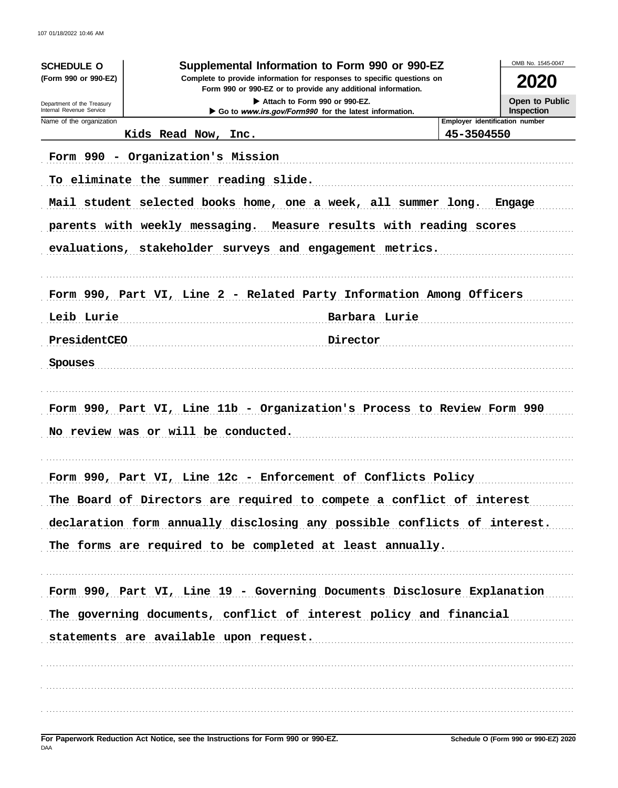| Supplemental Information to Form 990 or 990-EZ<br><b>SCHEDULE O</b> |                                                                                                                                                                                                                                                                                                       | OMB No. 1545-0047 |        |  |
|---------------------------------------------------------------------|-------------------------------------------------------------------------------------------------------------------------------------------------------------------------------------------------------------------------------------------------------------------------------------------------------|-------------------|--------|--|
| (Form 990 or 990-EZ)                                                | Complete to provide information for responses to specific questions on<br>Form 990 or 990-EZ or to provide any additional information.<br>Attach to Form 990 or 990-EZ.<br>Internal Revenue Service<br>Go to www.irs.gov/Form990 for the latest information.<br><b>Employer identification number</b> |                   |        |  |
| Department of the Treasury                                          |                                                                                                                                                                                                                                                                                                       |                   |        |  |
| Name of the organization                                            |                                                                                                                                                                                                                                                                                                       |                   |        |  |
|                                                                     | Kids Read Now, Inc.                                                                                                                                                                                                                                                                                   | 45-3504550        |        |  |
|                                                                     | Form 990 - Organization's Mission                                                                                                                                                                                                                                                                     |                   |        |  |
|                                                                     | To eliminate the summer reading slide.                                                                                                                                                                                                                                                                |                   |        |  |
|                                                                     | Mail student selected books home, one a week, all summer long.                                                                                                                                                                                                                                        |                   | Engage |  |
|                                                                     | parents with weekly messaging. Measure results with reading scores                                                                                                                                                                                                                                    |                   |        |  |
|                                                                     | evaluations, stakeholder surveys and engagement metrics.                                                                                                                                                                                                                                              |                   |        |  |
|                                                                     |                                                                                                                                                                                                                                                                                                       |                   |        |  |
|                                                                     |                                                                                                                                                                                                                                                                                                       |                   |        |  |
|                                                                     | Form 990, Part VI, Line 2 - Related Party Information Among Officers                                                                                                                                                                                                                                  |                   |        |  |
| Leib Lurie                                                          | Barbara Lurie                                                                                                                                                                                                                                                                                         |                   |        |  |
| PresidentCEO                                                        | Director                                                                                                                                                                                                                                                                                              |                   |        |  |
| Spouses                                                             |                                                                                                                                                                                                                                                                                                       |                   |        |  |
|                                                                     |                                                                                                                                                                                                                                                                                                       |                   |        |  |
|                                                                     | Form 990, Part VI, Line 11b - Organization's Process to Review Form 990                                                                                                                                                                                                                               |                   |        |  |
|                                                                     | No review was or will be conducted.                                                                                                                                                                                                                                                                   |                   |        |  |
|                                                                     |                                                                                                                                                                                                                                                                                                       |                   |        |  |
|                                                                     | Form 990, Part VI, Line 12c - Enforcement of Conflicts Policy                                                                                                                                                                                                                                         |                   |        |  |
|                                                                     | The Board of Directors are required to compete a conflict of interest                                                                                                                                                                                                                                 |                   |        |  |
|                                                                     | declaration form annually disclosing any possible conflicts of interest.                                                                                                                                                                                                                              |                   |        |  |
|                                                                     | The forms are required to be completed at least annually.                                                                                                                                                                                                                                             |                   |        |  |
|                                                                     |                                                                                                                                                                                                                                                                                                       |                   |        |  |
|                                                                     | Form 990, Part VI, Line 19 - Governing Documents Disclosure Explanation                                                                                                                                                                                                                               |                   |        |  |
|                                                                     | The governing documents, conflict of interest policy and financial                                                                                                                                                                                                                                    |                   |        |  |
|                                                                     |                                                                                                                                                                                                                                                                                                       |                   |        |  |
|                                                                     | statements are available upon request.                                                                                                                                                                                                                                                                |                   |        |  |
|                                                                     |                                                                                                                                                                                                                                                                                                       |                   |        |  |
|                                                                     |                                                                                                                                                                                                                                                                                                       |                   |        |  |
|                                                                     |                                                                                                                                                                                                                                                                                                       |                   |        |  |
|                                                                     |                                                                                                                                                                                                                                                                                                       |                   |        |  |